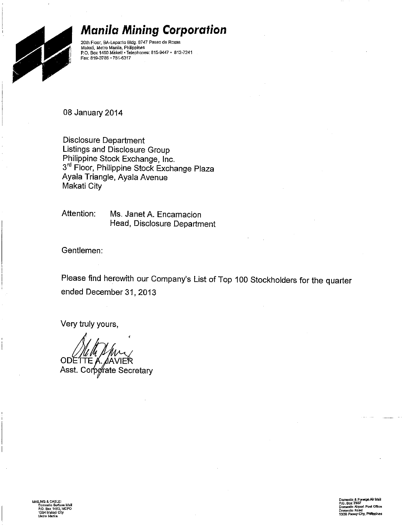

#### **Manila Mining Corporation**

20th Floor, BA-Lepanto Bldg. 8747 Paseo de Roxas Makati, Metro Manila, Philippines P.O. Box 1460 Makati · Telephones: 815-9447 · 812-7241 Fax: 819-3786 · 751-6317

08 January 2014

**Disclosure Department** Listings and Disclosure Group Philippine Stock Exchange, Inc. 3<sup>rd</sup> Floor, Philippine Stock Exchange Plaza Ayala Triangle, Ayala Ayenue Makati City

Attention: Ms. Janet A. Encarnacion Head, Disclosure Department

Gentlemen:

Please find herewith our Company's List of Top 100 Stockholders for the quarter ended December 31, 2013

Very truly yours,

ODETTE Asst. Corporate Secretary

> xeign Air Mail P.O. Box 7507<br>Domestic Alrport Post Office<br>Domestic Road<br>1300 Pasay City, Philippines

**Box 1460, MCPC** kali Cit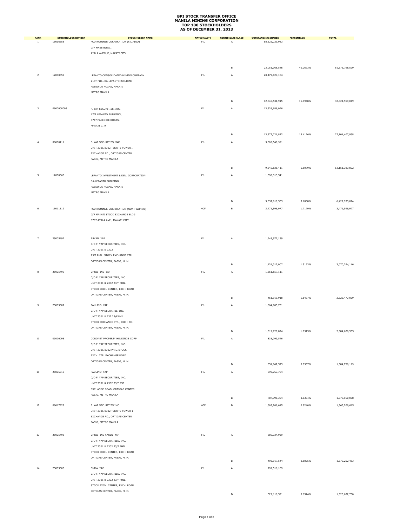| <b>RANK</b>             | <b>STOCKHOLDER NUMBER</b> | <b>STOCKHOLDER NAME</b>                | <b>NATIONALITY</b> | <b>CERTIFICATE CLASS</b> | <b>OUTSTANDING SHARES</b> | PERCENTAGE | <b>TOTAL</b>      |
|-------------------------|---------------------------|----------------------------------------|--------------------|--------------------------|---------------------------|------------|-------------------|
| $\,$ 1 $\,$             | 16016658                  | PCD NOMINEE CORPORATION (FILIPINO)     | FL                 | A                        | 58,325,729,983            |            |                   |
|                         |                           | G/F MKSE BLDG.,                        |                    |                          |                           |            |                   |
|                         |                           | AYALA AVENUE, MAKATI CITY              |                    |                          |                           |            |                   |
|                         |                           |                                        |                    |                          |                           |            |                   |
|                         |                           |                                        |                    |                          |                           |            |                   |
|                         |                           |                                        |                    | В                        | 23,051,068,546            | 40.2693%   | 81,376,798,529    |
|                         |                           |                                        |                    |                          |                           |            |                   |
| $\mathbf{2}$            | 12000359                  | LEPANTO CONSOLIDATED MINING COMPANY    | FL                 | A                        | 20,479,027,104            |            |                   |
|                         |                           | 21ST FLR., BA-LEPANTO BUILDING         |                    |                          |                           |            |                   |
|                         |                           | PASEO DE ROXAS, MAKATI                 |                    |                          |                           |            |                   |
|                         |                           | METRO MANILA                           |                    |                          |                           |            |                   |
|                         |                           |                                        |                    |                          |                           |            |                   |
|                         |                           |                                        |                    | в                        | 12,045,531,915            | 16.0948%   | 32,524,559,019    |
| $\overline{\mathbf{3}}$ | 0600000003                | F. YAP SECURITIES, INC.                | <b>FIL</b>         | Α                        | 13,526,686,096            |            |                   |
|                         |                           | 17/F LEPANTO BUILDING,                 |                    |                          |                           |            |                   |
|                         |                           | 8747 PASEO DE ROXAS,                   |                    |                          |                           |            |                   |
|                         |                           |                                        |                    |                          |                           |            |                   |
|                         |                           | MAKATI CITY                            |                    |                          |                           |            |                   |
|                         |                           |                                        |                    | в                        | 13,577,721,842            | 13.4126%   | 27,104,407,938    |
|                         |                           |                                        |                    |                          |                           |            |                   |
| $\overline{4}$          | 06000111                  | F. YAP SECURITIES, INC.                | FL                 | A                        | 3,505,548,391             |            |                   |
|                         |                           | UNIT 2301/2302 TEKTITE TOWER I         |                    |                          |                           |            |                   |
|                         |                           | EXCHANGE RD., ORTIGAS CENTER           |                    |                          |                           |            |                   |
|                         |                           | PASIG, METRO MANILA                    |                    |                          |                           |            |                   |
|                         |                           |                                        |                    |                          |                           |            |                   |
|                         |                           |                                        |                    | в                        | 9,645,835,411             | 6.5079%    | 13, 151, 383, 802 |
| 5                       | 12000360                  | LEPANTO INVESTMENT & DEV. CORPORATION  | ${\sf FIL}$        |                          |                           |            |                   |
|                         |                           |                                        |                    | A                        | 1,390,313,541             |            |                   |
|                         |                           | <b>BA-LEPANTO BUILDING</b>             |                    |                          |                           |            |                   |
|                         |                           | PASEO DE ROXAS, MAKATI                 |                    |                          |                           |            |                   |
|                         |                           | METRO MANILA                           |                    |                          |                           |            |                   |
|                         |                           |                                        |                    |                          |                           |            |                   |
|                         |                           |                                        |                    | В                        | 5,037,619,533             | 3.1808%    | 6,427,933,074     |
| 6                       | 16011312                  | PCD NOMINEE CORPORATION (NON-FILIPINO) | <b>NOF</b>         | в                        | 3,471,596,977             | 1.7179%    | 3,471,596,977     |
|                         |                           | G/F MAKATI STOCK EXCHANGE BLDG         |                    |                          |                           |            |                   |
|                         |                           | 6767 AYALA AVE., MAKATI CITY           |                    |                          |                           |            |                   |
|                         |                           |                                        |                    |                          |                           |            |                   |
|                         |                           |                                        |                    |                          |                           |            |                   |
|                         |                           |                                        |                    |                          |                           |            |                   |
| $\overline{7}$          | 25005497                  | BRYAN YAP                              | FL                 | A                        | 1,945,977,139             |            |                   |
|                         |                           | C/O F. YAP SECURITIES, INC.            |                    |                          |                           |            |                   |
|                         |                           | UNIT 2301 & 2302                       |                    |                          |                           |            |                   |
|                         |                           |                                        |                    |                          |                           |            |                   |
|                         |                           | 23/F PHIL. STOCK EXCHANGE CTR.         |                    |                          |                           |            |                   |
|                         |                           | ORTIGAS CENTER, PASIG, M. M.           |                    | в                        | 1,124,317,007             | 1.5193%    | 3,070,294,146     |
|                         |                           |                                        |                    |                          |                           |            |                   |
| $\bf8$                  | 25005499                  | CHRISTINE YAP                          | FL                 | Α                        | 1,861,557,111             |            |                   |
|                         |                           | C/O F. YAP SECURITIES, INC.            |                    |                          |                           |            |                   |
|                         |                           | UNIT 2301 & 2302 23/F PHIL.            |                    |                          |                           |            |                   |
|                         |                           | STOCK EXCH. CENTER, EXCH. ROAD         |                    |                          |                           |            |                   |
|                         |                           | ORTIGAS CENTER, PASIG, M. M.           |                    |                          |                           |            |                   |
|                         |                           |                                        |                    | в                        | 461,919,918               | 1.1497%    | 2,323,477,029     |
| $\,9$                   | 25005502                  | PAULINO YAP                            | FL                 | A                        | 1,064,905,731             |            |                   |
|                         |                           | C/O F. YAP SECURITIE, INC.             |                    |                          |                           |            |                   |
|                         |                           |                                        |                    |                          |                           |            |                   |
|                         |                           | UNIT 2301 & 232 23/F PHIL.             |                    |                          |                           |            |                   |
|                         |                           | STOCK EXCHANGE CTR., EXCH. RD.         |                    |                          |                           |            |                   |
|                         |                           | ORTIGAS CENTER, PASIG, M. M.           |                    |                          |                           |            |                   |
|                         |                           |                                        |                    | B                        | 1,019,720,824             | 1.0315%    | 2,084,626,555     |
| $10\,$                  | 03026095                  | CORONET PROPERTY HOLDINGS CORP         | FL                 | Α                        | 833,093,546               |            |                   |
|                         |                           | C/O F. YAP SECURITIES, INC.            |                    |                          |                           |            |                   |
|                         |                           | UNIT 2301/2302 PHIL. STOCK             |                    |                          |                           |            |                   |
|                         |                           |                                        |                    |                          |                           |            |                   |
|                         |                           | EXCH. CTR. EXCHANGE ROAD               |                    |                          |                           |            |                   |
|                         |                           | ORTIGAS CENTER, PASIG, M. M.           |                    | в                        | 851,662,573               | 0.8337%    | 1,684,756,119     |
|                         |                           |                                        |                    |                          |                           |            |                   |
| $11\,$                  | 25005518                  | PAULINO YAP                            | FL                 | Α                        | 890,763,764               |            |                   |
|                         |                           | C/O F. YAP SECURITIES, INC.            |                    |                          |                           |            |                   |
|                         |                           | UNIT 2301 & 2302 23/F PSE              |                    |                          |                           |            |                   |
|                         |                           | EXCHANGE ROAD, ORTIGAS CENTER          |                    |                          |                           |            |                   |
|                         |                           | PASIG, METRO MANILA                    |                    |                          |                           |            |                   |
|                         |                           |                                        |                    | в                        | 787,396,304               | 0.8304%    | 1,678,160,068     |
| $12\,$                  | 06017929                  | F. YAP SECURITIES INC.                 | <b>NOF</b>         | в                        | 1,665,206,615             | 0.8240%    | 1,665,206,615     |
|                         |                           |                                        |                    |                          |                           |            |                   |
|                         |                           | UNIT 2301/2302 TEKTITE TOWER 1         |                    |                          |                           |            |                   |
|                         |                           | EXCHANGE RD., ORTIGAS CENTER           |                    |                          |                           |            |                   |
|                         |                           | PASIG, METRO MANILA                    |                    |                          |                           |            |                   |
|                         |                           |                                        |                    |                          |                           |            |                   |
| $13\,$                  | 25005498                  | CHRISTINE KAREN YAP                    | FL                 | Α                        | 886,334,939               |            |                   |
|                         |                           |                                        |                    |                          |                           |            |                   |
|                         |                           | C/O F. YAP SECURITIES, INC.            |                    |                          |                           |            |                   |
|                         |                           | UNIT 2301 & 2302 23/F PHIL.            |                    |                          |                           |            |                   |
|                         |                           | STOCK EXCH. CENTER, EXCH. ROAD         |                    |                          |                           |            |                   |
|                         |                           | ORTIGAS CENTER, PASIG, M. M.           |                    |                          |                           |            |                   |
|                         |                           |                                        |                    | в                        | 492,917,544               | 0.6825%    | 1,379,252,483     |
| $14\,$                  | 25005505                  | EMMA YAP                               | FL                 | Α                        | 799,516,109               |            |                   |
|                         |                           | C/O F. YAP SECURITIES, INC.            |                    |                          |                           |            |                   |
|                         |                           | UNIT 2301 & 2302 23/F PHIL.            |                    |                          |                           |            |                   |
|                         |                           |                                        |                    |                          |                           |            |                   |
|                         |                           | STOCK EXCH. CENTER, EXCH. ROAD         |                    |                          |                           |            |                   |
|                         |                           | ORTIGAS CENTER, PASIG, M. M.           |                    | B                        | 529,116,591               | 0.6574%    | 1,328,632,700     |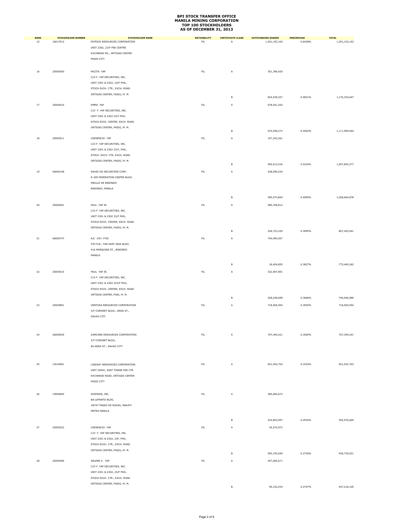| <b>RANK</b> | <b>STOCKHOLDER NUMBER</b> | <b>STOCKHOLDER NAME</b>        | <b>NATIONALITY</b> | <b>CERTIFICATE CLASS</b> | <b>OUTSTANDING SHARES</b> | <b>PERCENTAGE</b> | <b>TOTAL</b>  |
|-------------|---------------------------|--------------------------------|--------------------|--------------------------|---------------------------|-------------------|---------------|
| 15          | 16017012                  | PATRICK RESOURCES CORPORATION  | $\mathsf{FIL}$     | Α                        | 1,301,152,163             | 0.6438%           | 1,301,152,163 |
|             |                           | UNIT 2302, 23/F PSE CENTRE     |                    |                          |                           |                   |               |
|             |                           | EXCHANGE RD., ORTIGAS CENTER   |                    |                          |                           |                   |               |
|             |                           | PASIG CITY                     |                    |                          |                           |                   |               |
|             |                           |                                |                    |                          |                           |                   |               |
|             | 25005500                  |                                |                    |                          |                           |                   |               |
| $16\,$      |                           | PACITA YAP                     | ${\sf FIL}$        | А                        | 351,786,420               |                   |               |
|             |                           | C/O F. YAP SECURITIES, INC.    |                    |                          |                           |                   |               |
|             |                           | UNIT 2301 & 2302, 23/F PHIL.   |                    |                          |                           |                   |               |
|             |                           | STOCK EXCH. CTR., EXCH. ROAD   |                    |                          |                           |                   |               |
|             |                           | ORTIGAS CENTER, PASIG, M. M.   |                    | $\mathsf B$              | 824,539,227               | 0.5821%           | 1,176,325,647 |
|             |                           |                                |                    |                          |                           |                   |               |
| $17\,$      | 25005516                  | EMMA YAP                       | $\mathsf{FIL}$     | Α                        | 678,551,292               |                   |               |
|             |                           | C/O F. YAP SECURITIES, INC.    |                    |                          |                           |                   |               |
|             |                           | UNIT 2301 & 2302 23/F PHIL.    |                    |                          |                           |                   |               |
|             |                           | STOCK EXCH. CENTER, EXCH. ROAD |                    |                          |                           |                   |               |
|             |                           | ORTIGAS CENTER, PASIG, M. M.   |                    |                          |                           |                   |               |
|             |                           |                                |                    | B                        | 433,448,272               | 0.5502%           | 1,111,999,564 |
| $18\,$      | 25005511                  | CRESENCIO YAP                  | FL                 | А                        | 107,242,261               |                   |               |
|             |                           | C/O F. YAP SECURITIES, INC.    |                    |                          |                           |                   |               |
|             |                           | UNIT 2301 & 2302 23/F, PHIL.   |                    |                          |                           |                   |               |
|             |                           |                                |                    |                          |                           |                   |               |
|             |                           | STOCK. EXCH. CTR. EXCH. ROAD   |                    |                          |                           |                   |               |
|             |                           | ORTIGAS CENTER, PASIG, M. M.   |                    | в                        | 950,612,016               | 0.5234%           | 1,057,854,277 |
|             |                           |                                |                    |                          |                           |                   |               |
| $19\,$      | 04000158                  | DAVID GO SECURITIES CORP.      | ${\sf FIL}$        | A                        | 438,090,034               |                   |               |
|             |                           | R-309 FEDERATION CENTER BLDG.  |                    |                          |                           |                   |               |
|             |                           | MEULLE DE BINONDO              |                    |                          |                           |                   |               |
|             |                           | BINONDO, MANILA                |                    |                          |                           |                   |               |
|             |                           |                                |                    |                          |                           |                   |               |
|             |                           |                                |                    | в                        | 590,574,844               | 0.5090%           | 1,028,664,878 |
| 20          | 25005501                  | PAUL YAP JR.                   | ${\sf FIL}$        | А                        | 580,769,812               |                   |               |
|             |                           | C/O F. YAP SECURITIES, INC.    |                    |                          |                           |                   |               |
|             |                           | UNIT 2301 & 2302 23/F PHIL.    |                    |                          |                           |                   |               |
|             |                           | STOCK EXCH. CENTER, EXCH. ROAD |                    |                          |                           |                   |               |
|             |                           |                                |                    |                          |                           |                   |               |
|             |                           | ORTIGAS CENTER, PASIG, M. M.   |                    | B                        | 226,723,229               | 0.3995%           | 807,493,041   |
|             |                           |                                |                    |                          |                           |                   |               |
| ${\bf 21}$  | 06000747                  | A/C -CKY FYSI                  | ${\sf FIL}$        | Α                        | 754,994,507               |                   |               |
|             |                           | 5TH FLR., FAR EAST ASIA BLDG.  |                    |                          |                           |                   |               |
|             |                           | 416 MARQUINA ST., BINONDO      |                    |                          |                           |                   |               |
|             |                           | MANILA                         |                    |                          |                           |                   |               |
|             |                           |                                |                    | в                        | 18,454,855                | 0.3827%           | 773,449,362   |
|             |                           |                                |                    |                          |                           |                   |               |
| 22          | 25005515                  | PAUL YAP JR.                   | $\mathsf{FIL}$     | Α                        | 532,907,891               |                   |               |
|             |                           | C/O F. YAP SECURITIES, INC.    |                    |                          |                           |                   |               |
|             |                           | UNIT 2301 & 2302 223/F PHIL.   |                    |                          |                           |                   |               |
|             |                           | STOCK EXCH. CENTER, EXCH. ROAD |                    |                          |                           |                   |               |
|             |                           | ORTIGAS CENTER, PASI, M. M.    |                    |                          |                           |                   |               |
|             |                           |                                |                    | в                        | 208,038,698               | 0.3666%           | 740,946,589   |
| 23          | 22005891                  | VENTURA RESOURCES CORPORATION  | ${\sf FIL}$        | Α                        | 718,565,954               | 0.3555%           | 718,565,954   |
|             |                           | 3/F CORONET BLDG., ANDA ST.,   |                    |                          |                           |                   |               |
|             |                           |                                |                    |                          |                           |                   |               |
|             |                           | DAVAO CITY                     |                    |                          |                           |                   |               |
|             |                           |                                |                    |                          |                           |                   |               |
|             |                           |                                |                    |                          |                           |                   |               |
| 24          | 26000925                  | ZAMCORE RESOURCES CORPORATION  | ${\sf FIL}$        | А                        | 707,395,421               | 0.3500%           | 707,395,421   |
|             |                           | 3/F CORONET BLDG.,             |                    |                          |                           |                   |               |
|             |                           | 86 ANDA ST., DAVAO CITY        |                    |                          |                           |                   |               |
|             |                           |                                |                    |                          |                           |                   |               |
|             |                           |                                |                    |                          |                           |                   |               |
|             |                           |                                |                    |                          |                           |                   |               |
| 25          | 12016061                  | LINDSAY RESOURCES CORPORATION  | $\mathsf{FIL}$     | Α                        | 651, 542, 763             | 0.3224%           | 651, 542, 763 |
|             |                           | UNIT 2504C, EAST TOWER PSE CTR |                    |                          |                           |                   |               |
|             |                           | EXCHANGE ROAD, ORTIGAS CENTER  |                    |                          |                           |                   |               |
|             |                           | PASIG CITY                     |                    |                          |                           |                   |               |
|             |                           |                                |                    |                          |                           |                   |               |
| 26          | 19000695                  | SHIPSIDE, INC.                 | $\mathsf{FIL}$     | Α                        | 360,082,672               |                   |               |
|             |                           | BA-LEPANTO BLDG.               |                    |                          |                           |                   |               |
|             |                           |                                |                    |                          |                           |                   |               |
|             |                           | #8747 PASEO DE ROXAS, MAKATI   |                    |                          |                           |                   |               |
|             |                           | METRO MANILA                   |                    |                          |                           |                   |               |
|             |                           |                                |                    | в                        | 232,893,997               | 0.2934%           | 592,976,669   |
|             |                           |                                |                    |                          |                           |                   |               |
| 27          | 25005522                  | CRESENCIO YAP                  | ${\sf FIL}$        | Α                        | 45,574,972                |                   |               |
|             |                           | C/O F. YAP SECURITIES, INC.    |                    |                          |                           |                   |               |
|             |                           | UNIT 2301 & 2302, 23F, PHIL.   |                    |                          |                           |                   |               |
|             |                           | STOCK EXCH. CTR., EXCH. ROAD   |                    |                          |                           |                   |               |
|             |                           | ORTIGAS CENTER, PASIG, M. M.   |                    |                          |                           |                   |               |
|             |                           |                                |                    | в                        | 504,155,049               | 0.2720%           | 549,730,021   |
| 28          | 25005496                  | ARLENE K. YAP                  | $\mathsf{FIL}$     | Α                        | 457,065,671               |                   |               |
|             |                           | C/O F. YAP SECURITIES, INC.    |                    |                          |                           |                   |               |
|             |                           | UNIT 2301 & 2302, 23/F PHIL.   |                    |                          |                           |                   |               |
|             |                           | STOCK EXCH. CTR., EXCH. ROAD   |                    |                          |                           |                   |               |
|             |                           | ORTIGAS CENTER, PASIG, M. M.   |                    |                          |                           |                   |               |
|             |                           |                                |                    | B                        | 90,152,434                | 0.2707%           | 547,218,105   |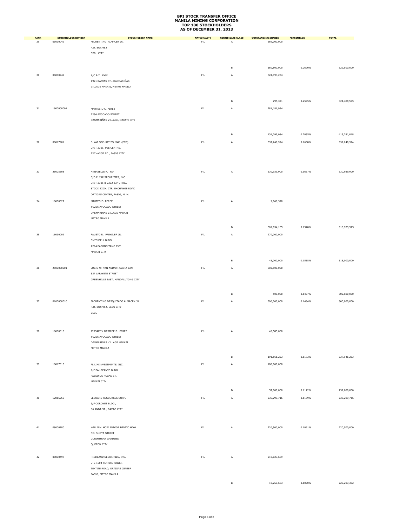| RANK        | <b>STOCKHOLDER NUMBER</b> | <b>STOCKHOLDER NAME</b>           | <b>NATIONALITY</b> | <b>CERTIFICATE CLASS</b> | <b>OUTSTANDING SHARES</b> | <b>PERCENTAGE</b> | <b>TOTAL</b> |
|-------------|---------------------------|-----------------------------------|--------------------|--------------------------|---------------------------|-------------------|--------------|
| 29          | 01030049                  | FLORENTINO ALMACEN JR.            | ${\sf FIL}$        | A                        | 369,000,000               |                   |              |
|             |                           | P.O. BOX 952                      |                    |                          |                           |                   |              |
|             |                           | CEBU CITY                         |                    |                          |                           |                   |              |
|             |                           |                                   |                    |                          |                           |                   |              |
|             |                           |                                   |                    | в                        | 160,500,000               | 0.2620%           | 529,500,000  |
|             |                           |                                   |                    |                          |                           |                   |              |
| 30          | 06000749                  | A/C B.Y. FYSI                     | ${\sf FIL}$        | Α                        | 524,193,274               |                   |              |
|             |                           | 1921 KAMIAS ST., DASMARIÑAS       |                    |                          |                           |                   |              |
|             |                           | VILLAGE MAKATI, METRO MANILA      |                    |                          |                           |                   |              |
|             |                           |                                   |                    |                          |                           |                   |              |
|             |                           |                                   |                    | в                        | 295,321                   | 0.2595%           | 524,488,595  |
| $_{\rm 31}$ | 1600000001                | MARTESIO C. PEREZ                 | ${\sf FIL}$        | Α                        | 281,181,934               |                   |              |
|             |                           | 2256 AVOCADO STREET               |                    |                          |                           |                   |              |
|             |                           | DASMARIÑAS VILLAGE, MAKATI CITY   |                    |                          |                           |                   |              |
|             |                           |                                   |                    |                          |                           |                   |              |
|             |                           |                                   |                    |                          |                           |                   |              |
|             |                           |                                   |                    | в                        | 134,099,084               | 0.2055%           | 415,281,018  |
| 32          | 06017901                  | F. YAP SECURITIES, INC. (PCD)     | $\mathsf{FIL}$     | Α                        | 337,240,974               | 0.1668%           | 337,240,974  |
|             |                           | UNIT 2301, PSE CENTRE,            |                    |                          |                           |                   |              |
|             |                           | EXCHANGE RD., PASIG CITY          |                    |                          |                           |                   |              |
|             |                           |                                   |                    |                          |                           |                   |              |
|             |                           |                                   |                    |                          |                           |                   |              |
| 33          | 25005508                  | ANNABELLE K. YAP                  | ${\sf FIL}$        | A                        | 330,939,900               | 0.1637%           | 330,939,900  |
|             |                           | C/O F. YAP SECURITIES, INC.       |                    |                          |                           |                   |              |
|             |                           | UNIT 2301 & 2302 23/F, PHIL.      |                    |                          |                           |                   |              |
|             |                           | STOCK EXCH. CTR. EXCHANGE ROAD    |                    |                          |                           |                   |              |
|             |                           | ORTIGAS CENTER, PASIG, M. M.      |                    |                          |                           |                   |              |
| 34          | 16000522                  | MARTESIO PEREZ                    | ${\sf FIL}$        | Α                        | 9,069,370                 |                   |              |
|             |                           | #2256 AVOCADO STREET              |                    |                          |                           |                   |              |
|             |                           | DASMARINAS VILLAGE MAKATI         |                    |                          |                           |                   |              |
|             |                           | METRO MANILA                      |                    |                          |                           |                   |              |
|             |                           |                                   |                    |                          |                           |                   |              |
|             |                           |                                   |                    | в                        | 309,854,155               | 0.1578%           | 318,923,525  |
| 35          | 16030009                  | FAUSTO R. PREYSLER JR.            | ${\sf FIL}$        | Α                        | 270,000,000               |                   |              |
|             |                           | SMITHBELL BLDG.                   |                    |                          |                           |                   |              |
|             |                           | 2294 PASONG TAMO EXT.             |                    |                          |                           |                   |              |
|             |                           | MAKATI CITY                       |                    |                          |                           |                   |              |
|             |                           |                                   |                    |                          |                           |                   |              |
|             |                           |                                   |                    | в                        | 45,000,000                | 0.1558%           | 315,000,000  |
| 36          | 2500000001                | LUCIO W. YAN AND/OR CLARA YAN     | ${\sf FIL}$        | Α                        | 302,100,000               |                   |              |
|             |                           | 537 LAFAYETE STREET               |                    |                          |                           |                   |              |
|             |                           | GREENHILLS EAST, MANDALUYONG CITY |                    |                          |                           |                   |              |
|             |                           |                                   |                    |                          |                           |                   |              |
|             |                           |                                   |                    | в                        | 500,000                   | 0.1497%           | 302,600,000  |
|             |                           |                                   |                    |                          |                           |                   |              |
| 37          | 0100000010                | FLORENTINO DESQUITADO ALMACEN JR. | ${\sf FIL}$        | A                        | 300,000,000               | 0.1484%           | 300,000,000  |
|             |                           | P.O. BOX 952, CEBU CITY           |                    |                          |                           |                   |              |
|             |                           | CEBU                              |                    |                          |                           |                   |              |
|             |                           |                                   |                    |                          |                           |                   |              |
|             |                           |                                   |                    |                          |                           |                   |              |
| 38          | 16000515                  | JESSAMYN DESIREE B. PEREZ         | ${\sf FIL}$        | Α                        | 45,585,000                |                   |              |
|             |                           | #2256 AVOCADO STREET              |                    |                          |                           |                   |              |
|             |                           | DASMARINAS VILLAGE MAKATI         |                    |                          |                           |                   |              |
|             |                           | METRO MANILA                      |                    |                          |                           |                   |              |
|             |                           |                                   |                    |                          |                           |                   |              |
|             |                           |                                   |                    | в                        | 191,561,253               | 0.1173%           | 237,146,253  |
| 39          | 16017010                  | PL LIM INVESTMENTS, INC.          | ${\sf FIL}$        | A                        | 180,000,000               |                   |              |
|             |                           | 9/F BA LEPANTO BLDG.              |                    |                          |                           |                   |              |
|             |                           | PASEO DE ROXAS ST.                |                    |                          |                           |                   |              |
|             |                           | MAKATI CITY                       |                    |                          |                           |                   |              |
|             |                           |                                   |                    | в                        | 57,000,000                | 0.1172%           | 237,000,000  |
|             |                           |                                   |                    |                          |                           |                   |              |
| 40          | 12016259                  | LEONARD RESOURCES CORP.           | ${\sf FIL}$        | Α                        | 236,299,716               | 0.1169%           | 236,299,716  |
|             |                           | 3/F CORONET BLDG.,                |                    |                          |                           |                   |              |
|             |                           | 86 ANDA ST., DAVAO CITY           |                    |                          |                           |                   |              |
|             |                           |                                   |                    |                          |                           |                   |              |
|             |                           |                                   |                    |                          |                           |                   |              |
| $41\,$      | 08000780                  | WILLIAM HOW AND/OR BENITO HOW     | $\mathsf{FIL}$     | Α                        | 220,500,000               | 0.1091%           | 220,500,000  |
|             |                           | NO. 5 JOYA STREET                 |                    |                          |                           |                   |              |
|             |                           | CORINTHIAN GARDENS                |                    |                          |                           |                   |              |
|             |                           | QUEZON CITY                       |                    |                          |                           |                   |              |
|             |                           |                                   |                    |                          |                           |                   |              |
| 42          | 08000497                  | HIGHLAND SECURITIES, INC.         | ${\sf FIL}$        | Α                        | 210,023,669               |                   |              |
|             |                           | U-E-1604 TEKTITE TOWER            |                    |                          |                           |                   |              |
|             |                           | TEKTITE ROAD, ORTIGAS CENTER      |                    |                          |                           |                   |              |
|             |                           | PASIG, METRO MANILA               |                    |                          |                           |                   |              |
|             |                           |                                   |                    |                          |                           |                   |              |
|             |                           |                                   |                    | в                        | 10,269,663                | 0.1090%           | 220,293,332  |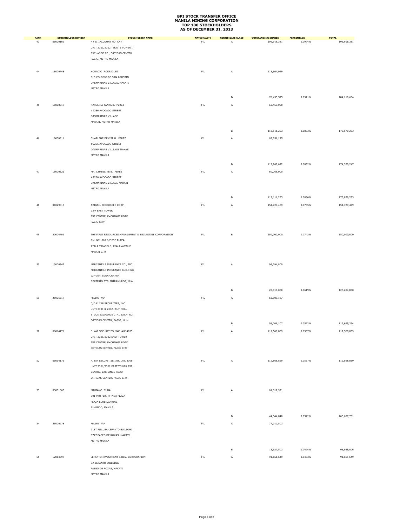| <b>RANK</b> | <b>STOCKHOLDER NUMBER</b> | <b>STOCKHOLDER NAME</b>                                 | <b>NATIONALITY</b> | <b>CERTIFICATE CLASS</b> | <b>OUTSTANDING SHARES</b> | PERCENTAGE | <b>TOTAL</b> |
|-------------|---------------------------|---------------------------------------------------------|--------------------|--------------------------|---------------------------|------------|--------------|
| 43          | 06000109                  | F Y S I ACCOUNT NO. CKY                                 | ${\sf FIL}$        | Α                        | 196,918,381               | 0.0974%    | 196,918,381  |
|             |                           | UNIT 2301/2302 TEKTITE TOWER I                          |                    |                          |                           |            |              |
|             |                           | EXCHANGE RD., ORTIGAS CENTER                            |                    |                          |                           |            |              |
|             |                           | PASIG, METRO MANILA                                     |                    |                          |                           |            |              |
|             |                           |                                                         |                    |                          |                           |            |              |
| 44          | 18000748                  | HORACIO RODRIGUEZ                                       | ${\sf FIL}$        | A                        | 113,664,029               |            |              |
|             |                           | C/O COLEGIO DE SAN AGUSTIN                              |                    |                          |                           |            |              |
|             |                           | DASMARINAS VILLAGE, MAKATI                              |                    |                          |                           |            |              |
|             |                           | METRO MANILA                                            |                    |                          |                           |            |              |
|             |                           |                                                         |                    |                          |                           |            |              |
|             |                           |                                                         |                    | в                        | 70,455,575                | 0.0911%    | 184,119,604  |
| 45          | 16000517                  | KATERINA TANYA B. PEREZ                                 | ${\sf FIL}$        | Α                        | 63,459,000                |            |              |
|             |                           | #2256 AVOCADO STREET                                    |                    |                          |                           |            |              |
|             |                           | DASMARINAS VILLAGE                                      |                    |                          |                           |            |              |
|             |                           | MAKATI, METRO MANILA                                    |                    |                          |                           |            |              |
|             |                           |                                                         |                    |                          |                           |            |              |
|             |                           |                                                         |                    | B                        | 113,111,253               | 0.0873%    | 176,570,253  |
| 46          | 16000511                  | CHARLENE DENISE B. PEREZ                                | <b>FIL</b>         | Α                        | 62,051,175                |            |              |
|             |                           | #2256 AVOCADO STREET                                    |                    |                          |                           |            |              |
|             |                           | DASMARINAS VILLLAGE MAKATI                              |                    |                          |                           |            |              |
|             |                           | METRO MANILA                                            |                    |                          |                           |            |              |
|             |                           |                                                         |                    |                          |                           |            |              |
|             |                           |                                                         |                    | в                        | 112,269,072               | 0.0862%    | 174,320,247  |
| 47          | 16000521                  | MA. CYMBELINE B. PEREZ                                  | ${\sf FIL}$        | Α                        | 60,768,000                |            |              |
|             |                           | #2256 AVOCADO STREET                                    |                    |                          |                           |            |              |
|             |                           | DASMARINAS VILLAGE MAKATI                               |                    |                          |                           |            |              |
|             |                           | METRO MANILA                                            |                    |                          |                           |            |              |
|             |                           |                                                         |                    | В                        | 113,111,253               | 0.0860%    | 173,879,253  |
|             |                           |                                                         |                    |                          |                           |            |              |
| 48          | 01029313                  | ABIGAIL RESOURCES CORP.                                 | ${\sf FIL}$        | A                        | 154,729,479               | 0.0765%    | 154,729,479  |
|             |                           | 23/F EAST TOWER                                         |                    |                          |                           |            |              |
|             |                           | PSE CENTRE, EXCHANGE ROAD                               |                    |                          |                           |            |              |
|             |                           | PASIG CITY                                              |                    |                          |                           |            |              |
|             |                           |                                                         |                    |                          |                           |            |              |
| 49          | 20004709                  | THE FIRST RESOURCES MANAGEMENT & SECURITIES CORPORATION | ${\sf FIL}$        | в                        | 150,000,000               | 0.0742%    | 150,000,000  |
|             |                           | RM. 801-802 8/F PSE PLAZA                               |                    |                          |                           |            |              |
|             |                           | AYALA TRIANGLE, AYALA AVENUE                            |                    |                          |                           |            |              |
|             |                           | MAKATI CITY                                             |                    |                          |                           |            |              |
|             |                           |                                                         |                    |                          |                           |            |              |
| 50          | 13000542                  | MERCANTILE INSURANCE CO., INC.                          | FL                 | Α                        | 96,294,800                |            |              |
|             |                           | MERCANTILE INSURANCE BUILDING                           |                    |                          |                           |            |              |
|             |                           | 2/F GEN. LUNA CORNER                                    |                    |                          |                           |            |              |
|             |                           | BEATERIO STS. INTRAMUROS, MLA.                          |                    |                          |                           |            |              |
|             |                           |                                                         |                    |                          |                           |            |              |
|             |                           |                                                         |                    | В                        | 28,910,000                | 0.0619%    | 125,204,800  |
| 51          | 25005517                  | FELIPE YAP                                              | FIL                | Α                        | 62,989,187                |            |              |
|             |                           | C/O F. YAP SECURITIES, INC.                             |                    |                          |                           |            |              |
|             |                           | UNTI 2301 & 2302, 23/F PHIL.                            |                    |                          |                           |            |              |
|             |                           | STOCK EXCHANGE CTR., EXCH. RD.                          |                    |                          |                           |            |              |
|             |                           | ORTIGAS CENTER, PASIG, M. M.                            |                    |                          |                           |            |              |
|             |                           |                                                         |                    | в                        | 56,706,107                | 0.0592%    | 119,695,294  |
| 52          | 06014171                  | F. YAP SECURITIES, INC. A/C 4035                        | ${\sf FIL}$        | Α                        | 112,568,859               | 0.0557%    | 112,568,859  |
|             |                           | UNIT 2301/2302 EAST TOWER                               |                    |                          |                           |            |              |
|             |                           | PSE CENTRE, EXCHANGE ROAD                               |                    |                          |                           |            |              |
|             |                           | ORTIGAS CENTER, PASIG CITY                              |                    |                          |                           |            |              |
|             |                           |                                                         |                    |                          |                           |            |              |
| 52          | 06014173                  | F. YAP SECURITIES, INC. A/C 3305                        | $\mathsf{FIL}$     | A                        | 112,568,859               | 0.0557%    | 112,568,859  |
|             |                           | UNIT 2301/2302 EAST TOWER PSE                           |                    |                          |                           |            |              |
|             |                           | CENTRE, EXCHANGE ROAD                                   |                    |                          |                           |            |              |
|             |                           |                                                         |                    |                          |                           |            |              |
|             |                           | ORTIGAS CENTER, PASIG CITY                              |                    |                          |                           |            |              |
|             |                           |                                                         |                    |                          |                           |            |              |
| 53          | 03001065                  | MARIANO CHUA                                            | FL                 | Α                        | 61,312,921                |            |              |
|             |                           | 901 9TH FLR. TYTANA PLAZA                               |                    |                          |                           |            |              |
|             |                           | PLAZA LORENZO RUIZ                                      |                    |                          |                           |            |              |
|             |                           | BINONDO, MANILA                                         |                    |                          |                           |            |              |
|             |                           |                                                         |                    | в                        | 44,344,840                | 0.0522%    | 105,657,761  |
|             |                           |                                                         |                    |                          |                           |            |              |
| 54          | 25000278                  | FELIPE YAP                                              | FL                 | A                        | 77,010,503                |            |              |
|             |                           | 21ST FLR., BA-LEPANTO BUILDING                          |                    |                          |                           |            |              |
|             |                           | 8747 PASEO DE ROXAS, MAKATI                             |                    |                          |                           |            |              |
|             |                           | METRO MANILA                                            |                    |                          |                           |            |              |
|             |                           |                                                         |                    | в                        | 18,927,503                | 0.0474%    | 95,938,006   |
| 55          | 12014597                  | LEPANTO INVESTMENT & DEV. CORPORATION                   | $\mathsf{FL}$      | A                        |                           | 0.0453%    |              |
|             |                           |                                                         |                    |                          | 91,661,649                |            | 91,661,649   |
|             |                           | <b>BA-LEPANTO BUILDING</b>                              |                    |                          |                           |            |              |
|             |                           | PASEO DE ROXAS, MAKATI<br>METRO MANILA                  |                    |                          |                           |            |              |
|             |                           |                                                         |                    |                          |                           |            |              |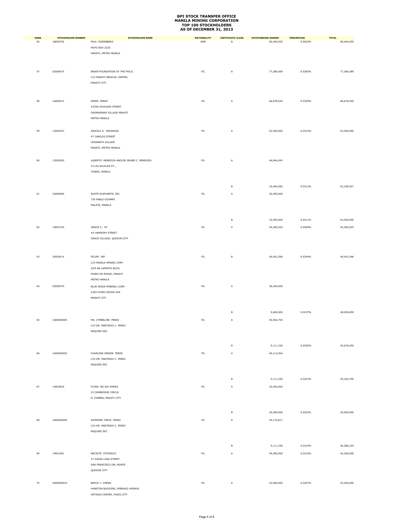| <b>RANK</b> | <b>STOCKHOLDER NUMBER</b> | <b>STOCKHOLDER NAME</b>                             | <b>NATIONALITY</b> | <b>CERTIFICATE CLASS</b> | <b>OUTSTANDING SHARES</b> | <b>PERCENTAGE</b> | <b>TOTAL</b> |
|-------------|---------------------------|-----------------------------------------------------|--------------------|--------------------------|---------------------------|-------------------|--------------|
| 56          | 18000792                  | PAUL ROSENBERG                                      | AMN                | $\,$ B                   | 85,494,935                | 0.0423%           | 85,494,935   |
|             |                           | MCPO BOX 2220                                       |                    |                          |                           |                   |              |
|             |                           | MAKATI, METRO MANILA                                |                    |                          |                           |                   |              |
|             |                           |                                                     |                    |                          |                           |                   |              |
|             |                           |                                                     |                    |                          |                           |                   |              |
| 57          | 02000475                  | BRAIN FOUNDATION OF THE PHILS.                      | ${\sf FIL}$        | A                        | 77,286,489                | 0.0382%           | 77,286,489   |
|             |                           | C/O MAKATI MEDICAL CENTER,<br>MAKATI CITY           |                    |                          |                           |                   |              |
|             |                           |                                                     |                    |                          |                           |                   |              |
|             |                           |                                                     |                    |                          |                           |                   |              |
| 58          | 16000512                  | DENIS PEREZ                                         | ${\sf FIL}$        |                          | 66,678,540                | 0.0329%           | 66,678,540   |
|             |                           | #2256 AVOCADO STREET                                |                    | A                        |                           |                   |              |
|             |                           | DASMARINAS VILLAGE MAKATI                           |                    |                          |                           |                   |              |
|             |                           | METRO MANILA                                        |                    |                          |                           |                   |              |
|             |                           |                                                     |                    |                          |                           |                   |              |
| 59          | 13000323                  | ARACELI A. MACARAIG                                 | ${\sf FIL}$        | A                        | 63,560,000                | 0.0314%           | 63,560,000   |
|             |                           | 47 CABILDO STREET                                   |                    |                          |                           |                   |              |
|             |                           | URDANETA VILLAGE                                    |                    |                          |                           |                   |              |
|             |                           | MAKATI, METRO MANILA                                |                    |                          |                           |                   |              |
|             |                           |                                                     |                    |                          |                           |                   |              |
| 60          | 13000520                  | ALBERTO MENDOZA AND/OR JEANIE C. MENDOZA            | ${\sf FIL}$        | A                        | 46,844,045                |                   |              |
|             |                           | #1145 AGUILAR ST.,                                  |                    |                          |                           |                   |              |
|             |                           | TONDO, MANILA                                       |                    |                          |                           |                   |              |
|             |                           |                                                     |                    |                          |                           |                   |              |
|             |                           |                                                     |                    | В                        | 16,494,382                | 0.0313%           | 63,338,427   |
|             |                           | WHITE ELEPHANTS, INC.                               |                    |                          |                           |                   |              |
| 61          | 23000056                  | 730 PABLO OCAMPO                                    | ${\sf FIL}$        | A                        | 52,500,000                |                   |              |
|             |                           | MALATE, MANILA                                      |                    |                          |                           |                   |              |
|             |                           |                                                     |                    |                          |                           |                   |              |
|             |                           |                                                     |                    |                          |                           |                   |              |
|             |                           |                                                     |                    | $\sf B$                  | 10,500,000                | 0.0311%           | 63,000,000   |
| 62          | 19001343                  | JANICE C. SY                                        | ${\sf FIL}$        | Α                        | 54,382,022                | 0.0269%           | 54,382,022   |
|             |                           | #5 HARMONY STREET                                   |                    |                          |                           |                   |              |
|             |                           | GRACE VILLAGE, QUEZON CITY                          |                    |                          |                           |                   |              |
|             |                           |                                                     |                    |                          |                           |                   |              |
|             |                           |                                                     |                    |                          |                           |                   |              |
| 63          | 25005514                  | FELIPE YAP                                          | ${\sf FIL}$        | $\,$ B                   | 49,401,596                | 0.0244%           | 49,401,596   |
|             |                           | C/O MANILA MINING CORP.                             |                    |                          |                           |                   |              |
|             |                           | 20/F BA-LEPANTO BLDG.                               |                    |                          |                           |                   |              |
|             |                           | PASEO DE ROXAS, MAKATI<br>METRO MANILA              |                    |                          |                           |                   |              |
|             |                           |                                                     |                    |                          |                           |                   |              |
| 64          | 02000370                  | BLUE RIDGE MINERAL CORP.<br>2255 CHINO ROCES AVE.   | ${\sf FIL}$        | A                        | 38,400,000                |                   |              |
|             |                           | MAKATI CITY                                         |                    |                          |                           |                   |              |
|             |                           |                                                     |                    |                          |                           |                   |              |
|             |                           |                                                     |                    |                          |                           |                   |              |
|             |                           |                                                     |                    | $\sf B$                  | 9,600,000                 | 0.0237%           | 48,000,000   |
| 65          | 1600000005                | MA. CYMBELINE PEREZ                                 | ${\sf FIL}$        | Α                        | 40,564,704                |                   |              |
|             |                           | C/O DR. MARTESIO C. PEREZ                           |                    |                          |                           |                   |              |
|             |                           | REQUIRE SSC                                         |                    |                          |                           |                   |              |
|             |                           |                                                     |                    |                          |                           |                   |              |
|             |                           |                                                     |                    | В                        | 5,111,336                 | 0.0226%           | 45,676,040   |
| 66          | 1600000003                | CHARLENE DENISE PEREZ                               | ${\sf FIL}$        | A                        | 40,113,364                |                   |              |
|             |                           | C/O DR. MARTESIO C. PEREZ                           |                    |                          |                           |                   |              |
|             |                           | REQUIRE SSC                                         |                    |                          |                           |                   |              |
|             |                           |                                                     |                    |                          |                           |                   |              |
|             |                           |                                                     |                    |                          |                           |                   |              |
|             |                           |                                                     |                    | B                        | 5,111,336                 | 0.0223%           | 45,224,700   |
| 67          | 14003635                  | FLORA NG SIU KHENG                                  | ${\sf FIL}$        | A                        | 20,000,000                |                   |              |
|             |                           | 23 CAMBRIDGE CIRCLE                                 |                    |                          |                           |                   |              |
|             |                           | N. FORBES, MAKATI CITY                              |                    |                          |                           |                   |              |
|             |                           |                                                     |                    |                          |                           |                   |              |
|             |                           |                                                     |                    | $\,$ B                   | 25,000,000                | 0.0222%           | 45,000,000   |
| 68          | 1600000004                | KATERINE TANYA PEREZ                                | ${\sf FIL}$        | Α                        | 39,174,817                |                   |              |
|             |                           | C/O DR. MARTESIO C. PEREZ                           |                    |                          |                           |                   |              |
|             |                           | REQUIRE SSC                                         |                    |                          |                           |                   |              |
|             |                           |                                                     |                    |                          |                           |                   |              |
|             |                           |                                                     |                    |                          |                           |                   |              |
|             |                           |                                                     |                    | B                        | 5,111,336                 | 0.0219%           | 44,286,153   |
| 69          | 19001401                  | NECISTO SYTENGCO                                    | ${\sf FIL}$        | Α                        | 44,280,000                | 0.0219%           | 44,280,000   |
|             |                           | 37 JUDGE LUNA STREET                                |                    |                          |                           |                   |              |
|             |                           | SAN FRANCISCO DEL MONTE                             |                    |                          |                           |                   |              |
|             |                           | QUEZON CITY                                         |                    |                          |                           |                   |              |
|             |                           |                                                     |                    |                          |                           |                   |              |
| 70          | 0300000019                | BERCK Y. CHENG<br>HANSTON BUILDING, EMERALD AVENUE, | ${\sf FIL}$        | Α                        | 42,000,000                | 0.0207%           | 42,000,000   |
|             |                           | ORTIGAS CENTER, PASIG CITY                          |                    |                          |                           |                   |              |
|             |                           |                                                     |                    |                          |                           |                   |              |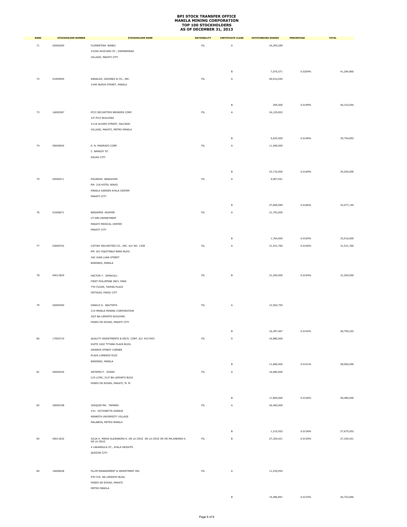| <b>RANK</b> | <b>STOCKHOLDER NUMBER</b> | <b>STOCKHOLDER NAME</b>                                              | <b>NATIONALITY</b> | <b>CERTIFICATE CLASS</b> | <b>OUTSTANDING SHARES</b> | PERCENTAGE | <b>TOTAL</b> |
|-------------|---------------------------|----------------------------------------------------------------------|--------------------|--------------------------|---------------------------|------------|--------------|
| $71\,$      | 02000209                  | FLORENTINA BANEZ                                                     | ${\sf FIL}$        | Α                        | 34,209,289                |            |              |
|             |                           | #2256 AVOCADO ST., DASMARINAS                                        |                    |                          |                           |            |              |
|             |                           | VILLAGE, MAKATI CITY                                                 |                    |                          |                           |            |              |
|             |                           |                                                                      |                    |                          |                           |            |              |
|             |                           |                                                                      |                    |                          |                           |            |              |
|             |                           |                                                                      |                    | в                        | 7,075,571                 | 0.0204%    | 41,284,860   |
| $72\,$      | 01000959                  | ANSALDO, GODINEZ & CO., INC.                                         | ${\sf FIL}$        | Α                        | 40,014,544                |            |              |
|             |                           | #340 NUEVA STREET, MANILA                                            |                    |                          |                           |            |              |
|             |                           |                                                                      |                    |                          |                           |            |              |
|             |                           |                                                                      |                    |                          |                           |            |              |
|             |                           |                                                                      |                    | В                        | 295,500                   | 0.0199%    | 40,310,044   |
| 73          | 16000387                  | PCCI SECURITIES BROKERS CORP.                                        | $\mathsf{FL}$      | Α                        | 34,129,852                |            |              |
|             |                           | 3/F PCCI BUILDING                                                    |                    |                          |                           |            |              |
|             |                           | #118 ALFARO STREET, SALCEDO                                          |                    |                          |                           |            |              |
|             |                           | VILLAGE, MAKATI, METRO MANILA                                        |                    |                          |                           |            |              |
|             |                           |                                                                      |                    |                          |                           |            |              |
|             |                           |                                                                      |                    | в                        | 5,625,000                 | 0.0196%    | 39,754,852   |
| 74          | 05000054                  | E. N. MADRAZO CORP.                                                  | FL                 | Α                        | 11,490,000                |            |              |
|             |                           | C. BANGOY ST.                                                        |                    |                          |                           |            |              |
|             |                           | DAVAO CITY                                                           |                    |                          |                           |            |              |
|             |                           |                                                                      |                    |                          |                           |            |              |
|             |                           |                                                                      |                    |                          |                           |            |              |
|             |                           |                                                                      |                    | В                        | 22,710,000                | 0.0169%    | 34,200,000   |
| 75          | 02000211                  | EDUARDO BANGAYAN                                                     | ${\sf FIL}$        | Α                        | 5,907,551                 |            |              |
|             |                           | RM. 218 HOTEL NIKKO                                                  |                    |                          |                           |            |              |
|             |                           | MANILA GARDEN AYALA CENTER                                           |                    |                          |                           |            |              |
|             |                           | MAKATI CITY                                                          |                    |                          |                           |            |              |
|             |                           |                                                                      |                    | в                        | 27,669,589                | 0.0166%    | 33,577,140   |
|             |                           |                                                                      |                    |                          |                           |            |              |
| 76          | 01000671                  | BENJAMIN ADAPON                                                      | $\mathsf{FL}$      | Α                        | 31,752,000                |            |              |
|             |                           | CT-MRI DEPARTMENT                                                    |                    |                          |                           |            |              |
|             |                           | MAKATI MEDICAL CENTER                                                |                    |                          |                           |            |              |
|             |                           | MAKATI CITY                                                          |                    |                          |                           |            |              |
|             |                           |                                                                      |                    | в                        | 1,764,000                 | 0.0165%    | 33,516,000   |
| $77\,$      | 03000702                  | CATHAY SECURITIES CO., INC. A/C NO. 1358                             | ${\sf FIL}$        | Α                        | 31,531,760                | 0.0156%    | 31,531,760   |
|             |                           | RM. 621 EQUITABLE BANK BLDG.                                         |                    |                          |                           |            |              |
|             |                           | 262 JUAN LUNA STREET                                                 |                    |                          |                           |            |              |
|             |                           | BINONDO, MANILA                                                      |                    |                          |                           |            |              |
|             |                           |                                                                      |                    |                          |                           |            |              |
| 78          | 04011829                  | HECTOR Y. DIMACALI                                                   | FL                 | В                        | 31,200,000                | 0.0154%    | 31,200,000   |
|             |                           | FIRST PHILIPPINE IND'L PARK                                          |                    |                          |                           |            |              |
|             |                           | 7TH FLOOR, TAIPAN PLACE                                              |                    |                          |                           |            |              |
|             |                           | ORTIGAS, PASIG CITY                                                  |                    |                          |                           |            |              |
|             |                           |                                                                      |                    |                          |                           |            |              |
|             |                           |                                                                      |                    |                          |                           |            |              |
| 79          | 02000290                  | DANILO G. BAUTISTA                                                   | FL                 | Α                        | 12,502,755                |            |              |
|             |                           | C/O MANILA MINING CORPORATION                                        |                    |                          |                           |            |              |
|             |                           | 20/F BA-LEPANTO BUILDING                                             |                    |                          |                           |            |              |
|             |                           | PASEO DE ROXAS, MAKATI CITY                                          |                    |                          |                           |            |              |
|             |                           |                                                                      |                    | в                        | 16,287,467                | 0.0142%    | 28,790,222   |
|             | 17002719                  |                                                                      | ${\sf FIL}$        |                          | 16,880,000                |            |              |
| 80          |                           | QUALITY INVESTMENTS & SECS. CORP. A/C #017003                        |                    | Α                        |                           |            |              |
|             |                           | SUITE 1602 TYTANA PLAZA BLDG.<br>ORIENTE STREET CORNER               |                    |                          |                           |            |              |
|             |                           | PLAZA LORENZO RUIZ                                                   |                    |                          |                           |            |              |
|             |                           | BINONDO, MANILA                                                      |                    |                          |                           |            |              |
|             |                           |                                                                      |                    | В                        | 11,680,000                | 0.0141%    | 28,560,000   |
| $^{\rm 81}$ | 04000244                  | ARTEMIO F. DISINI                                                    | $\mathsf{FL}$      | A                        | 16,680,000                |            |              |
|             |                           | C/O LCMC, 21/F BA-LEPANTO BLDG                                       |                    |                          |                           |            |              |
|             |                           | PASEO DE ROXAS, MAKATI, M. M.                                        |                    |                          |                           |            |              |
|             |                           |                                                                      |                    |                          |                           |            |              |
|             |                           |                                                                      |                    |                          |                           |            |              |
|             |                           |                                                                      |                    | в                        | 11,800,000                | 0.0140%    | 28,480,000   |
| 82          | 20000198                  | JOAQUIN MA. TAMANO                                                   | FL                 | A                        | 26,460,000                |            |              |
|             |                           | #31 VICTONETTA AVENUE                                                |                    |                          |                           |            |              |
|             |                           | ARANETA UNIVERSITY VILLAGE                                           |                    |                          |                           |            |              |
|             |                           | MALABON, METRO MANILA                                                |                    |                          |                           |            |              |
|             |                           |                                                                      |                    |                          |                           |            |              |
|             |                           |                                                                      |                    | в                        | 1,215,052                 | 0.0136%    | 27,675,052   |
| 83          | 04011832                  | JULIA K. MARIA ALESANDRA K. DE LA CRUZ DE LA CRUZ OR OR MA.ANDREA K. | ${\sf FIL}$        | В                        | 27,329,421                | 0.0135%    | 27,329,421   |
|             |                           | DE LA CRUZ                                                           |                    |                          |                           |            |              |
|             |                           | 4 LAKANDULA ST., AYALA HEIGHTS                                       |                    |                          |                           |            |              |
|             |                           | QUEZON CITY                                                          |                    |                          |                           |            |              |
|             |                           |                                                                      |                    |                          |                           |            |              |
|             |                           |                                                                      |                    |                          |                           |            |              |
| 84          | 16000638                  | PLLIM MANAGEMENT & INVESTMENT INC.                                   | FL                 | A                        | 11,235,955                |            |              |
|             |                           | 9TH FLR. BA-LEPANTO BLDG.                                            |                    |                          |                           |            |              |
|             |                           | PASEO DE ROXAS, MAKATI                                               |                    |                          |                           |            |              |
|             |                           | METRO MANILA                                                         |                    |                          |                           |            |              |
|             |                           |                                                                      |                    | B                        | 15.486.891                | 0.0132%    | 26,722,846   |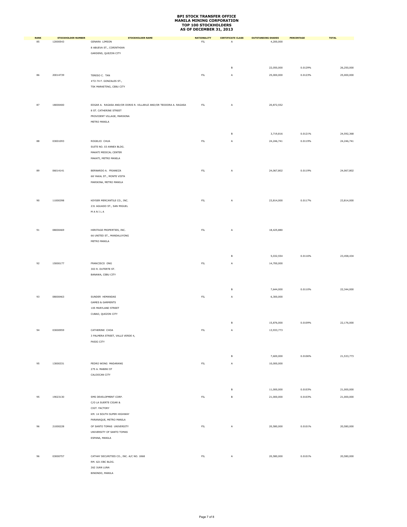| <b>RANK</b> | <b>STOCKHOLDER NUMBER</b> | <b>STOCKHOLDER NAME</b>                                           | <b>NATIONALITY</b> | <b>CERTIFICATE CLASS</b> | <b>OUTSTANDING SHARES</b> | PERCENTAGE | <b>TOTAL</b> |
|-------------|---------------------------|-------------------------------------------------------------------|--------------------|--------------------------|---------------------------|------------|--------------|
| 85          | 12000543                  | <b>GENARA LIMSON</b>                                              | $\mathsf{FIL}$     | Α                        | 4,200,000                 |            |              |
|             |                           | 8 ABUEVA ST., CORINTHIAN<br>GARDENS, QUEZON CITY                  |                    |                          |                           |            |              |
|             |                           |                                                                   |                    |                          |                           |            |              |
|             |                           |                                                                   |                    |                          |                           |            |              |
|             |                           |                                                                   |                    | в                        | 22,050,000                | 0.0129%    | 26,250,000   |
| 86          | 20014739                  | TERESO C. TAN                                                     | ${\sf FIL}$        | Α                        | 25,000,000                | 0.0123%    | 25,000,000   |
|             |                           | #72-74 F. GONZALES ST.,                                           |                    |                          |                           |            |              |
|             |                           | TSK MARKETING, CEBU CITY                                          |                    |                          |                           |            |              |
|             |                           |                                                                   |                    |                          |                           |            |              |
| 87          | 18000400                  | EDGAR A. RAGASA AND/OR DORIS R. VILLARUZ AND/OR TEODORA A. RAGASA | ${\sf FIL}$        | A                        | 20,872,552                |            |              |
|             |                           | 8 ST. CATHERINE STREET                                            |                    |                          |                           |            |              |
|             |                           | PROVIDENT VILLAGE, MARIKINA                                       |                    |                          |                           |            |              |
|             |                           | METRO MANILA                                                      |                    |                          |                           |            |              |
|             |                           |                                                                   |                    |                          |                           |            |              |
|             |                           |                                                                   |                    | в                        | 3,719,816                 | 0.0121%    | 24,592,368   |
| 88          | 03001093                  | ROGELIO CHUA                                                      | ${\sf FIL}$        | A                        | 24, 246, 741              | 0.0119%    | 24, 246, 741 |
|             |                           | SUITE NO. 03 ANNEX BLDG.                                          |                    |                          |                           |            |              |
|             |                           | MAKATI MEDICAL CENTER                                             |                    |                          |                           |            |              |
|             |                           | MAKATI, METRO MANILA                                              |                    |                          |                           |            |              |
| 89          | 06014141                  | BERNARDO A. FRIANEZA                                              | ${\sf FIL}$        | Α                        | 24,067,802                | 0.0119%    | 24,067,802   |
|             |                           | 68 YAKAL ST., MONTE VISTA                                         |                    |                          |                           |            |              |
|             |                           | MARIKINA, METRO MANILA                                            |                    |                          |                           |            |              |
|             |                           |                                                                   |                    |                          |                           |            |              |
|             |                           |                                                                   |                    |                          |                           |            |              |
| 90          | 11000398                  | KEYSER MERCANTILE CO., INC.                                       | FL                 | Α                        | 23,814,000                | 0.0117%    | 23,814,000   |
|             |                           | 231 AGUADO ST., SAN MIGUEL                                        |                    |                          |                           |            |              |
|             |                           | $M$ A $N$ I L A                                                   |                    |                          |                           |            |              |
|             |                           |                                                                   |                    |                          |                           |            |              |
|             |                           |                                                                   |                    |                          |                           |            |              |
| 91          | 08000469                  | HERITAGE PROPERTIES, INC.                                         | ${\sf FIL}$        | Α                        | 18,425,880                |            |              |
|             |                           | 66 UNITED ST., MANDALUYONG                                        |                    |                          |                           |            |              |
|             |                           | METRO MANILA                                                      |                    |                          |                           |            |              |
|             |                           |                                                                   |                    |                          |                           |            |              |
|             |                           |                                                                   |                    | в                        | 5,032,554                 | 0.0116%    | 23,458,434   |
| 92          | 15000177                  | FRANCISCO ONG                                                     | FL                 | A                        | 14,700,000                |            |              |
|             |                           | 303 R. DUTERTE ST.                                                |                    |                          |                           |            |              |
|             |                           | BANAWA, CEBU CITY                                                 |                    |                          |                           |            |              |
|             |                           |                                                                   |                    |                          |                           |            |              |
|             |                           |                                                                   |                    | в                        | 7,644,000                 | 0.0110%    | 22,344,000   |
| 93          | 08000463                  | SUNDER HEMANDAS                                                   | ${\sf FIL}$        | A                        | 6,300,000                 |            |              |
|             |                           | <b>GAMES &amp; GARMENTS</b>                                       |                    |                          |                           |            |              |
|             |                           | 105 MARYLAND STREET                                               |                    |                          |                           |            |              |
|             |                           | CUBAO, QUEZON CITY                                                |                    |                          |                           |            |              |
|             |                           |                                                                   |                    | в                        | 15,876,000                | 0.0109%    | 22,176,000   |
| 94          | 03000959                  | CATHERINE CHOA                                                    | ${\sf FIL}$        | A                        | 13,933,773                |            |              |
|             |                           | 3 PALMERA STREET, VALLE VERDE 4,                                  |                    |                          |                           |            |              |
|             |                           | PASIG CITY                                                        |                    |                          |                           |            |              |
|             |                           |                                                                   |                    |                          |                           |            |              |
|             |                           |                                                                   |                    | в                        | 7,600,000                 | 0.0106%    | 21,533,773   |
| 95          | 13000331                  | PEDRO WONG MADARANG                                               | $\mathsf{FL}$      | A                        | 10,000,000                |            |              |
|             |                           | 275 A. MABINI ST                                                  |                    |                          |                           |            |              |
|             |                           | CALOOCAN CITY                                                     |                    |                          |                           |            |              |
|             |                           |                                                                   |                    |                          |                           |            |              |
|             |                           |                                                                   |                    | $\mathsf B$              | 11,000,000                | 0.0103%    | 21,000,000   |
| 95          | 19023130                  | SMS DEVELOPMENT CORP.                                             | $\mathsf{FIL}$     | $\mathsf B$              | 21,000,000                | 0.0103%    | 21,000,000   |
|             |                           | C/O LA SUERTE CIGAR &                                             |                    |                          |                           |            |              |
|             |                           | CIGT. FACTORY                                                     |                    |                          |                           |            |              |
|             |                           | KM. 14 SOUTH SUPER HIGHWAY                                        |                    |                          |                           |            |              |
|             |                           | PARANAQUE, METRO MANILA                                           |                    |                          |                           |            |              |
| 96          | 21000228                  | OF SANTO TOMAS UNIVERSITY                                         | ${\sf FIL}$        | $\mathsf A$              | 20,580,000                | 0.0101%    | 20,580,000   |
|             |                           | UNIVERSITY OF SANTO TOMAS                                         |                    |                          |                           |            |              |
|             |                           | ESPANA, MANILA                                                    |                    |                          |                           |            |              |
|             |                           |                                                                   |                    |                          |                           |            |              |
| 96          | 03000757                  | CATHAY SECURITIES CO., INC. A/C NO. 1868                          | FL                 | Α                        | 20,580,000                | 0.0101%    | 20,580,000   |
|             |                           | RM. 621 EBC BLDG.                                                 |                    |                          |                           |            |              |
|             |                           | 262 JUAN LUNA                                                     |                    |                          |                           |            |              |
|             |                           | BINONDO, MANILA                                                   |                    |                          |                           |            |              |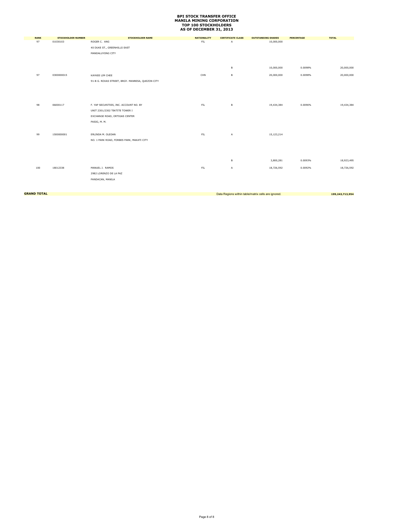| <b>RANK</b> | <b>STOCKHOLDER NUMBER</b> | <b>STOCKHOLDER NAME</b>                          | <b>NATIONALITY</b> | <b>CERTIFICATE CLASS</b> | <b>OUTSTANDING SHARES</b> | <b>PERCENTAGE</b> | <b>TOTAL</b> |
|-------------|---------------------------|--------------------------------------------------|--------------------|--------------------------|---------------------------|-------------------|--------------|
| 97          | 01030103                  | ROGER C. ANG                                     | FIL                | Α                        | 10,000,000                |                   |              |
|             |                           | 40 DUKE ST., GREENHILLS EAST                     |                    |                          |                           |                   |              |
|             |                           | MANDALUYONG CITY                                 |                    |                          |                           |                   |              |
|             |                           |                                                  |                    |                          |                           |                   |              |
|             |                           |                                                  |                    |                          |                           |                   |              |
|             |                           |                                                  |                    | В                        | 10,000,000                | 0.0098%           | 20,000,000   |
| 97          | 0300000015                | KAYKEE LIM CHEE                                  | CHN                | В                        | 20,000,000                | 0.0098%           | 20,000,000   |
|             |                           | 91-B G. ROXAS STREET, BRGY. MANRESA, QUEZON CITY |                    |                          |                           |                   |              |
|             |                           |                                                  |                    |                          |                           |                   |              |
|             |                           |                                                  |                    |                          |                           |                   |              |
|             |                           |                                                  |                    |                          |                           |                   |              |
| 98          | 06000117                  | F. YAP SECURITIES, INC. ACCOUNT NO. BY           | FL                 | В                        | 19,434,384                | 0.0096%           | 19,434,384   |
|             |                           | UNIT 2301/2302 TEKTITE TOWER I                   |                    |                          |                           |                   |              |
|             |                           | EXCHANGE ROAD, ORTIGAS CENTER                    |                    |                          |                           |                   |              |
|             |                           | PASIG, M. M.                                     |                    |                          |                           |                   |              |
|             |                           |                                                  |                    |                          |                           |                   |              |
|             |                           |                                                  |                    |                          |                           |                   |              |
| 99          | 1500000001                | ERLINDA M. OLEDAN                                | FL                 | А                        | 15,123,214                |                   |              |
|             |                           | NO. 1 PARK ROAD, FORBES PARK, MAKATI CITY        |                    |                          |                           |                   |              |
|             |                           |                                                  |                    |                          |                           |                   |              |
|             |                           |                                                  |                    |                          |                           |                   |              |
|             |                           |                                                  |                    | В                        | 3,800,281                 | 0.0093%           | 18,923,495   |
|             |                           |                                                  |                    |                          |                           |                   |              |
| 100         | 18012338                  | MANUEL J. RAMOS                                  | FIL                | Α                        | 18,726,592                | 0.0092%           | 18,726,592   |
|             |                           | 2982 LORENZO DE LA PAZ                           |                    |                          |                           |                   |              |
|             |                           | PANDACAN, MANILA                                 |                    |                          |                           |                   |              |
|             |                           |                                                  |                    |                          |                           |                   |              |

**GRAND TOTAL** 199,243,713,954<br> **GRAND TOTAL** 199,243,713,954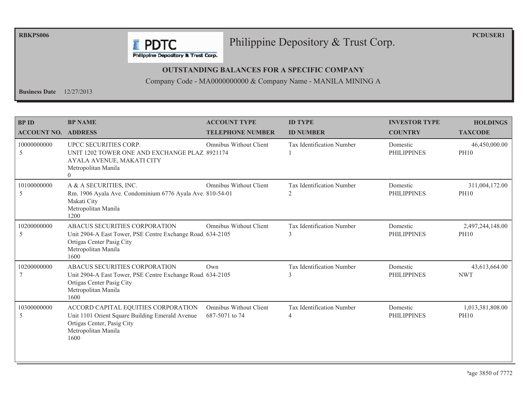**RBKPS006** 

**PCDUSER1** 

#### Philippine Depository & Trust Corp.

Philippine Depository & Trust Corp.

**F** PDTC

#### **OUTSTANDING BALANCES FOR A SPECIFIC COMPANY**

Company Code - MA0000000000 & Company Name - MANILA MINING A

**Business Date**  $12/27/2013$ 

| <b>BP ID</b><br><b>ACCOUNT NO. ADDRESS</b> | <b>BP NAME</b>                                                                                                                                          | <b>ACCOUNT TYPE</b><br><b>TELEPHONE NUMBER</b>  | <b>ID TYPE</b><br><b>ID NUMBER</b>          | <b>INVESTOR TYPE</b><br><b>COUNTRY</b> | <b>HOLDINGS</b><br><b>TAXCODE</b> |
|--------------------------------------------|---------------------------------------------------------------------------------------------------------------------------------------------------------|-------------------------------------------------|---------------------------------------------|----------------------------------------|-----------------------------------|
| 10000000000<br>5                           | UPCC SECURITIES CORP.<br>UNIT 1202 TOWER ONE AND EXCHANGE PLAZ 8921174<br>AYALA AVENUE, MAKATI CITY<br>Metropolitan Manila<br>$\Omega$                  | Omnibus Without Client                          | <b>Tax Identification Number</b>            | Domestic<br><b>PHILIPPINES</b>         | 46,450,000.00<br><b>PH10</b>      |
| 10100000000<br>5                           | A & A SECURITIES, INC.<br>Rm. 1906 Ayala Ave. Condominium 6776 Ayala Ave. 810-54-01<br>Makati City<br>Metropolitan Manila<br>1200                       | Omnibus Without Client                          | Tax Identification Number<br>2              | Domestic<br><b>PHILIPPINES</b>         | 311,004,172.00<br><b>PH10</b>     |
| 10200000000<br>5                           | ABACUS SECURITIES CORPORATION<br>Unit 2904-A East Tower, PSE Centre Exchange Road 634-2105<br>Ortigas Center Pasig City<br>Metropolitan Manila<br>1600  | Omnibus Without Client                          | Tax Identification Number<br>$\mathcal{E}$  | Domestic<br><b>PHILIPPINES</b>         | 2,497,244,148.00<br><b>PH10</b>   |
| 10200000000                                | ABACUS SECURITIES CORPORATION<br>Unit 2904-A East Tower, PSE Centre Exchange Road. 634-2105<br>Ortigas Center Pasig City<br>Metropolitan Manila<br>1600 | Own                                             | Tax Identification Number                   | Domestic<br><b>PHILIPPINES</b>         | 43,613,664.00<br><b>NWT</b>       |
| 10300000000<br>5                           | ACCORD CAPITAL EQUITIES CORPORATION<br>Unit 1101 Orient Square Building Emerald Avenue<br>Ortigas Center, Pasig City<br>Metropolitan Manila<br>1600     | <b>Omnibus Without Client</b><br>687-5071 to 74 | Tax Identification Number<br>$\overline{4}$ | Domestic<br><b>PHILIPPINES</b>         | 1,013,381,808.00<br><b>PH10</b>   |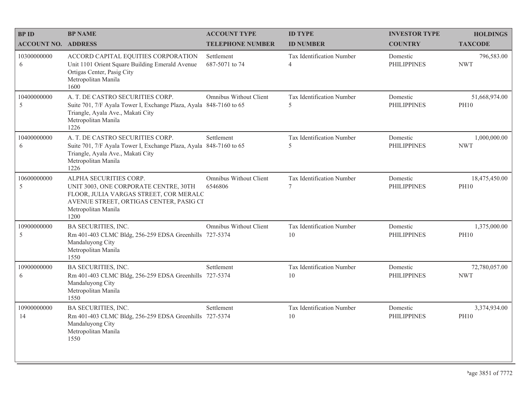| <b>BP ID</b>               | <b>BP NAME</b>                                                                                                                                                                      | <b>ACCOUNT TYPE</b>               | <b>ID TYPE</b>                      | <b>INVESTOR TYPE</b>           | <b>HOLDINGS</b>              |
|----------------------------|-------------------------------------------------------------------------------------------------------------------------------------------------------------------------------------|-----------------------------------|-------------------------------------|--------------------------------|------------------------------|
| <b>ACCOUNT NO. ADDRESS</b> |                                                                                                                                                                                     | <b>TELEPHONE NUMBER</b>           | <b>ID NUMBER</b>                    | <b>COUNTRY</b>                 | <b>TAXCODE</b>               |
| 10300000000<br>6           | ACCORD CAPITAL EQUITIES CORPORATION<br>Unit 1101 Orient Square Building Emerald Avenue<br>Ortigas Center, Pasig City<br>Metropolitan Manila<br>1600                                 | Settlement<br>687-5071 to 74      | Tax Identification Number<br>4      | Domestic<br><b>PHILIPPINES</b> | 796,583.00<br><b>NWT</b>     |
| 10400000000<br>5           | A. T. DE CASTRO SECURITIES CORP.<br>Suite 701, 7/F Ayala Tower I, Exchange Plaza, Ayala 848-7160 to 65<br>Triangle, Ayala Ave., Makati City<br>Metropolitan Manila<br>1226          | Omnibus Without Client            | Tax Identification Number<br>5      | Domestic<br><b>PHILIPPINES</b> | 51,668,974.00<br><b>PH10</b> |
| 10400000000<br>6           | A. T. DE CASTRO SECURITIES CORP.<br>Suite 701, 7/F Ayala Tower I, Exchange Plaza, Ayala 848-7160 to 65<br>Triangle, Ayala Ave., Makati City<br>Metropolitan Manila<br>1226          | Settlement                        | Tax Identification Number<br>5      | Domestic<br><b>PHILIPPINES</b> | 1,000,000.00<br><b>NWT</b>   |
| 10600000000<br>5           | ALPHA SECURITIES CORP.<br>UNIT 3003, ONE CORPORATE CENTRE, 30TH<br>FLOOR, JULIA VARGAS STREET, COR MERALC<br>AVENUE STREET, ORTIGAS CENTER, PASIG CI<br>Metropolitan Manila<br>1200 | Omnibus Without Client<br>6546806 | Tax Identification Number<br>$\tau$ | Domestic<br><b>PHILIPPINES</b> | 18,475,450.00<br><b>PH10</b> |
| 10900000000<br>5           | BA SECURITIES, INC.<br>Rm 401-403 CLMC Bldg, 256-259 EDSA Greenhills 727-5374<br>Mandaluyong City<br>Metropolitan Manila<br>1550                                                    | Omnibus Without Client            | Tax Identification Number<br>10     | Domestic<br><b>PHILIPPINES</b> | 1,375,000.00<br><b>PH10</b>  |
| 10900000000<br>6           | BA SECURITIES, INC.<br>Rm 401-403 CLMC Bldg, 256-259 EDSA Greenhills 727-5374<br>Mandaluyong City<br>Metropolitan Manila<br>1550                                                    | Settlement                        | Tax Identification Number<br>10     | Domestic<br><b>PHILIPPINES</b> | 72,780,057.00<br><b>NWT</b>  |
| 10900000000<br>14          | <b>BA SECURITIES, INC.</b><br>Rm 401-403 CLMC Bldg, 256-259 EDSA Greenhills 727-5374<br>Mandaluyong City<br>Metropolitan Manila<br>1550                                             | Settlement                        | Tax Identification Number<br>10     | Domestic<br><b>PHILIPPINES</b> | 3,374,934.00<br><b>PH10</b>  |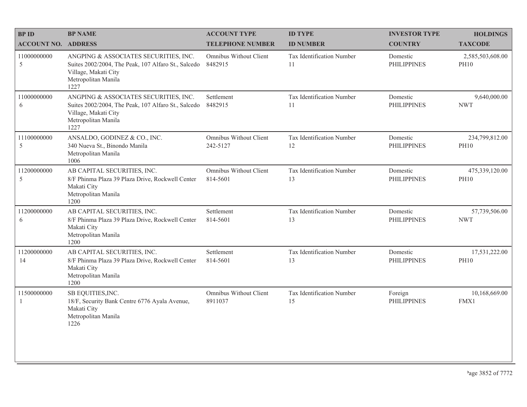| <b>BP NAME</b>                                                                                                                                      | <b>ACCOUNT TYPE</b>                      | <b>ID TYPE</b>                  | <b>INVESTOR TYPE</b>           | <b>HOLDINGS</b>                 |
|-----------------------------------------------------------------------------------------------------------------------------------------------------|------------------------------------------|---------------------------------|--------------------------------|---------------------------------|
|                                                                                                                                                     | <b>TELEPHONE NUMBER</b>                  | <b>ID NUMBER</b>                | <b>COUNTRY</b>                 | <b>TAXCODE</b>                  |
| ANGPING & ASSOCIATES SECURITIES, INC.<br>Suites 2002/2004, The Peak, 107 Alfaro St., Salcedo<br>Village, Makati City<br>Metropolitan Manila<br>1227 | Omnibus Without Client<br>8482915        | Tax Identification Number<br>11 | Domestic<br><b>PHILIPPINES</b> | 2,585,503,608.00<br><b>PH10</b> |
| ANGPING & ASSOCIATES SECURITIES, INC.<br>Suites 2002/2004, The Peak, 107 Alfaro St., Salcedo<br>Village, Makati City<br>Metropolitan Manila<br>1227 | Settlement<br>8482915                    | Tax Identification Number<br>11 | Domestic<br><b>PHILIPPINES</b> | 9,640,000.00<br><b>NWT</b>      |
| ANSALDO, GODINEZ & CO., INC.<br>340 Nueva St., Binondo Manila<br>Metropolitan Manila<br>1006                                                        | Omnibus Without Client<br>242-5127       | Tax Identification Number<br>12 | Domestic<br><b>PHILIPPINES</b> | 234,799,812.00<br><b>PH10</b>   |
| AB CAPITAL SECURITIES, INC.<br>8/F Phinma Plaza 39 Plaza Drive, Rockwell Center<br>Makati City<br>Metropolitan Manila<br>1200                       | Omnibus Without Client<br>814-5601       | Tax Identification Number<br>13 | Domestic<br><b>PHILIPPINES</b> | 475,339,120.00<br><b>PH10</b>   |
| AB CAPITAL SECURITIES, INC.<br>8/F Phinma Plaza 39 Plaza Drive, Rockwell Center<br>Makati City<br>Metropolitan Manila<br>1200                       | Settlement<br>814-5601                   | Tax Identification Number<br>13 | Domestic<br><b>PHILIPPINES</b> | 57,739,506.00<br><b>NWT</b>     |
| AB CAPITAL SECURITIES, INC.<br>8/F Phinma Plaza 39 Plaza Drive, Rockwell Center<br>Makati City<br>Metropolitan Manila<br>1200                       | Settlement<br>814-5601                   | Tax Identification Number<br>13 | Domestic<br><b>PHILIPPINES</b> | 17,531,222.00<br><b>PH10</b>    |
| SB EQUITIES, INC.<br>18/F, Security Bank Centre 6776 Ayala Avenue,<br>Makati City<br>Metropolitan Manila<br>1226                                    | <b>Omnibus Without Client</b><br>8911037 | Tax Identification Number<br>15 | Foreign<br><b>PHILIPPINES</b>  | 10,168,669.00<br>FMX1           |
|                                                                                                                                                     | <b>ACCOUNT NO. ADDRESS</b>               |                                 |                                |                                 |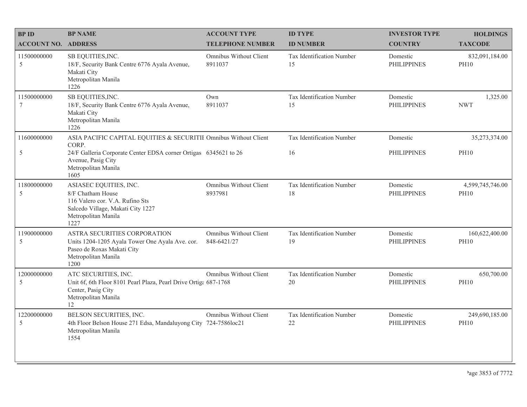| <b>BPID</b>                | <b>BP NAME</b>                                                                                                                                     | <b>ACCOUNT TYPE</b>                      | <b>ID TYPE</b>                  | <b>INVESTOR TYPE</b>           | <b>HOLDINGS</b>                 |
|----------------------------|----------------------------------------------------------------------------------------------------------------------------------------------------|------------------------------------------|---------------------------------|--------------------------------|---------------------------------|
| <b>ACCOUNT NO. ADDRESS</b> |                                                                                                                                                    | <b>TELEPHONE NUMBER</b>                  | <b>ID NUMBER</b>                | <b>COUNTRY</b>                 | <b>TAXCODE</b>                  |
| 11500000000<br>5           | SB EQUITIES, INC.<br>18/F, Security Bank Centre 6776 Ayala Avenue,<br>Makati City<br>Metropolitan Manila<br>1226                                   | <b>Omnibus Without Client</b><br>8911037 | Tax Identification Number<br>15 | Domestic<br><b>PHILIPPINES</b> | 832,091,184.00<br><b>PH10</b>   |
| 11500000000<br>$\tau$      | SB EQUITIES, INC.<br>18/F, Security Bank Centre 6776 Ayala Avenue,<br>Makati City<br>Metropolitan Manila<br>1226                                   | Own<br>8911037                           | Tax Identification Number<br>15 | Domestic<br><b>PHILIPPINES</b> | 1,325.00<br><b>NWT</b>          |
| 11600000000                | ASIA PACIFIC CAPITAL EQUITIES & SECURITII Omnibus Without Client<br>CORP.                                                                          |                                          | Tax Identification Number       | Domestic                       | 35,273,374.00                   |
| $\sqrt{5}$                 | 24/F Galleria Corporate Center EDSA corner Ortigas 6345621 to 26<br>Avenue, Pasig City<br>Metropolitan Manila<br>1605                              |                                          | 16                              | <b>PHILIPPINES</b>             | <b>PH10</b>                     |
| 11800000000<br>5           | ASIASEC EQUITIES, INC.<br>8/F Chatham House<br>116 Valero cor. V.A. Rufino Sts<br>Salcedo Village, Makati City 1227<br>Metropolitan Manila<br>1227 | Omnibus Without Client<br>8937981        | Tax Identification Number<br>18 | Domestic<br><b>PHILIPPINES</b> | 4,599,745,746.00<br><b>PH10</b> |
| 11900000000<br>5           | ASTRA SECURITIES CORPORATION<br>Units 1204-1205 Ayala Tower One Ayala Ave. cor.<br>Paseo de Roxas Makati City<br>Metropolitan Manila<br>1200       | Omnibus Without Client<br>848-6421/27    | Tax Identification Number<br>19 | Domestic<br><b>PHILIPPINES</b> | 160,622,400.00<br><b>PH10</b>   |
| 12000000000<br>5           | ATC SECURITIES, INC.<br>Unit 6f, 6th Floor 8101 Pearl Plaza, Pearl Drive Ortiga 687-1768<br>Center, Pasig City<br>Metropolitan Manila<br>12        | Omnibus Without Client                   | Tax Identification Number<br>20 | Domestic<br><b>PHILIPPINES</b> | 650,700.00<br><b>PH10</b>       |
| 12200000000<br>5           | BELSON SECURITIES, INC.<br>4th Floor Belson House 271 Edsa, Mandaluyong City 724-7586loc21<br>Metropolitan Manila<br>1554                          | Omnibus Without Client                   | Tax Identification Number<br>22 | Domestic<br><b>PHILIPPINES</b> | 249,690,185.00<br><b>PH10</b>   |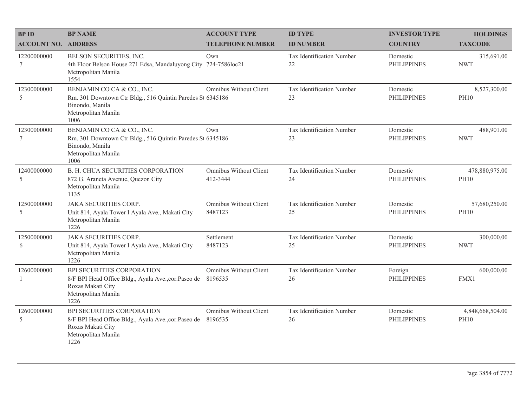| <b>BPID</b>                    | <b>BP NAME</b>                                                                                                                                        | <b>ACCOUNT TYPE</b>                | <b>ID TYPE</b>                  | <b>INVESTOR TYPE</b>           | <b>HOLDINGS</b>                 |
|--------------------------------|-------------------------------------------------------------------------------------------------------------------------------------------------------|------------------------------------|---------------------------------|--------------------------------|---------------------------------|
| <b>ACCOUNT NO. ADDRESS</b>     |                                                                                                                                                       | <b>TELEPHONE NUMBER</b>            | <b>ID NUMBER</b>                | <b>COUNTRY</b>                 | <b>TAXCODE</b>                  |
| 12200000000<br>7               | BELSON SECURITIES, INC.<br>4th Floor Belson House 271 Edsa, Mandaluyong City 724-7586loc21<br>Metropolitan Manila<br>1554                             | Own                                | Tax Identification Number<br>22 | Domestic<br><b>PHILIPPINES</b> | 315,691.00<br><b>NWT</b>        |
| 12300000000<br>5               | BENJAMIN CO CA & CO., INC.<br>Rm. 301 Downtown Ctr Bldg., 516 Quintin Paredes St 6345186<br>Binondo, Manila<br>Metropolitan Manila<br>1006            | Omnibus Without Client             | Tax Identification Number<br>23 | Domestic<br><b>PHILIPPINES</b> | 8,527,300.00<br><b>PH10</b>     |
| 12300000000<br>$7\phantom{.0}$ | BENJAMIN CO CA & CO., INC.<br>Rm. 301 Downtown Ctr Bldg., 516 Quintin Paredes St 6345186<br>Binondo, Manila<br>Metropolitan Manila<br>1006            | Own                                | Tax Identification Number<br>23 | Domestic<br><b>PHILIPPINES</b> | 488,901.00<br><b>NWT</b>        |
| 12400000000<br>5               | <b>B. H. CHUA SECURITIES CORPORATION</b><br>872 G. Araneta Avenue, Quezon City<br>Metropolitan Manila<br>1135                                         | Omnibus Without Client<br>412-3444 | Tax Identification Number<br>24 | Domestic<br><b>PHILIPPINES</b> | 478,880,975.00<br><b>PH10</b>   |
| 12500000000<br>5               | <b>JAKA SECURITIES CORP.</b><br>Unit 814, Ayala Tower I Ayala Ave., Makati City<br>Metropolitan Manila<br>1226                                        | Omnibus Without Client<br>8487123  | Tax Identification Number<br>25 | Domestic<br><b>PHILIPPINES</b> | 57,680,250.00<br><b>PH10</b>    |
| 12500000000<br>6               | JAKA SECURITIES CORP.<br>Unit 814, Ayala Tower I Ayala Ave., Makati City<br>Metropolitan Manila<br>1226                                               | Settlement<br>8487123              | Tax Identification Number<br>25 | Domestic<br><b>PHILIPPINES</b> | 300,000.00<br><b>NWT</b>        |
| 12600000000                    | <b>BPI SECURITIES CORPORATION</b><br>8/F BPI Head Office Bldg., Ayala Ave., cor. Paseo de 8196535<br>Roxas Makati City<br>Metropolitan Manila<br>1226 | Omnibus Without Client             | Tax Identification Number<br>26 | Foreign<br><b>PHILIPPINES</b>  | 600,000.00<br>FMX1              |
| 12600000000<br>5               | BPI SECURITIES CORPORATION<br>8/F BPI Head Office Bldg., Ayala Ave., cor. Paseo de 8196535<br>Roxas Makati City<br>Metropolitan Manila<br>1226        | Omnibus Without Client             | Tax Identification Number<br>26 | Domestic<br><b>PHILIPPINES</b> | 4,848,668,504.00<br><b>PH10</b> |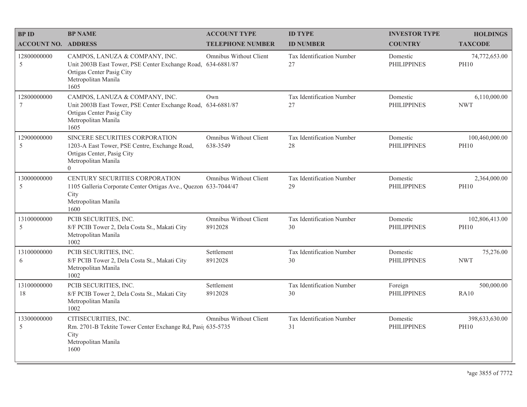| <b>BPID</b>                | <b>BP NAME</b>                                                                                                                                             | <b>ACCOUNT TYPE</b>                | <b>ID TYPE</b>                  | <b>INVESTOR TYPE</b>           | <b>HOLDINGS</b>               |
|----------------------------|------------------------------------------------------------------------------------------------------------------------------------------------------------|------------------------------------|---------------------------------|--------------------------------|-------------------------------|
| <b>ACCOUNT NO. ADDRESS</b> |                                                                                                                                                            | <b>TELEPHONE NUMBER</b>            | <b>ID NUMBER</b>                | <b>COUNTRY</b>                 | <b>TAXCODE</b>                |
| 12800000000<br>5           | CAMPOS, LANUZA & COMPANY, INC.<br>Unit 2003B East Tower, PSE Center Exchange Road, 634-6881/87<br>Ortigas Center Pasig City<br>Metropolitan Manila<br>1605 | Omnibus Without Client             | Tax Identification Number<br>27 | Domestic<br><b>PHILIPPINES</b> | 74,772,653.00<br><b>PH10</b>  |
| 12800000000<br>7           | CAMPOS, LANUZA & COMPANY, INC.<br>Unit 2003B East Tower, PSE Center Exchange Road, 634-6881/87<br>Ortigas Center Pasig City<br>Metropolitan Manila<br>1605 | Own                                | Tax Identification Number<br>27 | Domestic<br><b>PHILIPPINES</b> | 6,110,000.00<br><b>NWT</b>    |
| 12900000000<br>5           | SINCERE SECURITIES CORPORATION<br>1203-A East Tower, PSE Centre, Exchange Road,<br>Ortigas Center, Pasig City<br>Metropolitan Manila<br>$\Omega$           | Omnibus Without Client<br>638-3549 | Tax Identification Number<br>28 | Domestic<br><b>PHILIPPINES</b> | 100,460,000.00<br><b>PH10</b> |
| 13000000000<br>5           | CENTURY SECURITIES CORPORATION<br>1105 Galleria Corporate Center Ortigas Ave., Quezon 633-7044/47<br>City<br>Metropolitan Manila<br>1600                   | <b>Omnibus Without Client</b>      | Tax Identification Number<br>29 | Domestic<br><b>PHILIPPINES</b> | 2,364,000.00<br><b>PH10</b>   |
| 13100000000<br>5           | PCIB SECURITIES, INC.<br>8/F PCIB Tower 2, Dela Costa St., Makati City<br>Metropolitan Manila<br>1002                                                      | Omnibus Without Client<br>8912028  | Tax Identification Number<br>30 | Domestic<br><b>PHILIPPINES</b> | 102,806,413.00<br><b>PH10</b> |
| 13100000000<br>6           | PCIB SECURITIES, INC.<br>8/F PCIB Tower 2, Dela Costa St., Makati City<br>Metropolitan Manila<br>1002                                                      | Settlement<br>8912028              | Tax Identification Number<br>30 | Domestic<br><b>PHILIPPINES</b> | 75,276.00<br><b>NWT</b>       |
| 13100000000<br>18          | PCIB SECURITIES, INC.<br>8/F PCIB Tower 2, Dela Costa St., Makati City<br>Metropolitan Manila<br>1002                                                      | Settlement<br>8912028              | Tax Identification Number<br>30 | Foreign<br><b>PHILIPPINES</b>  | 500,000.00<br><b>RA10</b>     |
| 13300000000<br>5           | CITISECURITIES, INC.<br>Rm. 2701-B Tektite Tower Center Exchange Rd, Pasi; 635-5735<br>City<br>Metropolitan Manila<br>1600                                 | Omnibus Without Client             | Tax Identification Number<br>31 | Domestic<br><b>PHILIPPINES</b> | 398,633,630.00<br><b>PH10</b> |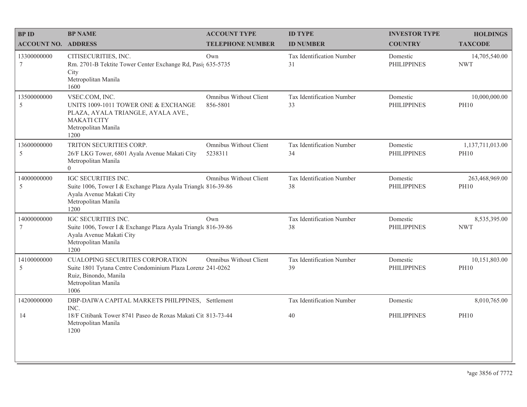| <b>BPID</b>                | <b>BP NAME</b>                                                                                                                                                | <b>ACCOUNT TYPE</b>                | <b>ID TYPE</b>                  | <b>INVESTOR TYPE</b>           | <b>HOLDINGS</b>                 |
|----------------------------|---------------------------------------------------------------------------------------------------------------------------------------------------------------|------------------------------------|---------------------------------|--------------------------------|---------------------------------|
| <b>ACCOUNT NO. ADDRESS</b> |                                                                                                                                                               | <b>TELEPHONE NUMBER</b>            | <b>ID NUMBER</b>                | <b>COUNTRY</b>                 | <b>TAXCODE</b>                  |
| 13300000000<br>$\tau$      | CITISECURITIES, INC.<br>Rm. 2701-B Tektite Tower Center Exchange Rd, Pasi; 635-5735<br>City<br>Metropolitan Manila<br>1600                                    | Own                                | Tax Identification Number<br>31 | Domestic<br><b>PHILIPPINES</b> | 14,705,540.00<br><b>NWT</b>     |
| 13500000000<br>5           | VSEC.COM, INC.<br>UNITS 1009-1011 TOWER ONE & EXCHANGE<br>PLAZA, AYALA TRIANGLE, AYALA AVE.,<br><b>MAKATI CITY</b><br>Metropolitan Manila<br>1200             | Omnibus Without Client<br>856-5801 | Tax Identification Number<br>33 | Domestic<br><b>PHILIPPINES</b> | 10,000,000.00<br><b>PH10</b>    |
| 13600000000<br>5           | TRITON SECURITIES CORP.<br>26/F LKG Tower, 6801 Ayala Avenue Makati City<br>Metropolitan Manila<br>$\Omega$                                                   | Omnibus Without Client<br>5238311  | Tax Identification Number<br>34 | Domestic<br><b>PHILIPPINES</b> | 1,137,711,013.00<br><b>PH10</b> |
| 14000000000<br>5           | <b>IGC SECURITIES INC.</b><br>Suite 1006, Tower I & Exchange Plaza Ayala Triangle 816-39-86<br>Ayala Avenue Makati City<br>Metropolitan Manila<br>1200        | Omnibus Without Client             | Tax Identification Number<br>38 | Domestic<br><b>PHILIPPINES</b> | 263,468,969.00<br><b>PH10</b>   |
| 14000000000<br>7           | IGC SECURITIES INC.<br>Suite 1006, Tower I & Exchange Plaza Ayala Triangle 816-39-86<br>Ayala Avenue Makati City<br>Metropolitan Manila<br>1200               | Own                                | Tax Identification Number<br>38 | Domestic<br><b>PHILIPPINES</b> | 8,535,395.00<br><b>NWT</b>      |
| 14100000000<br>5           | <b>CUALOPING SECURITIES CORPORATION</b><br>Suite 1801 Tytana Centre Condominium Plaza Lorenz 241-0262<br>Ruiz, Binondo, Manila<br>Metropolitan Manila<br>1006 | Omnibus Without Client             | Tax Identification Number<br>39 | Domestic<br><b>PHILIPPINES</b> | 10,151,803.00<br><b>PH10</b>    |
| 14200000000                | DBP-DAIWA CAPITAL MARKETS PHILPPINES, Settlement<br>INC.                                                                                                      |                                    | Tax Identification Number       | Domestic                       | 8,010,765.00                    |
| 14                         | 18/F Citibank Tower 8741 Paseo de Roxas Makati Cit 813-73-44<br>Metropolitan Manila<br>1200                                                                   |                                    | 40                              | <b>PHILIPPINES</b>             | <b>PH10</b>                     |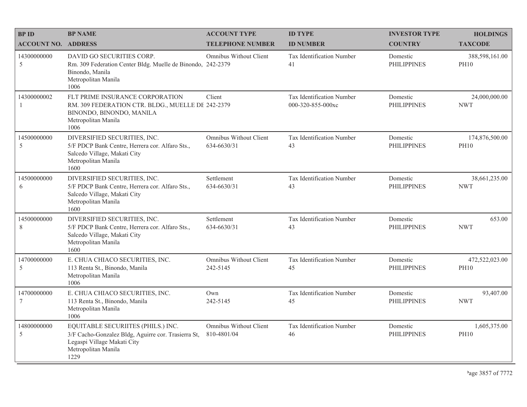| <b>BPID</b>                | <b>BP NAME</b>                                                                                                                                          | <b>ACCOUNT TYPE</b>                          | <b>ID TYPE</b>                                        | <b>INVESTOR TYPE</b>           | <b>HOLDINGS</b>               |
|----------------------------|---------------------------------------------------------------------------------------------------------------------------------------------------------|----------------------------------------------|-------------------------------------------------------|--------------------------------|-------------------------------|
| <b>ACCOUNT NO. ADDRESS</b> |                                                                                                                                                         | <b>TELEPHONE NUMBER</b>                      | <b>ID NUMBER</b>                                      | <b>COUNTRY</b>                 | <b>TAXCODE</b>                |
| 14300000000<br>5           | DAVID GO SECURITIES CORP.<br>Rm. 309 Federation Center Bldg. Muelle de Binondo, 242-2379<br>Binondo, Manila<br>Metropolitan Manila<br>1006              | Omnibus Without Client                       | Tax Identification Number<br>41                       | Domestic<br><b>PHILIPPINES</b> | 388,598,161.00<br><b>PH10</b> |
| 14300000002<br>-1          | FLT PRIME INSURANCE CORPORATION<br>RM. 309 FEDERATION CTR. BLDG., MUELLE DE 242-2379<br>BINONDO, BINONDO, MANILA<br>Metropolitan Manila<br>1006         | Client                                       | <b>Tax Identification Number</b><br>000-320-855-000xc | Domestic<br><b>PHILIPPINES</b> | 24,000,000.00<br><b>NWT</b>   |
| 14500000000<br>5           | DIVERSIFIED SECURITIES, INC.<br>5/F PDCP Bank Centre, Herrera cor. Alfaro Sts.,<br>Salcedo Village, Makati City<br>Metropolitan Manila<br>1600          | <b>Omnibus Without Client</b><br>634-6630/31 | Tax Identification Number<br>43                       | Domestic<br><b>PHILIPPINES</b> | 174,876,500.00<br><b>PH10</b> |
| 14500000000<br>6           | DIVERSIFIED SECURITIES, INC.<br>5/F PDCP Bank Centre, Herrera cor. Alfaro Sts.,<br>Salcedo Village, Makati City<br>Metropolitan Manila<br>1600          | Settlement<br>634-6630/31                    | Tax Identification Number<br>43                       | Domestic<br><b>PHILIPPINES</b> | 38,661,235.00<br><b>NWT</b>   |
| 14500000000<br>8           | DIVERSIFIED SECURITIES, INC.<br>5/F PDCP Bank Centre, Herrera cor. Alfaro Sts.,<br>Salcedo Village, Makati City<br>Metropolitan Manila<br>1600          | Settlement<br>634-6630/31                    | Tax Identification Number<br>43                       | Domestic<br><b>PHILIPPINES</b> | 653.00<br><b>NWT</b>          |
| 14700000000<br>5           | E. CHUA CHIACO SECURITIES, INC.<br>113 Renta St., Binondo, Manila<br>Metropolitan Manila<br>1006                                                        | <b>Omnibus Without Client</b><br>242-5145    | Tax Identification Number<br>45                       | Domestic<br><b>PHILIPPINES</b> | 472,522,023.00<br><b>PH10</b> |
| 14700000000<br>7           | E. CHUA CHIACO SECURITIES, INC.<br>113 Renta St., Binondo, Manila<br>Metropolitan Manila<br>1006                                                        | Own<br>242-5145                              | Tax Identification Number<br>45                       | Domestic<br><b>PHILIPPINES</b> | 93,407.00<br><b>NWT</b>       |
| 14800000000<br>5           | EQUITABLE SECURIITES (PHILS.) INC.<br>3/F Cacho-Gonzalez Bldg, Aguirre cor. Trasierra St,<br>Legaspi Village Makati City<br>Metropolitan Manila<br>1229 | Omnibus Without Client<br>810-4801/04        | Tax Identification Number<br>46                       | Domestic<br><b>PHILIPPINES</b> | 1,605,375.00<br><b>PH10</b>   |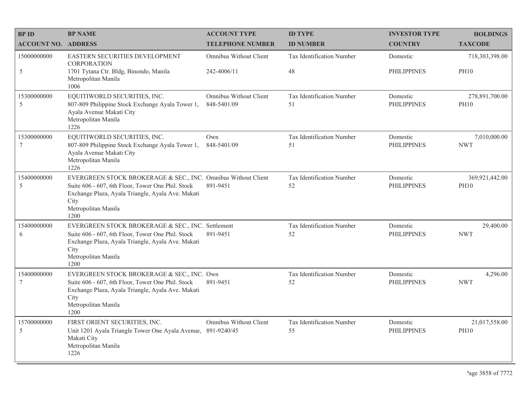| <b>BPID</b>                    | <b>BP NAME</b>                                                                                                                                                                                                 | <b>ACCOUNT TYPE</b>                   | <b>ID TYPE</b>                  | <b>INVESTOR TYPE</b>           | <b>HOLDINGS</b>               |
|--------------------------------|----------------------------------------------------------------------------------------------------------------------------------------------------------------------------------------------------------------|---------------------------------------|---------------------------------|--------------------------------|-------------------------------|
| <b>ACCOUNT NO. ADDRESS</b>     |                                                                                                                                                                                                                | <b>TELEPHONE NUMBER</b>               | <b>ID NUMBER</b>                | <b>COUNTRY</b>                 | <b>TAXCODE</b>                |
| 15000000000                    | EASTERN SECURITIES DEVELOPMENT<br><b>CORPORATION</b>                                                                                                                                                           | Omnibus Without Client                | Tax Identification Number       | Domestic                       | 718,303,398.00                |
| 5                              | 1701 Tytana Ctr. Bldg, Binondo, Manila<br>Metropolitan Manila<br>1006                                                                                                                                          | 242-4006/11                           | 48                              | <b>PHILIPPINES</b>             | <b>PH10</b>                   |
| 15300000000<br>5               | EQUITIWORLD SECURITIES, INC.<br>807-809 Philippine Stock Exchange Ayala Tower 1,<br>Ayala Avenue Makati City<br>Metropolitan Manila<br>1226                                                                    | Omnibus Without Client<br>848-5401/09 | Tax Identification Number<br>51 | Domestic<br><b>PHILIPPINES</b> | 278,891,700.00<br><b>PH10</b> |
| 15300000000<br>7               | EQUITIWORLD SECURITIES, INC.<br>807-809 Philippine Stock Exchange Ayala Tower 1,<br>Ayala Avenue Makati City<br>Metropolitan Manila<br>1226                                                                    | Own<br>848-5401/09                    | Tax Identification Number<br>51 | Domestic<br><b>PHILIPPINES</b> | 7,010,000.00<br><b>NWT</b>    |
| 15400000000<br>5               | EVERGREEN STOCK BROKERAGE & SEC., INC. Omnibus Without Client<br>Suite 606 - 607, 6th Floor, Tower One Phil. Stock<br>Exchange Plaza, Ayala Triangle, Ayala Ave. Makati<br>City<br>Metropolitan Manila<br>1200 | 891-9451                              | Tax Identification Number<br>52 | Domestic<br><b>PHILIPPINES</b> | 369,921,442.00<br><b>PH10</b> |
| 15400000000<br>6               | EVERGREEN STOCK BROKERAGE & SEC., INC. Settlement<br>Suite 606 - 607, 6th Floor, Tower One Phil. Stock<br>Exchange Plaza, Ayala Triangle, Ayala Ave. Makati<br>City<br>Metropolitan Manila<br>1200             | 891-9451                              | Tax Identification Number<br>52 | Domestic<br><b>PHILIPPINES</b> | 29,400.00<br><b>NWT</b>       |
| 15400000000<br>$7\phantom{.0}$ | EVERGREEN STOCK BROKERAGE & SEC., INC. Own<br>Suite 606 - 607, 6th Floor, Tower One Phil. Stock<br>Exchange Plaza, Ayala Triangle, Ayala Ave. Makati<br>City<br>Metropolitan Manila<br>1200                    | 891-9451                              | Tax Identification Number<br>52 | Domestic<br><b>PHILIPPINES</b> | 4,296.00<br><b>NWT</b>        |
| 15700000000<br>5               | FIRST ORIENT SECURITIES, INC.<br>Unit 1201 Ayala Triangle Tower One Ayala Avenue, 891-9240/45<br>Makati City<br>Metropolitan Manila<br>1226                                                                    | Omnibus Without Client                | Tax Identification Number<br>55 | Domestic<br><b>PHILIPPINES</b> | 21,017,558.00<br><b>PH10</b>  |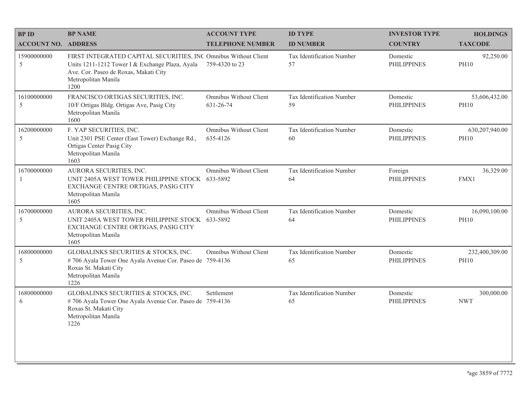| <b>BPID</b>                | <b>BP NAME</b>                                                                                                                                                                             | <b>ACCOUNT TYPE</b>                       | <b>ID TYPE</b>                  | <b>INVESTOR TYPE</b>           | <b>HOLDINGS</b>               |
|----------------------------|--------------------------------------------------------------------------------------------------------------------------------------------------------------------------------------------|-------------------------------------------|---------------------------------|--------------------------------|-------------------------------|
| <b>ACCOUNT NO. ADDRESS</b> |                                                                                                                                                                                            | <b>TELEPHONE NUMBER</b>                   | <b>ID NUMBER</b>                | <b>COUNTRY</b>                 | <b>TAXCODE</b>                |
| 15900000000<br>5           | FIRST INTEGRATED CAPITAL SECURITIES, INC Omnibus Without Client<br>Units 1211-1212 Tower I & Exchange Plaza, Ayala<br>Ave. Cor. Paseo de Roxas, Makati City<br>Metropolitan Manila<br>1200 | 759-4320 to 23                            | Tax Identification Number<br>57 | Domestic<br><b>PHILIPPINES</b> | 92,250.00<br><b>PH10</b>      |
| 16100000000<br>5           | FRANCISCO ORTIGAS SECURITIES, INC.<br>10/F Ortigas Bldg. Ortigas Ave, Pasig City<br>Metropolitan Manila<br>1600                                                                            | Omnibus Without Client<br>631-26-74       | Tax Identification Number<br>59 | Domestic<br><b>PHILIPPINES</b> | 53,606,432.00<br><b>PH10</b>  |
| 16200000000<br>5           | F. YAP SECURITIES, INC.<br>Unit 2301 PSE Center (East Tower) Exchange Rd.,<br>Ortigas Center Pasig City<br>Metropolitan Manila<br>1603                                                     | <b>Omnibus Without Client</b><br>635-4126 | Tax Identification Number<br>60 | Domestic<br><b>PHILIPPINES</b> | 630,207,940.00<br><b>PH10</b> |
| 16700000000<br>-1          | AURORA SECURITIES, INC.<br>UNIT 2405A WEST TOWER PHILIPPINE STOCK 633-5892<br>EXCHANGE CENTRE ORTIGAS, PASIG CITY<br>Metropolitan Manila<br>1605                                           | Omnibus Without Client                    | Tax Identification Number<br>64 | Foreign<br><b>PHILIPPINES</b>  | 36,329.00<br>FMX1             |
| 16700000000<br>5           | AURORA SECURITIES, INC.<br>UNIT 2405A WEST TOWER PHILIPPINE STOCK 633-5892<br>EXCHANGE CENTRE ORTIGAS, PASIG CITY<br>Metropolitan Manila<br>1605                                           | Omnibus Without Client                    | Tax Identification Number<br>64 | Domestic<br><b>PHILIPPINES</b> | 16,090,100.00<br><b>PH10</b>  |
| 16800000000<br>5           | GLOBALINKS SECURITIES & STOCKS, INC.<br>#706 Ayala Tower One Ayala Avenue Cor. Paseo de 759-4136<br>Roxas St. Makati City<br>Metropolitan Manila<br>1226                                   | Omnibus Without Client                    | Tax Identification Number<br>65 | Domestic<br><b>PHILIPPINES</b> | 232,400,309.00<br><b>PH10</b> |
| 16800000000<br>6           | GLOBALINKS SECURITIES & STOCKS, INC.<br>#706 Ayala Tower One Ayala Avenue Cor. Paseo de 759-4136<br>Roxas St. Makati City<br>Metropolitan Manila<br>1226                                   | Settlement                                | Tax Identification Number<br>65 | Domestic<br><b>PHILIPPINES</b> | 300,000.00<br><b>NWT</b>      |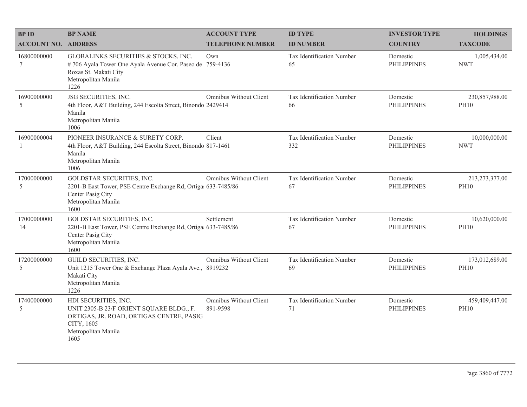| <b>BPID</b>                | <b>BP NAME</b>                                                                                                                                            | <b>ACCOUNT TYPE</b>                       | <b>ID TYPE</b>                         | <b>INVESTOR TYPE</b>           | <b>HOLDINGS</b>               |
|----------------------------|-----------------------------------------------------------------------------------------------------------------------------------------------------------|-------------------------------------------|----------------------------------------|--------------------------------|-------------------------------|
| <b>ACCOUNT NO. ADDRESS</b> |                                                                                                                                                           | <b>TELEPHONE NUMBER</b>                   | <b>ID NUMBER</b>                       | <b>COUNTRY</b>                 | <b>TAXCODE</b>                |
| 16800000000<br>$\tau$      | GLOBALINKS SECURITIES & STOCKS, INC.<br>#706 Ayala Tower One Ayala Avenue Cor. Paseo de 759-4136<br>Roxas St. Makati City<br>Metropolitan Manila<br>1226  | Own                                       | <b>Tax Identification Number</b><br>65 | Domestic<br><b>PHILIPPINES</b> | 1,005,434.00<br><b>NWT</b>    |
| 16900000000<br>5           | JSG SECURITIES, INC.<br>4th Floor, A&T Building, 244 Escolta Street, Binondo 2429414<br>Manila<br>Metropolitan Manila<br>1006                             | Omnibus Without Client                    | Tax Identification Number<br>66        | Domestic<br><b>PHILIPPINES</b> | 230,857,988.00<br><b>PH10</b> |
| 16900000004                | PIONEER INSURANCE & SURETY CORP.<br>4th Floor, A&T Building, 244 Escolta Street, Binondo 817-1461<br>Manila<br>Metropolitan Manila<br>1006                | Client                                    | Tax Identification Number<br>332       | Domestic<br><b>PHILIPPINES</b> | 10,000,000.00<br><b>NWT</b>   |
| 17000000000<br>5           | GOLDSTAR SECURITIES, INC.<br>2201-B East Tower, PSE Centre Exchange Rd, Ortiga 633-7485/86<br>Center Pasig City<br>Metropolitan Manila<br>1600            | Omnibus Without Client                    | Tax Identification Number<br>67        | Domestic<br><b>PHILIPPINES</b> | 213,273,377.00<br><b>PH10</b> |
| 17000000000<br>14          | GOLDSTAR SECURITIES, INC.<br>2201-B East Tower, PSE Centre Exchange Rd, Ortiga 633-7485/86<br>Center Pasig City<br>Metropolitan Manila<br>1600            | Settlement                                | Tax Identification Number<br>67        | Domestic<br><b>PHILIPPINES</b> | 10,620,000.00<br><b>PH10</b>  |
| 17200000000<br>5           | GUILD SECURITIES, INC.<br>Unit 1215 Tower One & Exchange Plaza Ayala Ave., 8919232<br>Makati City<br>Metropolitan Manila<br>1226                          | Omnibus Without Client                    | Tax Identification Number<br>69        | Domestic<br><b>PHILIPPINES</b> | 173,012,689.00<br><b>PH10</b> |
| 17400000000<br>5           | HDI SECURITIES, INC.<br>UNIT 2305-B 23/F ORIENT SQUARE BLDG., F.<br>ORTIGAS, JR. ROAD, ORTIGAS CENTRE, PASIG<br>CITY, 1605<br>Metropolitan Manila<br>1605 | <b>Omnibus Without Client</b><br>891-9598 | Tax Identification Number<br>71        | Domestic<br><b>PHILIPPINES</b> | 459,409,447.00<br><b>PH10</b> |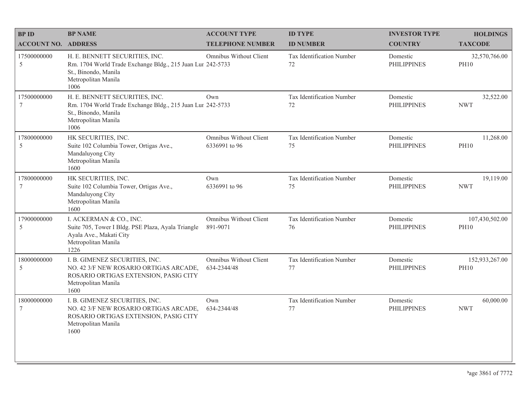| <b>BPID</b>                | <b>BP NAME</b>                                                                                                                                      | <b>ACCOUNT TYPE</b>                     | <b>ID TYPE</b>                  | <b>INVESTOR TYPE</b>           | <b>HOLDINGS</b>               |
|----------------------------|-----------------------------------------------------------------------------------------------------------------------------------------------------|-----------------------------------------|---------------------------------|--------------------------------|-------------------------------|
| <b>ACCOUNT NO. ADDRESS</b> |                                                                                                                                                     | <b>TELEPHONE NUMBER</b>                 | <b>ID NUMBER</b>                | <b>COUNTRY</b>                 | <b>TAXCODE</b>                |
| 17500000000<br>5           | H. E. BENNETT SECURITIES, INC.<br>Rm. 1704 World Trade Exchange Bldg., 215 Juan Lur 242-5733<br>St., Binondo, Manila<br>Metropolitan Manila<br>1006 | Omnibus Without Client                  | Tax Identification Number<br>72 | Domestic<br><b>PHILIPPINES</b> | 32,570,766.00<br><b>PH10</b>  |
| 17500000000<br>7           | H. E. BENNETT SECURITIES, INC.<br>Rm. 1704 World Trade Exchange Bldg., 215 Juan Lur 242-5733<br>St., Binondo, Manila<br>Metropolitan Manila<br>1006 | Own                                     | Tax Identification Number<br>72 | Domestic<br><b>PHILIPPINES</b> | 32,522.00<br><b>NWT</b>       |
| 17800000000<br>5           | HK SECURITIES, INC.<br>Suite 102 Columbia Tower, Ortigas Ave.,<br>Mandaluyong City<br>Metropolitan Manila<br>1600                                   | Omnibus Without Client<br>6336991 to 96 | Tax Identification Number<br>75 | Domestic<br><b>PHILIPPINES</b> | 11,268.00<br><b>PH10</b>      |
| 17800000000<br>$\tau$      | HK SECURITIES, INC.<br>Suite 102 Columbia Tower, Ortigas Ave.,<br>Mandaluyong City<br>Metropolitan Manila<br>1600                                   | Own<br>6336991 to 96                    | Tax Identification Number<br>75 | Domestic<br><b>PHILIPPINES</b> | 19,119.00<br><b>NWT</b>       |
| 17900000000<br>5           | I. ACKERMAN & CO., INC.<br>Suite 705, Tower I Bldg. PSE Plaza, Ayala Triangle<br>Ayala Ave., Makati City<br>Metropolitan Manila<br>1226             | Omnibus Without Client<br>891-9071      | Tax Identification Number<br>76 | Domestic<br><b>PHILIPPINES</b> | 107,430,502.00<br><b>PH10</b> |
| 18000000000<br>5           | I. B. GIMENEZ SECURITIES, INC.<br>NO. 42 3/F NEW ROSARIO ORTIGAS ARCADE,<br>ROSARIO ORTIGAS EXTENSION, PASIG CITY<br>Metropolitan Manila<br>1600    | Omnibus Without Client<br>634-2344/48   | Tax Identification Number<br>77 | Domestic<br><b>PHILIPPINES</b> | 152,933,267.00<br><b>PH10</b> |
| 18000000000<br>$\tau$      | I. B. GIMENEZ SECURITIES, INC.<br>NO. 42 3/F NEW ROSARIO ORTIGAS ARCADE,<br>ROSARIO ORTIGAS EXTENSION, PASIG CITY<br>Metropolitan Manila<br>1600    | Own<br>634-2344/48                      | Tax Identification Number<br>77 | Domestic<br><b>PHILIPPINES</b> | 60,000.00<br><b>NWT</b>       |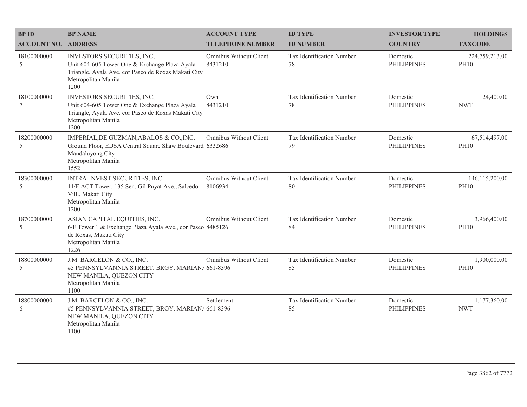| <b>BPID</b>                    | <b>BP NAME</b>                                                                                                                                                    | <b>ACCOUNT TYPE</b>               | <b>ID TYPE</b>                  | <b>INVESTOR TYPE</b>           | <b>HOLDINGS</b>                 |
|--------------------------------|-------------------------------------------------------------------------------------------------------------------------------------------------------------------|-----------------------------------|---------------------------------|--------------------------------|---------------------------------|
| <b>ACCOUNT NO. ADDRESS</b>     |                                                                                                                                                                   | <b>TELEPHONE NUMBER</b>           | <b>ID NUMBER</b>                | <b>COUNTRY</b>                 | <b>TAXCODE</b>                  |
| 18100000000<br>5               | INVESTORS SECURITIES, INC,<br>Unit 604-605 Tower One & Exchange Plaza Ayala<br>Triangle, Ayala Ave. cor Paseo de Roxas Makati City<br>Metropolitan Manila<br>1200 | Omnibus Without Client<br>8431210 | Tax Identification Number<br>78 | Domestic<br><b>PHILIPPINES</b> | 224,759,213.00<br><b>PH10</b>   |
| 18100000000<br>$7\phantom{.0}$ | INVESTORS SECURITIES, INC,<br>Unit 604-605 Tower One & Exchange Plaza Ayala<br>Triangle, Ayala Ave. cor Paseo de Roxas Makati City<br>Metropolitan Manila<br>1200 | Own<br>8431210                    | Tax Identification Number<br>78 | Domestic<br><b>PHILIPPINES</b> | 24,400.00<br><b>NWT</b>         |
| 18200000000<br>5               | IMPERIAL, DE GUZMAN, ABALOS & CO., INC.<br>Ground Floor, EDSA Central Square Shaw Boulevard 6332686<br>Mandaluyong City<br>Metropolitan Manila<br>1552            | <b>Omnibus Without Client</b>     | Tax Identification Number<br>79 | Domestic<br><b>PHILIPPINES</b> | 67,514,497.00<br><b>PH10</b>    |
| 18300000000<br>5               | INTRA-INVEST SECURITIES, INC.<br>11/F ACT Tower, 135 Sen. Gil Puyat Ave., Salcedo<br>Vill., Makati City<br>Metropolitan Manila<br>1200                            | Omnibus Without Client<br>8106934 | Tax Identification Number<br>80 | Domestic<br><b>PHILIPPINES</b> | 146, 115, 200.00<br><b>PH10</b> |
| 18700000000<br>-5              | ASIAN CAPITAL EQUITIES, INC.<br>6/F Tower 1 & Exchange Plaza Ayala Ave., cor Paseo 8485126<br>de Roxas, Makati City<br>Metropolitan Manila<br>1226                | Omnibus Without Client            | Tax Identification Number<br>84 | Domestic<br><b>PHILIPPINES</b> | 3,966,400.00<br><b>PH10</b>     |
| 18800000000<br>5               | J.M. BARCELON & CO., INC.<br>#5 PENNSYLVANNIA STREET, BRGY. MARIAN/ 661-8396<br>NEW MANILA, QUEZON CITY<br>Metropolitan Manila<br>1100                            | Omnibus Without Client            | Tax Identification Number<br>85 | Domestic<br><b>PHILIPPINES</b> | 1,900,000.00<br><b>PH10</b>     |
| 18800000000<br>6               | J.M. BARCELON & CO., INC.<br>#5 PENNSYLVANNIA STREET, BRGY. MARIAN/ 661-8396<br>NEW MANILA, QUEZON CITY<br>Metropolitan Manila<br>1100                            | Settlement                        | Tax Identification Number<br>85 | Domestic<br><b>PHILIPPINES</b> | 1,177,360.00<br><b>NWT</b>      |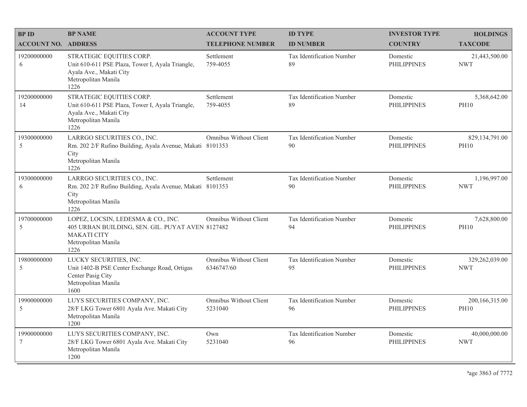| <b>BPID</b>                | <b>BP NAME</b>                                                                                                                              | <b>ACCOUNT TYPE</b>                  | <b>ID TYPE</b>                  | <b>INVESTOR TYPE</b>           | <b>HOLDINGS</b>               |
|----------------------------|---------------------------------------------------------------------------------------------------------------------------------------------|--------------------------------------|---------------------------------|--------------------------------|-------------------------------|
| <b>ACCOUNT NO. ADDRESS</b> |                                                                                                                                             | <b>TELEPHONE NUMBER</b>              | <b>ID NUMBER</b>                | <b>COUNTRY</b>                 | <b>TAXCODE</b>                |
| 19200000000<br>6           | STRATEGIC EQUITIES CORP.<br>Unit 610-611 PSE Plaza, Tower I, Ayala Triangle,<br>Ayala Ave., Makati City<br>Metropolitan Manila<br>1226      | Settlement<br>759-4055               | Tax Identification Number<br>89 | Domestic<br><b>PHILIPPINES</b> | 21,443,500.00<br><b>NWT</b>   |
| 19200000000<br>14          | STRATEGIC EQUITIES CORP.<br>Unit 610-611 PSE Plaza, Tower I, Ayala Triangle,<br>Ayala Ave., Makati City<br>Metropolitan Manila<br>1226      | Settlement<br>759-4055               | Tax Identification Number<br>89 | Domestic<br><b>PHILIPPINES</b> | 5,368,642.00<br><b>PH10</b>   |
| 19300000000<br>5           | LARRGO SECURITIES CO., INC.<br>Rm. 202 2/F Rufino Building, Ayala Avenue, Makati 8101353<br>City<br>Metropolitan Manila<br>1226             | <b>Omnibus Without Client</b>        | Tax Identification Number<br>90 | Domestic<br><b>PHILIPPINES</b> | 829,134,791.00<br><b>PH10</b> |
| 19300000000<br>6           | LARRGO SECURITIES CO., INC.<br>Rm. 202 2/F Rufino Building, Ayala Avenue, Makati 8101353<br>City<br>Metropolitan Manila<br>1226             | Settlement                           | Tax Identification Number<br>90 | Domestic<br><b>PHILIPPINES</b> | 1,196,997.00<br><b>NWT</b>    |
| 19700000000<br>5           | LOPEZ, LOCSIN, LEDESMA & CO., INC.<br>405 URBAN BUILDING, SEN. GIL. PUYAT AVEN 8127482<br><b>MAKATI CITY</b><br>Metropolitan Manila<br>1226 | Omnibus Without Client               | Tax Identification Number<br>94 | Domestic<br><b>PHILIPPINES</b> | 7,628,800.00<br><b>PH10</b>   |
| 19800000000<br>5           | LUCKY SECURITIES, INC.<br>Unit 1402-B PSE Center Exchange Road, Ortigas<br>Center Pasig City<br>Metropolitan Manila<br>1600                 | Omnibus Without Client<br>6346747/60 | Tax Identification Number<br>95 | Domestic<br><b>PHILIPPINES</b> | 329,262,039.00<br>NWT         |
| 19900000000<br>5           | LUYS SECURITIES COMPANY, INC.<br>28/F LKG Tower 6801 Ayala Ave. Makati City<br>Metropolitan Manila<br>1200                                  | Omnibus Without Client<br>5231040    | Tax Identification Number<br>96 | Domestic<br><b>PHILIPPINES</b> | 200,166,315.00<br><b>PH10</b> |
| 19900000000<br>7           | LUYS SECURITIES COMPANY, INC.<br>28/F LKG Tower 6801 Ayala Ave. Makati City<br>Metropolitan Manila<br>1200                                  | Own<br>5231040                       | Tax Identification Number<br>96 | Domestic<br><b>PHILIPPINES</b> | 40,000,000.00<br><b>NWT</b>   |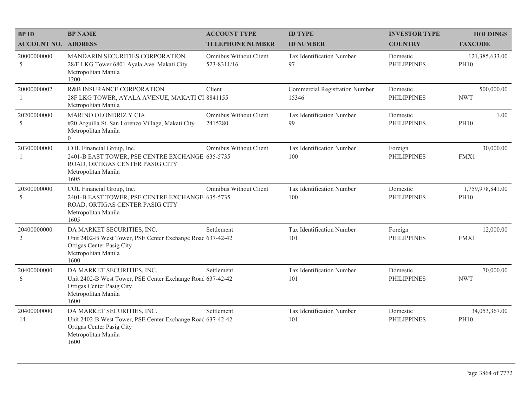| <b>BPID</b>                   | <b>BP NAME</b>                                                                                                                                       | <b>ACCOUNT TYPE</b>                   | <b>ID TYPE</b>                          | <b>INVESTOR TYPE</b>           | <b>HOLDINGS</b>                 |
|-------------------------------|------------------------------------------------------------------------------------------------------------------------------------------------------|---------------------------------------|-----------------------------------------|--------------------------------|---------------------------------|
| <b>ACCOUNT NO. ADDRESS</b>    |                                                                                                                                                      | <b>TELEPHONE NUMBER</b>               | <b>ID NUMBER</b>                        | <b>COUNTRY</b>                 | <b>TAXCODE</b>                  |
| 20000000000<br>5              | MANDARIN SECURITIES CORPORATION<br>28/F LKG Tower 6801 Ayala Ave. Makati City<br>Metropolitan Manila<br>1200                                         | Omnibus Without Client<br>523-8311/16 | Tax Identification Number<br>97         | Domestic<br><b>PHILIPPINES</b> | 121,385,633.00<br><b>PH10</b>   |
| 20000000002<br>1              | R&B INSURANCE CORPORATION<br>28F LKG TOWER, AYALA AVENUE, MAKATI CI 8841155<br>Metropolitan Manila                                                   | Client                                | Commercial Registration Number<br>15346 | Domestic<br><b>PHILIPPINES</b> | 500,000.00<br><b>NWT</b>        |
| 20200000000<br>5              | MARINO OLONDRIZ Y CIA<br>#20 Arguilla St. San Lorenzo Village, Makati City<br>Metropolitan Manila<br>$\theta$                                        | Omnibus Without Client<br>2415280     | Tax Identification Number<br>99         | Domestic<br><b>PHILIPPINES</b> | 1.00<br><b>PH10</b>             |
| 20300000000<br>-1             | COL Financial Group, Inc.<br>2401-B EAST TOWER, PSE CENTRE EXCHANGE 635-5735<br>ROAD, ORTIGAS CENTER PASIG CITY<br>Metropolitan Manila<br>1605       | Omnibus Without Client                | Tax Identification Number<br>100        | Foreign<br><b>PHILIPPINES</b>  | 30,000.00<br>FMX1               |
| 20300000000<br>5              | COL Financial Group, Inc.<br>2401-B EAST TOWER, PSE CENTRE EXCHANGE 635-5735<br>ROAD, ORTIGAS CENTER PASIG CITY<br>Metropolitan Manila<br>1605       | Omnibus Without Client                | Tax Identification Number<br>100        | Domestic<br><b>PHILIPPINES</b> | 1,759,978,841.00<br><b>PH10</b> |
| 20400000000<br>$\overline{2}$ | DA MARKET SECURITIES, INC.<br>Unit 2402-B West Tower, PSE Center Exchange Roac 637-42-42<br>Ortigas Center Pasig City<br>Metropolitan Manila<br>1600 | Settlement                            | Tax Identification Number<br>101        | Foreign<br><b>PHILIPPINES</b>  | 12,000.00<br>FMX1               |
| 20400000000<br>6              | DA MARKET SECURITIES, INC.<br>Unit 2402-B West Tower, PSE Center Exchange Roac 637-42-42<br>Ortigas Center Pasig City<br>Metropolitan Manila<br>1600 | Settlement                            | Tax Identification Number<br>101        | Domestic<br><b>PHILIPPINES</b> | 70,000.00<br><b>NWT</b>         |
| 20400000000<br>14             | DA MARKET SECURITIES, INC.<br>Unit 2402-B West Tower, PSE Center Exchange Roac 637-42-42<br>Ortigas Center Pasig City<br>Metropolitan Manila<br>1600 | Settlement                            | Tax Identification Number<br>101        | Domestic<br><b>PHILIPPINES</b> | 34,053,367.00<br><b>PH10</b>    |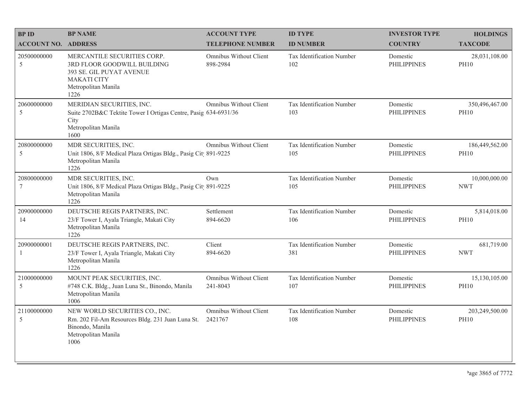| <b>BPID</b>                    | <b>BP NAME</b>                                                                                                                              | <b>ACCOUNT TYPE</b>                       | <b>ID TYPE</b>                   | <b>INVESTOR TYPE</b>           | <b>HOLDINGS</b>               |
|--------------------------------|---------------------------------------------------------------------------------------------------------------------------------------------|-------------------------------------------|----------------------------------|--------------------------------|-------------------------------|
| <b>ACCOUNT NO. ADDRESS</b>     |                                                                                                                                             | <b>TELEPHONE NUMBER</b>                   | <b>ID NUMBER</b>                 | <b>COUNTRY</b>                 | <b>TAXCODE</b>                |
| 20500000000<br>5               | MERCANTILE SECURITIES CORP.<br>3RD FLOOR GOODWILL BUILDING<br>393 SE. GIL PUYAT AVENUE<br><b>MAKATI CITY</b><br>Metropolitan Manila<br>1226 | Omnibus Without Client<br>898-2984        | Tax Identification Number<br>102 | Domestic<br><b>PHILIPPINES</b> | 28,031,108.00<br><b>PH10</b>  |
| 20600000000<br>5               | MERIDIAN SECURITIES, INC.<br>Suite 2702B&C Tektite Tower I Ortigas Centre, Pasig 634-6931/36<br>City<br>Metropolitan Manila<br>1600         | <b>Omnibus Without Client</b>             | Tax Identification Number<br>103 | Domestic<br><b>PHILIPPINES</b> | 350,496,467.00<br><b>PH10</b> |
| 20800000000<br>5               | MDR SECURITIES, INC.<br>Unit 1806, 8/F Medical Plaza Ortigas Bldg., Pasig Cit 891-9225<br>Metropolitan Manila<br>1226                       | Omnibus Without Client                    | Tax Identification Number<br>105 | Domestic<br><b>PHILIPPINES</b> | 186,449,562.00<br><b>PH10</b> |
| 20800000000<br>$7\phantom{.0}$ | MDR SECURITIES, INC.<br>Unit 1806, 8/F Medical Plaza Ortigas Bldg., Pasig Cit 891-9225<br>Metropolitan Manila<br>1226                       | Own                                       | Tax Identification Number<br>105 | Domestic<br><b>PHILIPPINES</b> | 10,000,000.00<br><b>NWT</b>   |
| 20900000000<br>14              | DEUTSCHE REGIS PARTNERS, INC.<br>23/F Tower I, Ayala Triangle, Makati City<br>Metropolitan Manila<br>1226                                   | Settlement<br>894-6620                    | Tax Identification Number<br>106 | Domestic<br><b>PHILIPPINES</b> | 5,814,018.00<br><b>PH10</b>   |
| 20900000001<br>-1              | DEUTSCHE REGIS PARTNERS, INC.<br>23/F Tower I, Ayala Triangle, Makati City<br>Metropolitan Manila<br>1226                                   | Client<br>894-6620                        | Tax Identification Number<br>381 | Domestic<br><b>PHILIPPINES</b> | 681,719.00<br><b>NWT</b>      |
| 21000000000<br>5               | MOUNT PEAK SECURITIES, INC.<br>#748 C.K. Bldg., Juan Luna St., Binondo, Manila<br>Metropolitan Manila<br>1006                               | <b>Omnibus Without Client</b><br>241-8043 | Tax Identification Number<br>107 | Domestic<br><b>PHILIPPINES</b> | 15,130,105.00<br><b>PH10</b>  |
| 21100000000<br>5               | NEW WORLD SECURITIES CO., INC.<br>Rm. 202 Fil-Am Resources Bldg. 231 Juan Luna St.<br>Binondo, Manila<br>Metropolitan Manila<br>1006        | Omnibus Without Client<br>2421767         | Tax Identification Number<br>108 | Domestic<br><b>PHILIPPINES</b> | 203,249,500.00<br><b>PH10</b> |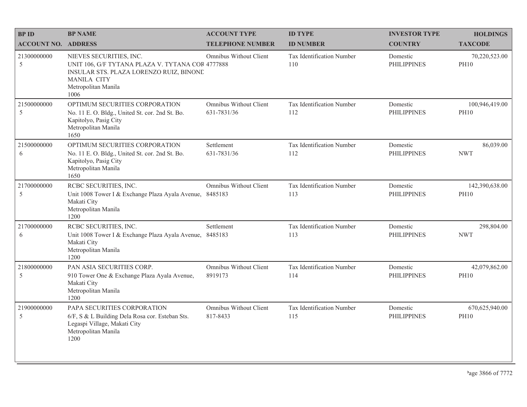| <b>BPID</b>                | <b>BP NAME</b>                                                                                                                                                              | <b>ACCOUNT TYPE</b>                          | <b>ID TYPE</b>                   | <b>INVESTOR TYPE</b>           | <b>HOLDINGS</b>               |
|----------------------------|-----------------------------------------------------------------------------------------------------------------------------------------------------------------------------|----------------------------------------------|----------------------------------|--------------------------------|-------------------------------|
| <b>ACCOUNT NO. ADDRESS</b> |                                                                                                                                                                             | <b>TELEPHONE NUMBER</b>                      | <b>ID NUMBER</b>                 | <b>COUNTRY</b>                 | <b>TAXCODE</b>                |
| 21300000000<br>5           | NIEVES SECURITIES, INC.<br>UNIT 106, G/F TYTANA PLAZA V. TYTANA COR 4777888<br>INSULAR STS. PLAZA LORENZO RUIZ, BINONE<br><b>MANILA CITY</b><br>Metropolitan Manila<br>1006 | Omnibus Without Client                       | Tax Identification Number<br>110 | Domestic<br><b>PHILIPPINES</b> | 70,220,523.00<br><b>PH10</b>  |
| 21500000000<br>5           | OPTIMUM SECURITIES CORPORATION<br>No. 11 E. O. Bldg., United St. cor. 2nd St. Bo.<br>Kapitolyo, Pasig City<br>Metropolitan Manila<br>1650                                   | <b>Omnibus Without Client</b><br>631-7831/36 | Tax Identification Number<br>112 | Domestic<br><b>PHILIPPINES</b> | 100,946,419.00<br><b>PH10</b> |
| 21500000000<br>6           | OPTIMUM SECURITIES CORPORATION<br>No. 11 E. O. Bldg., United St. cor. 2nd St. Bo.<br>Kapitolyo, Pasig City<br>Metropolitan Manila<br>1650                                   | Settlement<br>631-7831/36                    | Tax Identification Number<br>112 | Domestic<br><b>PHILIPPINES</b> | 86,039.00<br><b>NWT</b>       |
| 21700000000<br>5           | RCBC SECURITIES, INC.<br>Unit 1008 Tower I & Exchange Plaza Ayala Avenue, 8485183<br>Makati City<br>Metropolitan Manila<br>1200                                             | Omnibus Without Client                       | Tax Identification Number<br>113 | Domestic<br><b>PHILIPPINES</b> | 142,390,638.00<br><b>PH10</b> |
| 21700000000<br>6           | RCBC SECURITIES, INC.<br>Unit 1008 Tower I & Exchange Plaza Ayala Avenue,<br>Makati City<br>Metropolitan Manila<br>1200                                                     | Settlement<br>8485183                        | Tax Identification Number<br>113 | Domestic<br><b>PHILIPPINES</b> | 298,804.00<br><b>NWT</b>      |
| 21800000000<br>5           | PAN ASIA SECURITIES CORP.<br>910 Tower One & Exchange Plaza Ayala Avenue,<br>Makati City<br>Metropolitan Manila<br>1200                                                     | Omnibus Without Client<br>8919173            | Tax Identification Number<br>114 | Domestic<br><b>PHILIPPINES</b> | 42,079,862.00<br><b>PH10</b>  |
| 21900000000<br>5           | PAPA SECURITIES CORPORATION<br>6/F, S & L Building Dela Rosa cor. Esteban Sts.<br>Legaspi Village, Makati City<br>Metropolitan Manila<br>1200                               | <b>Omnibus Without Client</b><br>817-8433    | Tax Identification Number<br>115 | Domestic<br><b>PHILIPPINES</b> | 670,625,940.00<br><b>PH10</b> |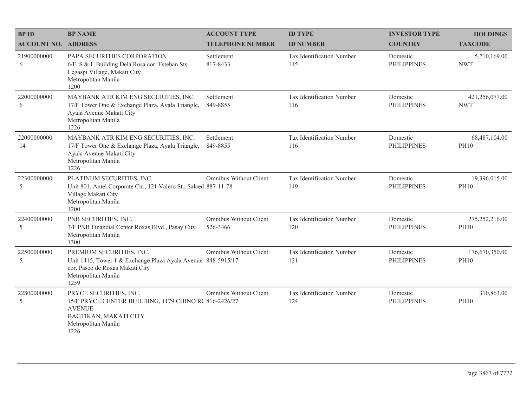| <b>BPID</b>                | <b>BP NAME</b>                                                                                                                                             | <b>ACCOUNT TYPE</b>                | <b>ID TYPE</b>                   | <b>INVESTOR TYPE</b>           | <b>HOLDINGS</b>               |
|----------------------------|------------------------------------------------------------------------------------------------------------------------------------------------------------|------------------------------------|----------------------------------|--------------------------------|-------------------------------|
| <b>ACCOUNT NO. ADDRESS</b> |                                                                                                                                                            | <b>TELEPHONE NUMBER</b>            | <b>ID NUMBER</b>                 | <b>COUNTRY</b>                 | <b>TAXCODE</b>                |
| 21900000000<br>6           | PAPA SECURITIES CORPORATION<br>6/F, S & L Building Dela Rosa cor. Esteban Sts.<br>Legaspi Village, Makati City<br>Metropolitan Manila<br>1200              | Settlement<br>817-8433             | Tax Identification Number<br>115 | Domestic<br><b>PHILIPPINES</b> | 5,710,169.00<br><b>NWT</b>    |
| 22000000000<br>6           | MAYBANK ATR KIM ENG SECURITIES, INC.<br>17/F Tower One & Exchange Plaza, Ayala Triangle,<br>Ayala Avenue Makati City<br>Metropolitan Manila<br>1226        | Settlement<br>849-8855             | Tax Identification Number<br>116 | Domestic<br><b>PHILIPPINES</b> | 421,256,077.00<br><b>NWT</b>  |
| 22000000000<br>14          | MAYBANK ATR KIM ENG SECURITIES, INC.<br>17/F Tower One & Exchange Plaza, Ayala Triangle,<br>Ayala Avenue Makati City<br>Metropolitan Manila<br>1226        | Settlement<br>849-8855             | Tax Identification Number<br>116 | Domestic<br><b>PHILIPPINES</b> | 68,487,104.00<br><b>PH10</b>  |
| 22300000000<br>5           | PLATINUM SECURITIES, INC.<br>Unit 801, Antel Corporate Ctr., 121 Valero St., Salced 887-11-78<br>Village Makati City<br>Metropolitan Manila<br>1200        | <b>Omnibus Without Client</b>      | Tax Identification Number<br>119 | Domestic<br><b>PHILIPPINES</b> | 19,396,015.00<br><b>PH10</b>  |
| 22400000000<br>5           | PNB SECURITIES, INC.<br>3/F PNB Financial Center Roxas Blvd., Pasay City<br>Metropolitan Manila<br>1300                                                    | Omnibus Without Client<br>526-3466 | Tax Identification Number<br>120 | Domestic<br><b>PHILIPPINES</b> | 275,252,216.00<br><b>PH10</b> |
| 22500000000<br>5           | PREMIUM SECURITIES, INC.<br>Unit 1415, Tower 1 & Exchange Plaza Ayala Avenue 848-5915/17<br>cor. Paseo de Roxas Makati City<br>Metropolitan Manila<br>1259 | Omnibus Without Client             | Tax Identification Number<br>121 | Domestic<br><b>PHILIPPINES</b> | 176,670,350.00<br><b>PH10</b> |
| 22800000000<br>5           | PRYCE SECURITIES, INC.<br>15/F PRYCE CENTER BUILDING, 1179 CHINO R(816-2426/27)<br><b>AVENUE</b><br>BAGTIKAN, MAKATI CITY<br>Metropolitan Manila<br>1226   | Omnibus Without Client             | Tax Identification Number<br>124 | Domestic<br><b>PHILIPPINES</b> | 310,863.00<br><b>PH10</b>     |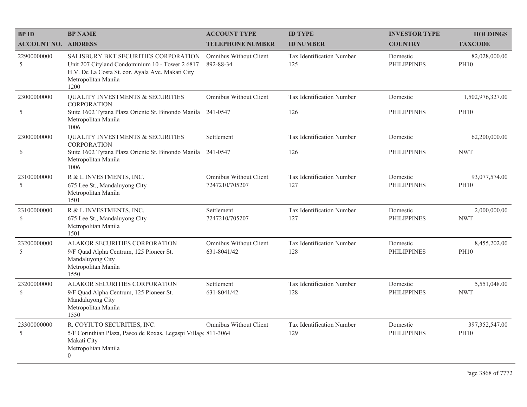| <b>BPID</b>                | <b>BP NAME</b>                                                                                                                                                             | <b>ACCOUNT TYPE</b>                          | <b>ID TYPE</b>                   | <b>INVESTOR TYPE</b>           | <b>HOLDINGS</b>                 |
|----------------------------|----------------------------------------------------------------------------------------------------------------------------------------------------------------------------|----------------------------------------------|----------------------------------|--------------------------------|---------------------------------|
| <b>ACCOUNT NO. ADDRESS</b> |                                                                                                                                                                            | <b>TELEPHONE NUMBER</b>                      | <b>ID NUMBER</b>                 | <b>COUNTRY</b>                 | <b>TAXCODE</b>                  |
| 22900000000<br>5           | SALISBURY BKT SECURITIES CORPORATION<br>Unit 207 Cityland Condominium 10 - Tower 2 6817<br>H.V. De La Costa St. cor. Ayala Ave. Makati City<br>Metropolitan Manila<br>1200 | Omnibus Without Client<br>892-88-34          | Tax Identification Number<br>125 | Domestic<br><b>PHILIPPINES</b> | 82,028,000.00<br><b>PH10</b>    |
| 23000000000<br>5           | <b>QUALITY INVESTMENTS &amp; SECURITIES</b><br><b>CORPORATION</b><br>Suite 1602 Tytana Plaza Oriente St, Binondo Manila<br>Metropolitan Manila<br>1006                     | <b>Omnibus Without Client</b><br>241-0547    | Tax Identification Number<br>126 | Domestic<br><b>PHILIPPINES</b> | 1,502,976,327.00<br><b>PH10</b> |
| 23000000000<br>6           | <b>QUALITY INVESTMENTS &amp; SECURITIES</b><br><b>CORPORATION</b><br>Suite 1602 Tytana Plaza Oriente St, Binondo Manila 241-0547<br>Metropolitan Manila<br>1006            | Settlement                                   | Tax Identification Number<br>126 | Domestic<br><b>PHILIPPINES</b> | 62,200,000.00<br><b>NWT</b>     |
| 23100000000<br>5           | R & L INVESTMENTS, INC.<br>675 Lee St., Mandaluyong City<br>Metropolitan Manila<br>1501                                                                                    | Omnibus Without Client<br>7247210/705207     | Tax Identification Number<br>127 | Domestic<br><b>PHILIPPINES</b> | 93,077,574.00<br><b>PH10</b>    |
| 23100000000<br>6           | R & L INVESTMENTS, INC.<br>675 Lee St., Mandaluyong City<br>Metropolitan Manila<br>1501                                                                                    | Settlement<br>7247210/705207                 | Tax Identification Number<br>127 | Domestic<br><b>PHILIPPINES</b> | 2,000,000.00<br><b>NWT</b>      |
| 23200000000<br>5           | ALAKOR SECURITIES CORPORATION<br>9/F Quad Alpha Centrum, 125 Pioneer St.<br>Mandaluyong City<br>Metropolitan Manila<br>1550                                                | <b>Omnibus Without Client</b><br>631-8041/42 | Tax Identification Number<br>128 | Domestic<br><b>PHILIPPINES</b> | 8,455,202.00<br><b>PH10</b>     |
| 23200000000<br>6           | ALAKOR SECURITIES CORPORATION<br>9/F Quad Alpha Centrum, 125 Pioneer St.<br>Mandaluyong City<br>Metropolitan Manila<br>1550                                                | Settlement<br>631-8041/42                    | Tax Identification Number<br>128 | Domestic<br><b>PHILIPPINES</b> | 5,551,048.00<br><b>NWT</b>      |
| 23300000000<br>5           | R. COYIUTO SECURITIES, INC.<br>5/F Corinthian Plaza, Paseo de Roxas, Legaspi Villag( 811-3064<br>Makati City<br>Metropolitan Manila<br>$\boldsymbol{0}$                    | <b>Omnibus Without Client</b>                | Tax Identification Number<br>129 | Domestic<br><b>PHILIPPINES</b> | 397, 352, 547.00<br><b>PH10</b> |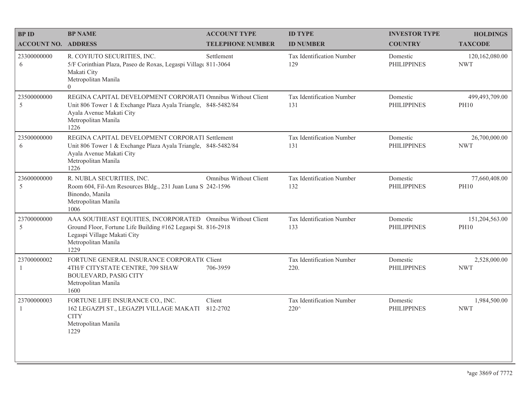| <b>BPID</b>                | <b>BP NAME</b>                                                                                                                                                                             | <b>ACCOUNT TYPE</b>     | <b>ID TYPE</b>                          | <b>INVESTOR TYPE</b>           | <b>HOLDINGS</b>               |
|----------------------------|--------------------------------------------------------------------------------------------------------------------------------------------------------------------------------------------|-------------------------|-----------------------------------------|--------------------------------|-------------------------------|
| <b>ACCOUNT NO. ADDRESS</b> |                                                                                                                                                                                            | <b>TELEPHONE NUMBER</b> | <b>ID NUMBER</b>                        | <b>COUNTRY</b>                 | <b>TAXCODE</b>                |
| 23300000000<br>6           | R. COYIUTO SECURITIES, INC.<br>5/F Corinthian Plaza, Paseo de Roxas, Legaspi Village 811-3064<br>Makati City<br>Metropolitan Manila<br>$\Omega$                                            | Settlement              | <b>Tax Identification Number</b><br>129 | Domestic<br><b>PHILIPPINES</b> | 120,162,080.00<br><b>NWT</b>  |
| 23500000000<br>5           | REGINA CAPITAL DEVELOPMENT CORPORATI Omnibus Without Client<br>Unit 806 Tower 1 & Exchange Plaza Ayala Triangle, 848-5482/84<br>Ayala Avenue Makati City<br>Metropolitan Manila<br>1226    |                         | Tax Identification Number<br>131        | Domestic<br><b>PHILIPPINES</b> | 499,493,709.00<br><b>PH10</b> |
| 23500000000<br>6           | REGINA CAPITAL DEVELOPMENT CORPORATI Settlement<br>Unit 806 Tower 1 & Exchange Plaza Ayala Triangle, 848-5482/84<br>Ayala Avenue Makati City<br>Metropolitan Manila<br>1226                |                         | Tax Identification Number<br>131        | Domestic<br><b>PHILIPPINES</b> | 26,700,000.00<br><b>NWT</b>   |
| 23600000000<br>5           | R. NUBLA SECURITIES, INC.<br>Room 604, Fil-Am Resources Bldg., 231 Juan Luna S 242-1596<br>Binondo, Manila<br>Metropolitan Manila<br>1006                                                  | Omnibus Without Client  | Tax Identification Number<br>132        | Domestic<br><b>PHILIPPINES</b> | 77,660,408.00<br><b>PH10</b>  |
| 23700000000<br>5           | AAA SOUTHEAST EQUITIES, INCORPORATED Omnibus Without Client<br>Ground Floor, Fortune Life Building #162 Legaspi St. 816-2918<br>Legaspi Village Makati City<br>Metropolitan Manila<br>1229 |                         | Tax Identification Number<br>133        | Domestic<br><b>PHILIPPINES</b> | 151,204,563.00<br><b>PH10</b> |
| 23700000002<br>1           | FORTUNE GENERAL INSURANCE CORPORATIC Client<br>4TH/F CITYSTATE CENTRE, 709 SHAW<br><b>BOULEVARD, PASIG CITY</b><br>Metropolitan Manila<br>1600                                             | 706-3959                | Tax Identification Number<br>220.       | Domestic<br><b>PHILIPPINES</b> | 2,528,000.00<br><b>NWT</b>    |
| 23700000003<br>1           | FORTUNE LIFE INSURANCE CO., INC.<br>162 LEGAZPI ST., LEGAZPI VILLAGE MAKATI 812-2702<br><b>CITY</b><br>Metropolitan Manila<br>1229                                                         | Client                  | Tax Identification Number<br>220^       | Domestic<br><b>PHILIPPINES</b> | 1,984,500.00<br><b>NWT</b>    |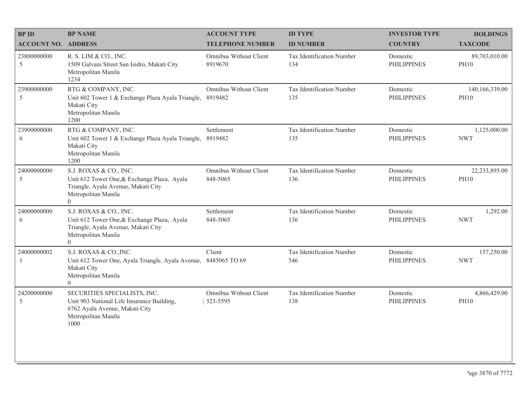| <b>BPID</b>                 | <b>BP NAME</b>                                                                                                                                  | <b>ACCOUNT TYPE</b>                | <b>ID TYPE</b>                   | <b>INVESTOR TYPE</b>           | <b>HOLDINGS</b>               |
|-----------------------------|-------------------------------------------------------------------------------------------------------------------------------------------------|------------------------------------|----------------------------------|--------------------------------|-------------------------------|
| <b>ACCOUNT NO. ADDRESS</b>  |                                                                                                                                                 | <b>TELEPHONE NUMBER</b>            | <b>ID NUMBER</b>                 | <b>COUNTRY</b>                 | <b>TAXCODE</b>                |
| 23800000000<br>5            | R. S. LIM & CO., INC.<br>1509 Galvani Street San Isidro, Makati City<br>Metropolitan Manila<br>1234                                             | Omnibus Without Client<br>8919670  | Tax Identification Number<br>134 | Domestic<br><b>PHILIPPINES</b> | 89,703,010.00<br><b>PH10</b>  |
| 23900000000<br>5            | RTG & COMPANY, INC.<br>Unit 602 Tower 1 & Exchange Plaza Ayala Triangle,<br>Makati City<br>Metropolitan Manila<br>1200                          | Omnibus Without Client<br>8919482  | Tax Identification Number<br>135 | Domestic<br><b>PHILIPPINES</b> | 140,166,339.00<br><b>PH10</b> |
| 23900000000<br>6            | RTG & COMPANY, INC.<br>Unit 602 Tower 1 & Exchange Plaza Ayala Triangle,<br>Makati City<br>Metropolitan Manila<br>1200                          | Settlement<br>8919482              | Tax Identification Number<br>135 | Domestic<br><b>PHILIPPINES</b> | 1,125,000.00<br><b>NWT</b>    |
| 24000000000<br>5            | S.J. ROXAS & CO., INC.<br>Unit 612 Tower One, & Exchange Plaza, Ayala<br>Triangle, Ayala Avenue, Makati City<br>Metropolitan Manila<br>$\theta$ | Omnibus Without Client<br>848-5065 | Tax Identification Number<br>136 | Domestic<br><b>PHILIPPINES</b> | 22,233,895.00<br><b>PH10</b>  |
| 24000000000<br>6            | S.J. ROXAS & CO., INC.<br>Unit 612 Tower One, & Exchange Plaza, Ayala<br>Triangle, Ayala Avenue, Makati City<br>Metropolitan Manila<br>$\theta$ | Settlement<br>848-5065             | Tax Identification Number<br>136 | Domestic<br><b>PHILIPPINES</b> | 1,292.00<br><b>NWT</b>        |
| 24000000002<br>$\mathbf{1}$ | S.J. ROXAS & CO., INC.<br>Unit 612 Tower One, Ayala Triangle, Ayala Avenue,<br>Makati City<br>Metropolitan Manila<br>$\overline{0}$             | Client<br>8485065 TO 69            | Tax Identification Number<br>546 | Domestic<br><b>PHILIPPINES</b> | 157,250.00<br><b>NWT</b>      |
| 24200000000<br>5            | SECURITIES SPECIALISTS, INC.<br>Unit 903 National Life Insurance Building,<br>6762 Ayala Avenue, Makati City<br>Metropolitan Manila<br>1000     | Omnibus Without Client<br>523-5595 | Tax Identification Number<br>138 | Domestic<br><b>PHILIPPINES</b> | 4,866,429.00<br><b>PH10</b>   |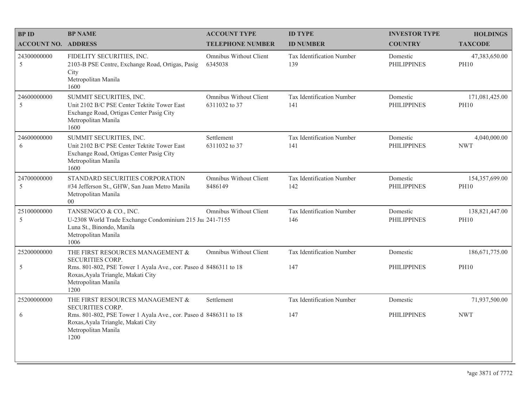| <b>BPID</b>                | <b>BP NAME</b>                                                                                                                                    | <b>ACCOUNT TYPE</b>                     | <b>ID TYPE</b>                   | <b>INVESTOR TYPE</b>           | <b>HOLDINGS</b>               |
|----------------------------|---------------------------------------------------------------------------------------------------------------------------------------------------|-----------------------------------------|----------------------------------|--------------------------------|-------------------------------|
| <b>ACCOUNT NO. ADDRESS</b> |                                                                                                                                                   | <b>TELEPHONE NUMBER</b>                 | <b>ID NUMBER</b>                 | <b>COUNTRY</b>                 | <b>TAXCODE</b>                |
| 24300000000<br>5           | FIDELITY SECURITIES, INC.<br>2103-B PSE Centre, Exchange Road, Ortigas, Pasig<br>City<br>Metropolitan Manila<br>1600                              | Omnibus Without Client<br>6345038       | Tax Identification Number<br>139 | Domestic<br><b>PHILIPPINES</b> | 47,383,650.00<br><b>PH10</b>  |
| 24600000000<br>5           | SUMMIT SECURITIES, INC.<br>Unit 2102 B/C PSE Center Tektite Tower East<br>Exchange Road, Ortigas Center Pasig City<br>Metropolitan Manila<br>1600 | Omnibus Without Client<br>6311032 to 37 | Tax Identification Number<br>141 | Domestic<br><b>PHILIPPINES</b> | 171,081,425.00<br><b>PH10</b> |
| 24600000000<br>6           | SUMMIT SECURITIES, INC.<br>Unit 2102 B/C PSE Center Tektite Tower East<br>Exchange Road, Ortigas Center Pasig City<br>Metropolitan Manila<br>1600 | Settlement<br>6311032 to 37             | Tax Identification Number<br>141 | Domestic<br><b>PHILIPPINES</b> | 4,040,000.00<br><b>NWT</b>    |
| 24700000000<br>5           | STANDARD SECURITIES CORPORATION<br>#34 Jefferson St., GHW, San Juan Metro Manila<br>Metropolitan Manila<br>$00\,$                                 | Omnibus Without Client<br>8486149       | Tax Identification Number<br>142 | Domestic<br><b>PHILIPPINES</b> | 154,357,699.00<br><b>PH10</b> |
| 25100000000<br>5           | TANSENGCO & CO., INC.<br>U-2308 World Trade Exchange Condominium 215 Jul 241-7155<br>Luna St., Binondo, Manila<br>Metropolitan Manila<br>1006     | Omnibus Without Client                  | Tax Identification Number<br>146 | Domestic<br><b>PHILIPPINES</b> | 138,821,447.00<br><b>PH10</b> |
| 25200000000                | THE FIRST RESOURCES MANAGEMENT $\&$<br><b>SECURITIES CORP.</b>                                                                                    | Omnibus Without Client                  | Tax Identification Number        | Domestic                       | 186, 671, 775.00              |
| 5                          | Rms. 801-802, PSE Tower 1 Ayala Ave., cor. Paseo d 8486311 to 18<br>Roxas, Ayala Triangle, Makati City<br>Metropolitan Manila<br>1200             |                                         | 147                              | <b>PHILIPPINES</b>             | <b>PH10</b>                   |
| 25200000000                | THE FIRST RESOURCES MANAGEMENT &<br><b>SECURITIES CORP.</b>                                                                                       | Settlement                              | Tax Identification Number        | Domestic                       | 71,937,500.00                 |
| 6                          | Rms. 801-802, PSE Tower 1 Ayala Ave., cor. Paseo d 8486311 to 18<br>Roxas, Ayala Triangle, Makati City<br>Metropolitan Manila<br>1200             |                                         | 147                              | <b>PHILIPPINES</b>             | <b>NWT</b>                    |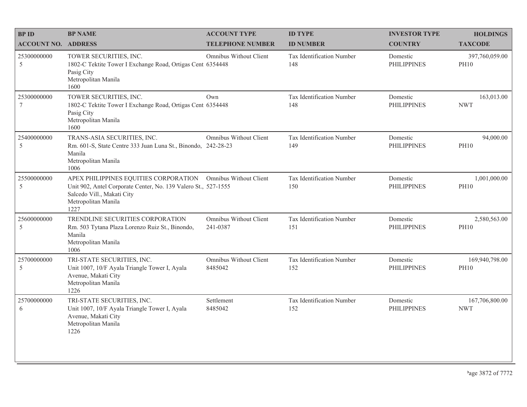| <b>BPID</b>                    | <b>BP NAME</b>                                                                                                                                                       | <b>ACCOUNT TYPE</b>                | <b>ID TYPE</b>                   | <b>INVESTOR TYPE</b>           | <b>HOLDINGS</b>               |
|--------------------------------|----------------------------------------------------------------------------------------------------------------------------------------------------------------------|------------------------------------|----------------------------------|--------------------------------|-------------------------------|
| <b>ACCOUNT NO. ADDRESS</b>     |                                                                                                                                                                      | <b>TELEPHONE NUMBER</b>            | <b>ID NUMBER</b>                 | <b>COUNTRY</b>                 | <b>TAXCODE</b>                |
| 25300000000<br>5               | TOWER SECURITIES, INC.<br>1802-C Tektite Tower I Exchange Road, Ortigas Cent 6354448<br>Pasig City<br>Metropolitan Manila<br>1600                                    | Omnibus Without Client             | Tax Identification Number<br>148 | Domestic<br><b>PHILIPPINES</b> | 397,760,059.00<br><b>PH10</b> |
| 25300000000<br>$7\phantom{.0}$ | TOWER SECURITIES, INC.<br>1802-C Tektite Tower I Exchange Road, Ortigas Cent 6354448<br>Pasig City<br>Metropolitan Manila<br>1600                                    | Own                                | Tax Identification Number<br>148 | Domestic<br><b>PHILIPPINES</b> | 163,013.00<br><b>NWT</b>      |
| 25400000000<br>5               | TRANS-ASIA SECURITIES, INC.<br>Rm. 601-S, State Centre 333 Juan Luna St., Binondo, 242-28-23<br>Manila<br>Metropolitan Manila<br>1006                                | Omnibus Without Client             | Tax Identification Number<br>149 | Domestic<br><b>PHILIPPINES</b> | 94,000.00<br><b>PH10</b>      |
| 25500000000<br>5               | APEX PHILIPPINES EQUITIES CORPORATION<br>Unit 902, Antel Corporate Center, No. 139 Valero St., 527-1555<br>Salcedo Vill., Makati City<br>Metropolitan Manila<br>1227 | <b>Omnibus Without Client</b>      | Tax Identification Number<br>150 | Domestic<br><b>PHILIPPINES</b> | 1,001,000.00<br><b>PH10</b>   |
| 25600000000<br>5               | TRENDLINE SECURITIES CORPORATION<br>Rm. 503 Tytana Plaza Lorenzo Ruiz St., Binondo,<br>Manila<br>Metropolitan Manila<br>1006                                         | Omnibus Without Client<br>241-0387 | Tax Identification Number<br>151 | Domestic<br><b>PHILIPPINES</b> | 2,580,563.00<br><b>PH10</b>   |
| 25700000000<br>$\mathfrak s$   | TRI-STATE SECURITIES, INC.<br>Unit 1007, 10/F Ayala Triangle Tower I, Ayala<br>Avenue, Makati City<br>Metropolitan Manila<br>1226                                    | Omnibus Without Client<br>8485042  | Tax Identification Number<br>152 | Domestic<br><b>PHILIPPINES</b> | 169,940,798.00<br><b>PH10</b> |
| 25700000000<br>6               | TRI-STATE SECURITIES, INC.<br>Unit 1007, 10/F Ayala Triangle Tower I, Ayala<br>Avenue, Makati City<br>Metropolitan Manila<br>1226                                    | Settlement<br>8485042              | Tax Identification Number<br>152 | Domestic<br><b>PHILIPPINES</b> | 167,706,800.00<br><b>NWT</b>  |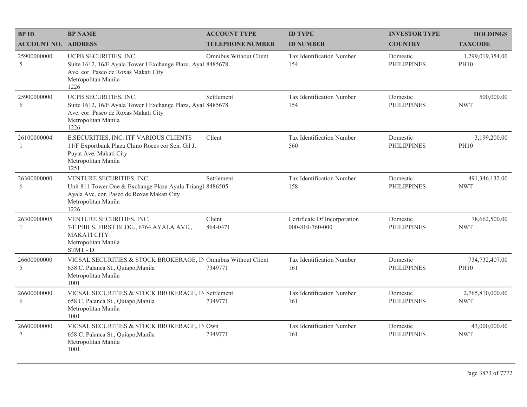| <b>BP ID</b>                   | <b>BP NAME</b>                                                                                                                                                     | <b>ACCOUNT TYPE</b>     | <b>ID TYPE</b>                                  | <b>INVESTOR TYPE</b>           | <b>HOLDINGS</b>                 |
|--------------------------------|--------------------------------------------------------------------------------------------------------------------------------------------------------------------|-------------------------|-------------------------------------------------|--------------------------------|---------------------------------|
| <b>ACCOUNT NO. ADDRESS</b>     |                                                                                                                                                                    | <b>TELEPHONE NUMBER</b> | <b>ID NUMBER</b>                                | <b>COUNTRY</b>                 | <b>TAXCODE</b>                  |
| 25900000000<br>5               | UCPB SECURITIES, INC.<br>Suite 1612, 16/F Ayala Tower I Exchange Plaza, Ayal 8485678<br>Ave. cor. Paseo de Roxas Makati City<br>Metropolitan Manila<br>1226        | Omnibus Without Client  | Tax Identification Number<br>154                | Domestic<br><b>PHILIPPINES</b> | 1,299,019,354.00<br><b>PH10</b> |
| 25900000000<br>6               | UCPB SECURITIES, INC.<br>Suite 1612, 16/F Ayala Tower I Exchange Plaza, Ayal 8485678<br>Ave. cor. Paseo de Roxas Makati City<br>Metropolitan Manila<br>1226        | Settlement              | Tax Identification Number<br>154                | Domestic<br><b>PHILIPPINES</b> | 500,000.00<br><b>NWT</b>        |
| 26100000004                    | E.SECURITIES, INC. ITF VARIOUS CLIENTS<br>11/F Exportbank Plaza Chino Roces cor Sen. Gil J.<br>Puyat Ave, Makati City<br>Metropolitan Manila<br>1251               | Client                  | Tax Identification Number<br>560                | Domestic<br><b>PHILIPPINES</b> | 3,199,200.00<br><b>PH10</b>     |
| 26300000000<br>6               | VENTURE SECURITIES, INC.<br>Unit 811 Tower One & Exchange Plaza Ayala Triangl 8486505<br>Ayala Ave. cor. Paseo de Roxas Makati City<br>Metropolitan Manila<br>1226 | Settlement              | Tax Identification Number<br>158                | Domestic<br><b>PHILIPPINES</b> | 491,346,132.00<br><b>NWT</b>    |
| 26300000005<br>-1              | VENTURE SECURITIES, INC.<br>7/F PHILS. FIRST BLDG., 6764 AYALA AVE.,<br><b>MAKATI CITY</b><br>Metropolitan Manila<br>STMT-D                                        | Client<br>864-0471      | Certificate Of Incorporation<br>000-810-760-000 | Domestic<br><b>PHILIPPINES</b> | 78,662,500.00<br><b>NWT</b>     |
| 26600000000<br>5               | VICSAL SECURITIES & STOCK BROKERAGE, IN Omnibus Without Client<br>658 C. Palanca St., Quiapo, Manila<br>Metropolitan Manila<br>1001                                | 7349771                 | Tax Identification Number<br>161                | Domestic<br><b>PHILIPPINES</b> | 734,732,407.00<br><b>PH10</b>   |
| 26600000000<br>6               | VICSAL SECURITIES & STOCK BROKERAGE, IN Settlement<br>658 C. Palanca St., Quiapo, Manila<br>Metropolitan Manila<br>1001                                            | 7349771                 | Tax Identification Number<br>161                | Domestic<br><b>PHILIPPINES</b> | 2,765,810,000.00<br><b>NWT</b>  |
| 26600000000<br>$7\phantom{.0}$ | VICSAL SECURITIES & STOCK BROKERAGE, IN Own<br>658 C. Palanca St., Quiapo, Manila<br>Metropolitan Manila<br>1001                                                   | 7349771                 | Tax Identification Number<br>161                | Domestic<br><b>PHILIPPINES</b> | 43,000,000.00<br><b>NWT</b>     |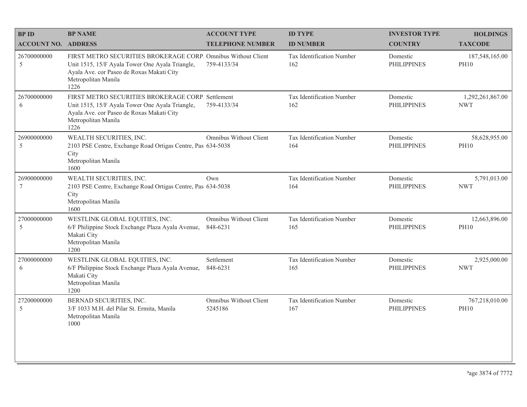| <b>BPID</b>                | <b>BP NAME</b>                                                                                                                                                                               | <b>ACCOUNT TYPE</b>                | <b>ID TYPE</b>                   | <b>INVESTOR TYPE</b>           | <b>HOLDINGS</b>                |
|----------------------------|----------------------------------------------------------------------------------------------------------------------------------------------------------------------------------------------|------------------------------------|----------------------------------|--------------------------------|--------------------------------|
| <b>ACCOUNT NO. ADDRESS</b> |                                                                                                                                                                                              | <b>TELEPHONE NUMBER</b>            | <b>ID NUMBER</b>                 | <b>COUNTRY</b>                 | <b>TAXCODE</b>                 |
| 26700000000<br>5           | FIRST METRO SECURITIES BROKERAGE CORP. Omnibus Without Client<br>Unit 1515, 15/F Ayala Tower One Ayala Triangle,<br>Ayala Ave. cor Paseo de Roxas Makati City<br>Metropolitan Manila<br>1226 | 759-4133/34                        | Tax Identification Number<br>162 | Domestic<br><b>PHILIPPINES</b> | 187,548,165.00<br><b>PH10</b>  |
| 26700000000<br>6           | FIRST METRO SECURITIES BROKERAGE CORP. Settlement<br>Unit 1515, 15/F Ayala Tower One Ayala Triangle,<br>Ayala Ave. cor Paseo de Roxas Makati City<br>Metropolitan Manila<br>1226             | 759-4133/34                        | Tax Identification Number<br>162 | Domestic<br><b>PHILIPPINES</b> | 1,292,261,867.00<br><b>NWT</b> |
| 26900000000<br>5           | WEALTH SECURITIES, INC.<br>2103 PSE Centre, Exchange Road Ortigas Centre, Pas 634-5038<br>City<br>Metropolitan Manila<br>1600                                                                | <b>Omnibus Without Client</b>      | Tax Identification Number<br>164 | Domestic<br><b>PHILIPPINES</b> | 58,628,955.00<br><b>PH10</b>   |
| 26900000000<br>$\tau$      | WEALTH SECURITIES, INC.<br>2103 PSE Centre, Exchange Road Ortigas Centre, Pas 634-5038<br>City<br>Metropolitan Manila<br>1600                                                                | Own                                | Tax Identification Number<br>164 | Domestic<br><b>PHILIPPINES</b> | 5,791,013.00<br><b>NWT</b>     |
| 27000000000<br>5           | WESTLINK GLOBAL EQUITIES, INC.<br>6/F Philippine Stock Exchange Plaza Ayala Avenue,<br>Makati City<br>Metropolitan Manila<br>1200                                                            | Omnibus Without Client<br>848-6231 | Tax Identification Number<br>165 | Domestic<br><b>PHILIPPINES</b> | 12,663,896.00<br><b>PH10</b>   |
| 27000000000<br>6           | WESTLINK GLOBAL EQUITIES, INC.<br>6/F Philippine Stock Exchange Plaza Ayala Avenue,<br>Makati City<br>Metropolitan Manila<br>1200                                                            | Settlement<br>848-6231             | Tax Identification Number<br>165 | Domestic<br><b>PHILIPPINES</b> | 2,925,000.00<br><b>NWT</b>     |
| 27200000000<br>5           | BERNAD SECURITIES, INC.<br>3/F 1033 M.H. del Pilar St. Ermita, Manila<br>Metropolitan Manila<br>1000                                                                                         | Omnibus Without Client<br>5245186  | Tax Identification Number<br>167 | Domestic<br><b>PHILIPPINES</b> | 767,218,010.00<br><b>PH10</b>  |
|                            |                                                                                                                                                                                              |                                    |                                  |                                |                                |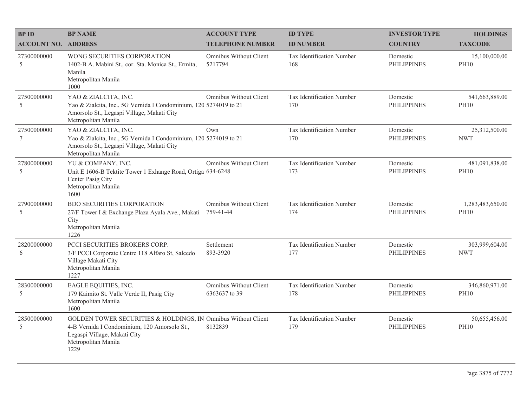| <b>BPID</b>                | <b>BP NAME</b>                                                                                                                                                               | <b>ACCOUNT TYPE</b>                     | <b>ID TYPE</b>                   | <b>INVESTOR TYPE</b>           | <b>HOLDINGS</b>                 |
|----------------------------|------------------------------------------------------------------------------------------------------------------------------------------------------------------------------|-----------------------------------------|----------------------------------|--------------------------------|---------------------------------|
| <b>ACCOUNT NO. ADDRESS</b> |                                                                                                                                                                              | <b>TELEPHONE NUMBER</b>                 | <b>ID NUMBER</b>                 | <b>COUNTRY</b>                 | <b>TAXCODE</b>                  |
| 27300000000<br>5           | WONG SECURITIES CORPORATION<br>1402-B A. Mabini St., cor. Sta. Monica St., Ermita,<br>Manila<br>Metropolitan Manila<br>1000                                                  | Omnibus Without Client<br>5217794       | Tax Identification Number<br>168 | Domestic<br><b>PHILIPPINES</b> | 15,100,000.00<br><b>PH10</b>    |
| 27500000000<br>5           | YAO & ZIALCITA, INC.<br>Yao & Zialcita, Inc., 5G Vernida I Condominium, 120 5274019 to 21<br>Amorsolo St., Legaspi Village, Makati City<br>Metropolitan Manila               | Omnibus Without Client                  | Tax Identification Number<br>170 | Domestic<br><b>PHILIPPINES</b> | 541,663,889.00<br><b>PH10</b>   |
| 27500000000<br>7           | YAO & ZIALCITA, INC.<br>Yao & Zialcita, Inc., 5G Vernida I Condominium, 120 5274019 to 21<br>Amorsolo St., Legaspi Village, Makati City<br>Metropolitan Manila               | Own                                     | Tax Identification Number<br>170 | Domestic<br><b>PHILIPPINES</b> | 25,312,500.00<br><b>NWT</b>     |
| 27800000000<br>5           | YU & COMPANY, INC.<br>Unit E 1606-B Tektite Tower 1 Exhange Road, Ortiga 634-6248<br>Center Pasig City<br>Metropolitan Manila<br>1600                                        | <b>Omnibus Without Client</b>           | Tax Identification Number<br>173 | Domestic<br><b>PHILIPPINES</b> | 481,091,838.00<br><b>PH10</b>   |
| 27900000000<br>5           | <b>BDO SECURITIES CORPORATION</b><br>27/F Tower I & Exchange Plaza Ayala Ave., Makati<br>City<br>Metropolitan Manila<br>1226                                                 | Omnibus Without Client<br>759-41-44     | Tax Identification Number<br>174 | Domestic<br><b>PHILIPPINES</b> | 1,283,483,650.00<br><b>PH10</b> |
| 28200000000<br>6           | PCCI SECURITIES BROKERS CORP.<br>3/F PCCI Corporate Centre 118 Alfaro St, Salcedo<br>Village Makati City<br>Metropolitan Manila<br>1227                                      | Settlement<br>893-3920                  | Tax Identification Number<br>177 | Domestic<br><b>PHILIPPINES</b> | 303,999,604.00<br><b>NWT</b>    |
| 28300000000<br>5           | EAGLE EQUITIES, INC.<br>179 Kaimito St. Valle Verde II, Pasig City<br>Metropolitan Manila<br>1600                                                                            | Omnibus Without Client<br>6363637 to 39 | Tax Identification Number<br>178 | Domestic<br><b>PHILIPPINES</b> | 346,860,971.00<br><b>PH10</b>   |
| 28500000000<br>5           | GOLDEN TOWER SECURITIES & HOLDINGS, IN Omnibus Without Client<br>4-B Vernida I Condominium, 120 Amorsolo St.,<br>Legaspi Village, Makati City<br>Metropolitan Manila<br>1229 | 8132839                                 | Tax Identification Number<br>179 | Domestic<br><b>PHILIPPINES</b> | 50,655,456.00<br><b>PH10</b>    |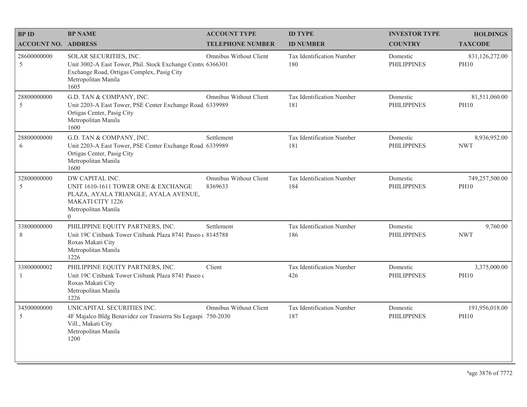| <b>BPID</b>                | <b>BP NAME</b>                                                                                                                                                     | <b>ACCOUNT TYPE</b>                      | <b>ID TYPE</b>                   | <b>INVESTOR TYPE</b>           | <b>HOLDINGS</b>               |
|----------------------------|--------------------------------------------------------------------------------------------------------------------------------------------------------------------|------------------------------------------|----------------------------------|--------------------------------|-------------------------------|
| <b>ACCOUNT NO. ADDRESS</b> |                                                                                                                                                                    | <b>TELEPHONE NUMBER</b>                  | <b>ID NUMBER</b>                 | <b>COUNTRY</b>                 | <b>TAXCODE</b>                |
| 28600000000<br>5           | SOLAR SECURITIES, INC.<br>Unit 3002-A East Tower, Phil. Stock Exchange Centre 6366301<br>Exchange Road, Ortigas Complex, Pasig City<br>Metropolitan Manila<br>1605 | Omnibus Without Client                   | Tax Identification Number<br>180 | Domestic<br><b>PHILIPPINES</b> | 831,126,272.00<br><b>PH10</b> |
| 28800000000<br>5           | G.D. TAN & COMPANY, INC.<br>Unit 2203-A East Tower, PSE Center Exchange Road, 6339989<br>Ortigas Center, Pasig City<br>Metropolitan Manila<br>1600                 | Omnibus Without Client                   | Tax Identification Number<br>181 | Domestic<br><b>PHILIPPINES</b> | 81,511,060.00<br><b>PH10</b>  |
| 28800000000<br>6           | G.D. TAN & COMPANY, INC.<br>Unit 2203-A East Tower, PSE Center Exchange Road. 6339989<br>Ortigas Center, Pasig City<br>Metropolitan Manila<br>1600                 | Settlement                               | Tax Identification Number<br>181 | Domestic<br><b>PHILIPPINES</b> | 8,936,952.00<br><b>NWT</b>    |
| 32800000000<br>5           | DW CAPITAL INC.<br>UNIT 1610-1611 TOWER ONE & EXCHANGE<br>PLAZA, AYALA TRIANGLE, AYALA AVENUE,<br><b>MAKATI CITY 1226</b><br>Metropolitan Manila<br>$\overline{0}$ | <b>Omnibus Without Client</b><br>8369633 | Tax Identification Number<br>184 | Domestic<br><b>PHILIPPINES</b> | 749,257,500.00<br><b>PH10</b> |
| 33800000000<br>$\,$ 8 $\,$ | PHILIPPINE EQUITY PARTNERS, INC.<br>Unit 19C Citibank Tower Citibank Plaza 8741 Paseo (8145788)<br>Roxas Makati City<br>Metropolitan Manila<br>1226                | Settlement                               | Tax Identification Number<br>186 | Domestic<br><b>PHILIPPINES</b> | 9,760.00<br><b>NWT</b>        |
| 33800000002<br>-1          | PHILIPPINE EQUITY PARTNERS, INC.<br>Unit 19C Citibank Tower Citibank Plaza 8741 Paseo o<br>Roxas Makati City<br>Metropolitan Manila<br>1226                        | Client                                   | Tax Identification Number<br>426 | Domestic<br><b>PHILIPPINES</b> | 3,375,000.00<br><b>PH10</b>   |
| 34500000000<br>5           | UNICAPITAL SECURITIES INC.<br>4F Majalco Bldg Benavidez cor Trasierra Sts Legaspi 750-2030<br>Vill., Makati City<br>Metropolitan Manila<br>1200                    | <b>Omnibus Without Client</b>            | Tax Identification Number<br>187 | Domestic<br><b>PHILIPPINES</b> | 191,956,018.00<br><b>PH10</b> |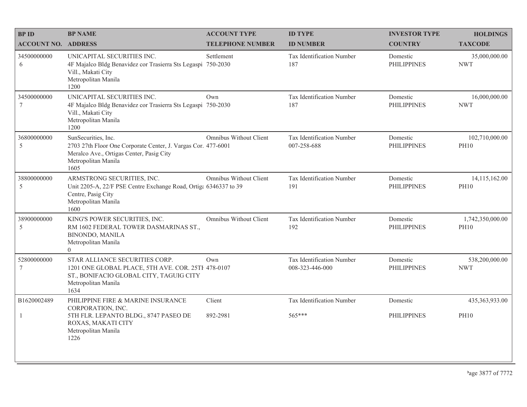| <b>BPID</b>                    | <b>BP NAME</b>                                                                                                                                                  | <b>ACCOUNT TYPE</b>     | <b>ID TYPE</b>                               | <b>INVESTOR TYPE</b>           | <b>HOLDINGS</b>                 |
|--------------------------------|-----------------------------------------------------------------------------------------------------------------------------------------------------------------|-------------------------|----------------------------------------------|--------------------------------|---------------------------------|
| <b>ACCOUNT NO. ADDRESS</b>     |                                                                                                                                                                 | <b>TELEPHONE NUMBER</b> | <b>ID NUMBER</b>                             | <b>COUNTRY</b>                 | <b>TAXCODE</b>                  |
| 34500000000<br>6               | UNICAPITAL SECURITIES INC.<br>4F Majalco Bldg Benavidez cor Trasierra Sts Legaspi 750-2030<br>Vill., Makati City<br>Metropolitan Manila<br>1200                 | Settlement              | Tax Identification Number<br>187             | Domestic<br><b>PHILIPPINES</b> | 35,000,000.00<br><b>NWT</b>     |
| 34500000000<br>$7\phantom{.0}$ | UNICAPITAL SECURITIES INC.<br>4F Majalco Bldg Benavidez cor Trasierra Sts Legaspi 750-2030<br>Vill., Makati City<br>Metropolitan Manila<br>1200                 | Own                     | Tax Identification Number<br>187             | Domestic<br><b>PHILIPPINES</b> | 16,000,000.00<br><b>NWT</b>     |
| 36800000000<br>5               | SunSecurities, Inc.<br>2703 27th Floor One Corporate Center, J. Vargas Cor. 477-6001<br>Meralco Ave., Ortigas Center, Pasig City<br>Metropolitan Manila<br>1605 | Omnibus Without Client  | Tax Identification Number<br>007-258-688     | Domestic<br><b>PHILIPPINES</b> | 102,710,000.00<br><b>PH10</b>   |
| 38800000000<br>5               | ARMSTRONG SECURITIES, INC.<br>Unit 2205-A, 22/F PSE Centre Exchange Road, Ortiga 6346337 to 39<br>Centre, Pasig City<br>Metropolitan Manila<br>1600             | Omnibus Without Client  | Tax Identification Number<br>191             | Domestic<br><b>PHILIPPINES</b> | 14,115,162.00<br><b>PH10</b>    |
| 38900000000<br>5               | KING'S POWER SECURITIES, INC.<br>RM 1602 FEDERAL TOWER DASMARINAS ST.,<br><b>BINONDO, MANILA</b><br>Metropolitan Manila<br>$\overline{0}$                       | Omnibus Without Client  | Tax Identification Number<br>192             | Domestic<br><b>PHILIPPINES</b> | 1,742,350,000.00<br><b>PH10</b> |
| 52800000000<br>$7\phantom{.0}$ | STAR ALLIANCE SECURITIES CORP.<br>1201 ONE GLOBAL PLACE, 5TH AVE. COR. 25TH 478-0107<br>ST., BONIFACIO GLOBAL CITY, TAGUIG CITY<br>Metropolitan Manila<br>1634  | Own                     | Tax Identification Number<br>008-323-446-000 | Domestic<br><b>PHILIPPINES</b> | 538,200,000.00<br><b>NWT</b>    |
| B1620002489                    | PHILIPPINE FIRE & MARINE INSURANCE<br>CORPORATION, INC.                                                                                                         | Client                  | Tax Identification Number                    | Domestic                       | 435,363,933.00                  |
| -1                             | 5TH FLR. LEPANTO BLDG., 8747 PASEO DE<br>ROXAS, MAKATI CITY<br>Metropolitan Manila<br>1226                                                                      | 892-2981                | 565***                                       | <b>PHILIPPINES</b>             | <b>PH10</b>                     |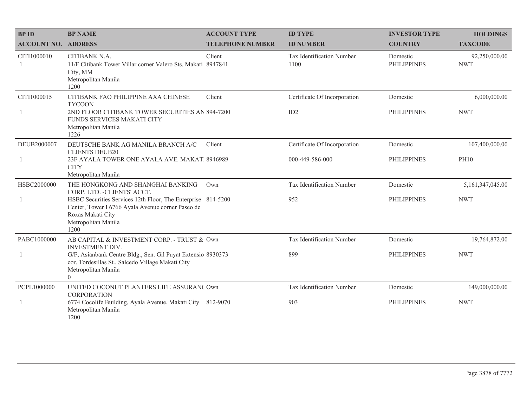| <b>BPID</b>                 | <b>BP NAME</b>                                                                                                                                                        | <b>ACCOUNT TYPE</b>     | <b>ID TYPE</b>                    | <b>INVESTOR TYPE</b>           | <b>HOLDINGS</b>             |
|-----------------------------|-----------------------------------------------------------------------------------------------------------------------------------------------------------------------|-------------------------|-----------------------------------|--------------------------------|-----------------------------|
| <b>ACCOUNT NO. ADDRESS</b>  |                                                                                                                                                                       | <b>TELEPHONE NUMBER</b> | <b>ID NUMBER</b>                  | <b>COUNTRY</b>                 | <b>TAXCODE</b>              |
| CITI1000010<br>$\mathbf{1}$ | CITIBANK N.A.<br>11/F Citibank Tower Villar corner Valero Sts. Makati 8947841<br>City, MM<br>Metropolitan Manila<br>1200                                              | Client                  | Tax Identification Number<br>1100 | Domestic<br><b>PHILIPPINES</b> | 92,250,000.00<br><b>NWT</b> |
| CITI1000015                 | CITIBANK FAO PHILIPPINE AXA CHINESE<br><b>TYCOON</b>                                                                                                                  | Client                  | Certificate Of Incorporation      | Domestic                       | 6,000,000.00                |
| 1                           | 2ND FLOOR CITIBANK TOWER SECURITIES AN 894-7200<br>FUNDS SERVICES MAKATI CITY<br>Metropolitan Manila<br>1226                                                          |                         | ID2                               | <b>PHILIPPINES</b>             | <b>NWT</b>                  |
| DEUB2000007                 | DEUTSCHE BANK AG MANILA BRANCH A/C<br><b>CLIENTS DEUB20</b>                                                                                                           | Client                  | Certificate Of Incorporation      | Domestic                       | 107,400,000.00              |
| $\mathbf{1}$                | 23F AYALA TOWER ONE AYALA AVE. MAKAT. 8946989<br><b>CITY</b><br>Metropolitan Manila                                                                                   |                         | 000-449-586-000                   | <b>PHILIPPINES</b>             | <b>PH10</b>                 |
| HSBC2000000                 | THE HONGKONG AND SHANGHAI BANKING<br>CORP. LTD. - CLIENTS' ACCT.                                                                                                      | Own                     | Tax Identification Number         | Domestic                       | 5, 161, 347, 045.00         |
| 1                           | HSBC Securities Services 12th Floor, The Enterprise 814-5200<br>Center, Tower I 6766 Ayala Avenue corner Paseo de<br>Roxas Makati City<br>Metropolitan Manila<br>1200 |                         | 952                               | <b>PHILIPPINES</b>             | <b>NWT</b>                  |
| PABC1000000                 | AB CAPITAL & INVESTMENT CORP. - TRUST & Own<br><b>INVESTMENT DIV.</b>                                                                                                 |                         | Tax Identification Number         | Domestic                       | 19,764,872.00               |
| 1                           | G/F, Asianbank Centre Bldg., Sen. Gil Puyat Extensio 8930373<br>cor. Tordesillas St., Salcedo Village Makati City<br>Metropolitan Manila<br>$\overline{0}$            |                         | 899                               | <b>PHILIPPINES</b>             | <b>NWT</b>                  |
| PCPL1000000                 | UNITED COCONUT PLANTERS LIFE ASSURAN( Own<br><b>CORPORATION</b>                                                                                                       |                         | Tax Identification Number         | Domestic                       | 149,000,000.00              |
| $\mathbf{1}$                | 6774 Cocolife Building, Ayala Avenue, Makati City 812-9070<br>Metropolitan Manila<br>1200                                                                             |                         | 903                               | <b>PHILIPPINES</b>             | <b>NWT</b>                  |
|                             |                                                                                                                                                                       |                         |                                   |                                |                             |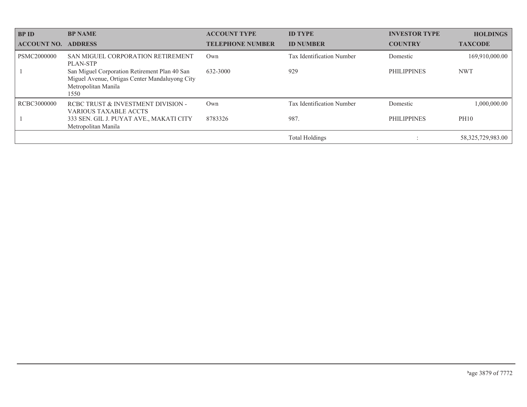| <b>BP ID</b>       | <b>BP NAME</b>                                                                                                                 | <b>ACCOUNT TYPE</b>     | <b>ID TYPE</b>            | <b>INVESTOR TYPE</b> | <b>HOLDINGS</b>      |
|--------------------|--------------------------------------------------------------------------------------------------------------------------------|-------------------------|---------------------------|----------------------|----------------------|
| <b>ACCOUNT NO.</b> | <b>ADDRESS</b>                                                                                                                 | <b>TELEPHONE NUMBER</b> | <b>ID NUMBER</b>          | <b>COUNTRY</b>       | <b>TAXCODE</b>       |
| PSMC2000000        | SAN MIGUEL CORPORATION RETIREMENT<br><b>PLAN-STP</b>                                                                           | Own                     | Tax Identification Number | Domestic             | 169,910,000.00       |
|                    | San Miguel Corporation Retirement Plan 40 San<br>Miguel Avenue, Ortigas Center Mandaluyong City<br>Metropolitan Manila<br>1550 | 632-3000                | 929                       | <b>PHILIPPINES</b>   | <b>NWT</b>           |
| RCBC3000000        | RCBC TRUST & INVESTMENT DIVISION -<br><b>VARIOUS TAXABLE ACCTS</b>                                                             | Own                     | Tax Identification Number | Domestic             | 1,000,000.00         |
|                    | 333 SEN. GIL J. PUYAT AVE., MAKATI CITY<br>Metropolitan Manila                                                                 | 8783326                 | 987.                      | <b>PHILIPPINES</b>   | PH10                 |
|                    |                                                                                                                                |                         | <b>Total Holdings</b>     |                      | 58, 325, 729, 983.00 |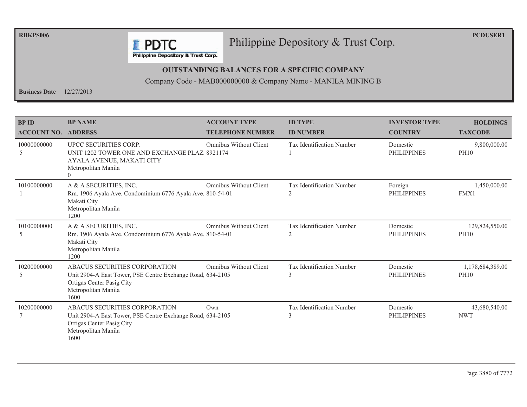**RBKPS006** 

**PCDUSER1** 

#### Philippine Depository & Trust Corp.

Philippine Depository & Trust Corp.

**F** PDTC

#### **OUTSTANDING BALANCES FOR A SPECIFIC COMPANY**

Company Code - MAB000000000 & Company Name - MANILA MINING B

**Business Date**  $12/27/2013$ 

| <b>BP ID</b>               | <b>BP NAME</b>                                                                                                                                          | <b>ACCOUNT TYPE</b>           | <b>ID TYPE</b>                                     | <b>INVESTOR TYPE</b>           | <b>HOLDINGS</b>                 |
|----------------------------|---------------------------------------------------------------------------------------------------------------------------------------------------------|-------------------------------|----------------------------------------------------|--------------------------------|---------------------------------|
| <b>ACCOUNT NO. ADDRESS</b> |                                                                                                                                                         | <b>TELEPHONE NUMBER</b>       | <b>ID NUMBER</b>                                   | <b>COUNTRY</b>                 | <b>TAXCODE</b>                  |
| 10000000000<br>5           | UPCC SECURITIES CORP.<br>UNIT 1202 TOWER ONE AND EXCHANGE PLAZ 8921174<br>AYALA AVENUE, MAKATI CITY<br>Metropolitan Manila<br>$\Omega$                  | <b>Omnibus Without Client</b> | <b>Tax Identification Number</b>                   | Domestic<br><b>PHILIPPINES</b> | 9,800,000.00<br><b>PH10</b>     |
| 10100000000                | A & A SECURITIES, INC.<br>Rm. 1906 Ayala Ave. Condominium 6776 Ayala Ave. 810-54-01<br>Makati City<br>Metropolitan Manila<br>1200                       | <b>Omnibus Without Client</b> | Tax Identification Number<br>2                     | Foreign<br><b>PHILIPPINES</b>  | 1,450,000.00<br>FMX1            |
| 10100000000<br>5           | A & A SECURITIES, INC.<br>Rm. 1906 Ayala Ave. Condominium 6776 Ayala Ave. 810-54-01<br>Makati City<br>Metropolitan Manila<br>1200                       | <b>Omnibus Without Client</b> | <b>Tax Identification Number</b><br>$\overline{2}$ | Domestic<br><b>PHILIPPINES</b> | 129,824,550.00<br><b>PH10</b>   |
| 10200000000<br>5           | ABACUS SECURITIES CORPORATION<br>Unit 2904-A East Tower, PSE Centre Exchange Road 634-2105<br>Ortigas Center Pasig City<br>Metropolitan Manila<br>1600  | Omnibus Without Client        | <b>Tax Identification Number</b><br>3              | Domestic<br><b>PHILIPPINES</b> | 1,178,684,389.00<br><b>PH10</b> |
| 10200000000                | ABACUS SECURITIES CORPORATION<br>Unit 2904-A East Tower, PSE Centre Exchange Road. 634-2105<br>Ortigas Center Pasig City<br>Metropolitan Manila<br>1600 | $Qw$ n                        | Tax Identification Number<br>3                     | Domestic<br><b>PHILIPPINES</b> | 43,680,540.00<br><b>NWT</b>     |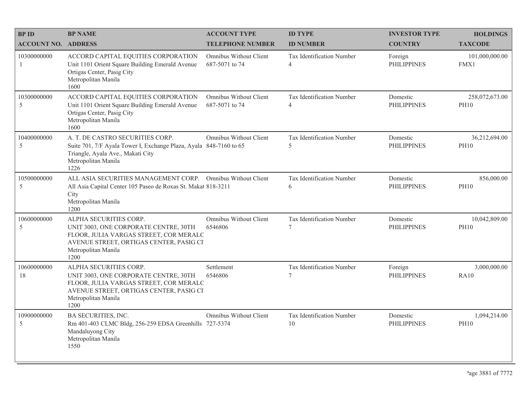| <b>BPID</b>                   | <b>BP NAME</b>                                                                                                                                                                      | <b>ACCOUNT TYPE</b>                      | <b>ID TYPE</b>                              | <b>INVESTOR TYPE</b>           | <b>HOLDINGS</b>               |
|-------------------------------|-------------------------------------------------------------------------------------------------------------------------------------------------------------------------------------|------------------------------------------|---------------------------------------------|--------------------------------|-------------------------------|
| <b>ACCOUNT NO. ADDRESS</b>    |                                                                                                                                                                                     | <b>TELEPHONE NUMBER</b>                  | <b>ID NUMBER</b>                            | <b>COUNTRY</b>                 | <b>TAXCODE</b>                |
| 10300000000<br>$\overline{1}$ | ACCORD CAPITAL EQUITIES CORPORATION<br>Unit 1101 Orient Square Building Emerald Avenue<br>Ortigas Center, Pasig City<br>Metropolitan Manila<br>1600                                 | Omnibus Without Client<br>687-5071 to 74 | Tax Identification Number<br>$\overline{4}$ | Foreign<br><b>PHILIPPINES</b>  | 101,000,000.00<br>FMX1        |
| 10300000000<br>5              | ACCORD CAPITAL EQUITIES CORPORATION<br>Unit 1101 Orient Square Building Emerald Avenue<br>Ortigas Center, Pasig City<br>Metropolitan Manila<br>1600                                 | Omnibus Without Client<br>687-5071 to 74 | Tax Identification Number<br>$\overline{4}$ | Domestic<br><b>PHILIPPINES</b> | 258,072,673.00<br><b>PH10</b> |
| 10400000000<br>5              | A. T. DE CASTRO SECURITIES CORP.<br>Suite 701, 7/F Ayala Tower I, Exchange Plaza, Ayala 848-7160 to 65<br>Triangle, Ayala Ave., Makati City<br>Metropolitan Manila<br>1226          | Omnibus Without Client                   | Tax Identification Number<br>5              | Domestic<br><b>PHILIPPINES</b> | 36,212,694.00<br><b>PH10</b>  |
| 10500000000<br>5              | ALL ASIA SECURITIES MANAGEMENT CORP. Omnibus Without Client<br>All Asia Capital Center 105 Paseo de Roxas St. Makat 818-3211<br>City<br>Metropolitan Manila<br>1200                 |                                          | Tax Identification Number<br>6              | Domestic<br><b>PHILIPPINES</b> | 856,000.00<br><b>PH10</b>     |
| 10600000000<br>5              | ALPHA SECURITIES CORP.<br>UNIT 3003, ONE CORPORATE CENTRE, 30TH<br>FLOOR, JULIA VARGAS STREET, COR MERALC<br>AVENUE STREET, ORTIGAS CENTER, PASIG CI<br>Metropolitan Manila<br>1200 | Omnibus Without Client<br>6546806        | Tax Identification Number<br>7              | Domestic<br><b>PHILIPPINES</b> | 10,042,809.00<br><b>PH10</b>  |
| 10600000000<br>18             | ALPHA SECURITIES CORP.<br>UNIT 3003, ONE CORPORATE CENTRE, 30TH<br>FLOOR, JULIA VARGAS STREET, COR MERALC<br>AVENUE STREET, ORTIGAS CENTER, PASIG CI<br>Metropolitan Manila<br>1200 | Settlement<br>6546806                    | Tax Identification Number<br>$\overline{7}$ | Foreign<br><b>PHILIPPINES</b>  | 3,000,000.00<br><b>RA10</b>   |
| 10900000000<br>5              | <b>BA SECURITIES, INC.</b><br>Rm 401-403 CLMC Bldg, 256-259 EDSA Greenhills 727-5374<br>Mandaluyong City<br>Metropolitan Manila<br>1550                                             | Omnibus Without Client                   | Tax Identification Number<br>10             | Domestic<br><b>PHILIPPINES</b> | 1,094,214.00<br><b>PH10</b>   |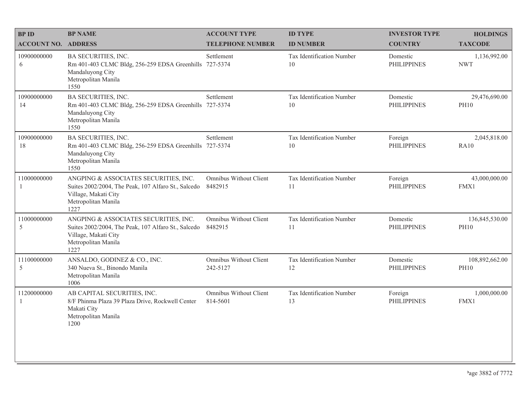| <b>BPID</b>                 | <b>BP NAME</b>                                                                                                                                      | <b>ACCOUNT TYPE</b>                      | <b>ID TYPE</b>                  | <b>INVESTOR TYPE</b>           | <b>HOLDINGS</b>               |
|-----------------------------|-----------------------------------------------------------------------------------------------------------------------------------------------------|------------------------------------------|---------------------------------|--------------------------------|-------------------------------|
| <b>ACCOUNT NO. ADDRESS</b>  |                                                                                                                                                     | <b>TELEPHONE NUMBER</b>                  | <b>ID NUMBER</b>                | <b>COUNTRY</b>                 | <b>TAXCODE</b>                |
| 10900000000<br>6            | <b>BA SECURITIES, INC.</b><br>Rm 401-403 CLMC Bldg, 256-259 EDSA Greenhills 727-5374<br>Mandaluyong City<br>Metropolitan Manila<br>1550             | Settlement                               | Tax Identification Number<br>10 | Domestic<br><b>PHILIPPINES</b> | 1,136,992.00<br><b>NWT</b>    |
| 10900000000<br>14           | <b>BA SECURITIES, INC.</b><br>Rm 401-403 CLMC Bldg, 256-259 EDSA Greenhills 727-5374<br>Mandaluyong City<br>Metropolitan Manila<br>1550             | Settlement                               | Tax Identification Number<br>10 | Domestic<br><b>PHILIPPINES</b> | 29,476,690.00<br><b>PH10</b>  |
| 10900000000<br>18           | <b>BA SECURITIES, INC.</b><br>Rm 401-403 CLMC Bldg, 256-259 EDSA Greenhills<br>Mandaluyong City<br>Metropolitan Manila<br>1550                      | Settlement<br>727-5374                   | Tax Identification Number<br>10 | Foreign<br><b>PHILIPPINES</b>  | 2,045,818.00<br><b>RA10</b>   |
| 11000000000<br>1            | ANGPING & ASSOCIATES SECURITIES, INC.<br>Suites 2002/2004, The Peak, 107 Alfaro St., Salcedo<br>Village, Makati City<br>Metropolitan Manila<br>1227 | <b>Omnibus Without Client</b><br>8482915 | Tax Identification Number<br>11 | Foreign<br><b>PHILIPPINES</b>  | 43,000,000.00<br>FMX1         |
| 11000000000<br>5            | ANGPING & ASSOCIATES SECURITIES, INC.<br>Suites 2002/2004, The Peak, 107 Alfaro St., Salcedo<br>Village, Makati City<br>Metropolitan Manila<br>1227 | Omnibus Without Client<br>8482915        | Tax Identification Number<br>11 | Domestic<br><b>PHILIPPINES</b> | 136,845,530.00<br><b>PH10</b> |
| 11100000000<br>5            | ANSALDO, GODINEZ & CO., INC.<br>340 Nueva St., Binondo Manila<br>Metropolitan Manila<br>1006                                                        | Omnibus Without Client<br>242-5127       | Tax Identification Number<br>12 | Domestic<br><b>PHILIPPINES</b> | 108,892,662.00<br><b>PH10</b> |
| 11200000000<br>$\mathbf{1}$ | AB CAPITAL SECURITIES, INC.<br>8/F Phinma Plaza 39 Plaza Drive, Rockwell Center<br>Makati City<br>Metropolitan Manila<br>1200                       | Omnibus Without Client<br>814-5601       | Tax Identification Number<br>13 | Foreign<br><b>PHILIPPINES</b>  | 1,000,000.00<br>FMX1          |
|                             |                                                                                                                                                     |                                          |                                 |                                |                               |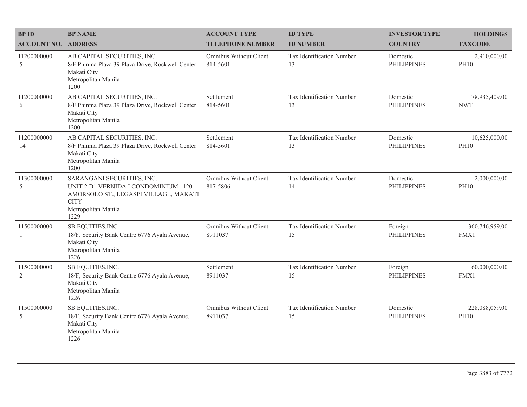| <b>BPID</b>                   | <b>BP NAME</b>                                                                                                                                           | <b>ACCOUNT TYPE</b>                | <b>ID TYPE</b>                         | <b>INVESTOR TYPE</b>           | <b>HOLDINGS</b>               |
|-------------------------------|----------------------------------------------------------------------------------------------------------------------------------------------------------|------------------------------------|----------------------------------------|--------------------------------|-------------------------------|
| <b>ACCOUNT NO. ADDRESS</b>    |                                                                                                                                                          | <b>TELEPHONE NUMBER</b>            | <b>ID NUMBER</b>                       | <b>COUNTRY</b>                 | <b>TAXCODE</b>                |
| 11200000000<br>5              | AB CAPITAL SECURITIES, INC.<br>8/F Phinma Plaza 39 Plaza Drive, Rockwell Center<br>Makati City<br>Metropolitan Manila<br>1200                            | Omnibus Without Client<br>814-5601 | <b>Tax Identification Number</b><br>13 | Domestic<br><b>PHILIPPINES</b> | 2,910,000.00<br><b>PH10</b>   |
| 11200000000<br>6              | AB CAPITAL SECURITIES, INC.<br>8/F Phinma Plaza 39 Plaza Drive, Rockwell Center<br>Makati City<br>Metropolitan Manila<br>1200                            | Settlement<br>814-5601             | Tax Identification Number<br>13        | Domestic<br><b>PHILIPPINES</b> | 78,935,409.00<br><b>NWT</b>   |
| 11200000000<br>14             | AB CAPITAL SECURITIES, INC.<br>8/F Phinma Plaza 39 Plaza Drive, Rockwell Center<br>Makati City<br>Metropolitan Manila<br>1200                            | Settlement<br>814-5601             | Tax Identification Number<br>13        | Domestic<br><b>PHILIPPINES</b> | 10,625,000.00<br><b>PH10</b>  |
| 11300000000<br>5              | SARANGANI SECURITIES, INC.<br>UNIT 2 D1 VERNIDA I CONDOMINIUM 120<br>AMORSOLO ST., LEGASPI VILLAGE, MAKATI<br><b>CITY</b><br>Metropolitan Manila<br>1229 | Omnibus Without Client<br>817-5806 | Tax Identification Number<br>14        | Domestic<br><b>PHILIPPINES</b> | 2,000,000.00<br><b>PH10</b>   |
| 11500000000<br>$\mathbf{1}$   | SB EQUITIES, INC.<br>18/F, Security Bank Centre 6776 Ayala Avenue,<br>Makati City<br>Metropolitan Manila<br>1226                                         | Omnibus Without Client<br>8911037  | Tax Identification Number<br>15        | Foreign<br><b>PHILIPPINES</b>  | 360,746,959.00<br>FMX1        |
| 11500000000<br>$\overline{2}$ | SB EQUITIES, INC.<br>18/F, Security Bank Centre 6776 Ayala Avenue,<br>Makati City<br>Metropolitan Manila<br>1226                                         | Settlement<br>8911037              | Tax Identification Number<br>15        | Foreign<br><b>PHILIPPINES</b>  | 60,000,000.00<br>FMX1         |
| 11500000000<br>5              | SB EQUITIES, INC.<br>18/F, Security Bank Centre 6776 Ayala Avenue,<br>Makati City<br>Metropolitan Manila<br>1226                                         | Omnibus Without Client<br>8911037  | Tax Identification Number<br>15        | Domestic<br><b>PHILIPPINES</b> | 228,088,059.00<br><b>PH10</b> |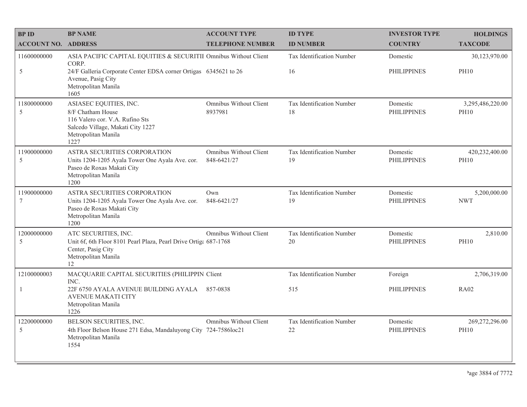| <b>BPID</b>                | <b>BP NAME</b>                                                                                                                                     | <b>ACCOUNT TYPE</b>                   | <b>ID TYPE</b>                  | <b>INVESTOR TYPE</b>           | <b>HOLDINGS</b>                 |
|----------------------------|----------------------------------------------------------------------------------------------------------------------------------------------------|---------------------------------------|---------------------------------|--------------------------------|---------------------------------|
| <b>ACCOUNT NO. ADDRESS</b> |                                                                                                                                                    | <b>TELEPHONE NUMBER</b>               | <b>ID NUMBER</b>                | <b>COUNTRY</b>                 | <b>TAXCODE</b>                  |
| 11600000000                | ASIA PACIFIC CAPITAL EQUITIES & SECURITII Omnibus Without Client<br>CORP.                                                                          |                                       | Tax Identification Number       | Domestic                       | 30,123,970.00                   |
| 5                          | 24/F Galleria Corporate Center EDSA corner Ortigas 6345621 to 26<br>Avenue, Pasig City<br>Metropolitan Manila<br>1605                              |                                       | 16                              | PHILIPPINES                    | <b>PH10</b>                     |
| 11800000000<br>5           | ASIASEC EQUITIES, INC.<br>8/F Chatham House<br>116 Valero cor. V.A. Rufino Sts<br>Salcedo Village, Makati City 1227<br>Metropolitan Manila<br>1227 | Omnibus Without Client<br>8937981     | Tax Identification Number<br>18 | Domestic<br><b>PHILIPPINES</b> | 3,295,486,220.00<br><b>PH10</b> |
| 11900000000<br>5           | ASTRA SECURITIES CORPORATION<br>Units 1204-1205 Ayala Tower One Ayala Ave. cor.<br>Paseo de Roxas Makati City<br>Metropolitan Manila<br>1200       | Omnibus Without Client<br>848-6421/27 | Tax Identification Number<br>19 | Domestic<br><b>PHILIPPINES</b> | 420,232,400.00<br><b>PH10</b>   |
| 11900000000<br>7           | ASTRA SECURITIES CORPORATION<br>Units 1204-1205 Ayala Tower One Ayala Ave. cor.<br>Paseo de Roxas Makati City<br>Metropolitan Manila<br>1200       | Own<br>848-6421/27                    | Tax Identification Number<br>19 | Domestic<br><b>PHILIPPINES</b> | 5,200,000.00<br><b>NWT</b>      |
| 12000000000<br>5           | ATC SECURITIES, INC.<br>Unit 6f, 6th Floor 8101 Pearl Plaza, Pearl Drive Ortiga 687-1768<br>Center, Pasig City<br>Metropolitan Manila<br>12        | Omnibus Without Client                | Tax Identification Number<br>20 | Domestic<br><b>PHILIPPINES</b> | 2,810.00<br><b>PH10</b>         |
| 12100000003                | MACQUARIE CAPITAL SECURITIES (PHILIPPIN Client<br>INC.                                                                                             |                                       | Tax Identification Number       | Foreign                        | 2,706,319.00                    |
| -1                         | 22F 6750 AYALA AVENUE BUILDING AYALA<br><b>AVENUE MAKATI CITY</b><br>Metropolitan Manila<br>1226                                                   | 857-0838                              | 515                             | PHILIPPINES                    | <b>RA02</b>                     |
| 12200000000<br>5           | BELSON SECURITIES, INC.<br>4th Floor Belson House 271 Edsa, Mandaluyong City 724-7586loc21<br>Metropolitan Manila<br>1554                          | Omnibus Without Client                | Tax Identification Number<br>22 | Domestic<br><b>PHILIPPINES</b> | 269,272,296.00<br><b>PH10</b>   |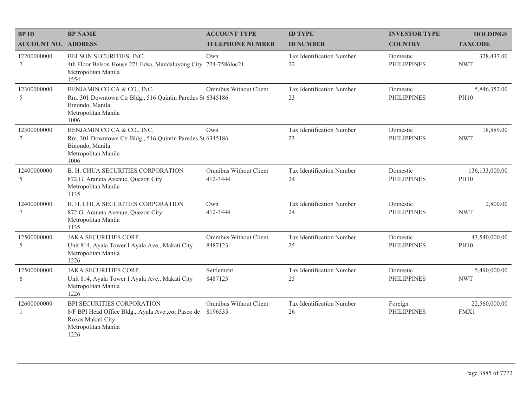| <b>BPID</b>                | <b>BP NAME</b>                                                                                                                                 | <b>ACCOUNT TYPE</b>                | <b>ID TYPE</b>                  | <b>INVESTOR TYPE</b>           | <b>HOLDINGS</b>               |
|----------------------------|------------------------------------------------------------------------------------------------------------------------------------------------|------------------------------------|---------------------------------|--------------------------------|-------------------------------|
| <b>ACCOUNT NO. ADDRESS</b> |                                                                                                                                                | <b>TELEPHONE NUMBER</b>            | <b>ID NUMBER</b>                | <b>COUNTRY</b>                 | <b>TAXCODE</b>                |
| 12200000000<br>$\tau$      | BELSON SECURITIES, INC.<br>4th Floor Belson House 271 Edsa, Mandaluyong City 724-7586loc21<br>Metropolitan Manila<br>1554                      | Own                                | Tax Identification Number<br>22 | Domestic<br><b>PHILIPPINES</b> | 328,437.00<br><b>NWT</b>      |
| 12300000000<br>5           | BENJAMIN CO CA & CO., INC.<br>Rm. 301 Downtown Ctr Bldg., 516 Quintin Paredes St 6345186<br>Binondo, Manila<br>Metropolitan Manila<br>1006     | Omnibus Without Client             | Tax Identification Number<br>23 | Domestic<br><b>PHILIPPINES</b> | 5,846,352.00<br><b>PH10</b>   |
| 12300000000<br>7           | BENJAMIN CO CA & CO., INC.<br>Rm. 301 Downtown Ctr Bldg., 516 Quintin Paredes St 6345186<br>Binondo, Manila<br>Metropolitan Manila<br>1006     | Own                                | Tax Identification Number<br>23 | Domestic<br><b>PHILIPPINES</b> | 18,889.00<br><b>NWT</b>       |
| 12400000000<br>5           | <b>B. H. CHUA SECURITIES CORPORATION</b><br>872 G. Araneta Avenue, Quezon City<br>Metropolitan Manila<br>1135                                  | Omnibus Without Client<br>412-3444 | Tax Identification Number<br>24 | Domestic<br><b>PHILIPPINES</b> | 136,133,000.00<br><b>PH10</b> |
| 12400000000<br>7           | <b>B. H. CHUA SECURITIES CORPORATION</b><br>872 G. Araneta Avenue, Quezon City<br>Metropolitan Manila<br>1135                                  | Own<br>412-3444                    | Tax Identification Number<br>24 | Domestic<br><b>PHILIPPINES</b> | 2,800.00<br><b>NWT</b>        |
| 12500000000<br>5           | <b>JAKA SECURITIES CORP.</b><br>Unit 814, Ayala Tower I Ayala Ave., Makati City<br>Metropolitan Manila<br>1226                                 | Omnibus Without Client<br>8487123  | Tax Identification Number<br>25 | Domestic<br><b>PHILIPPINES</b> | 43,540,000.00<br><b>PH10</b>  |
| 12500000000<br>6           | <b>JAKA SECURITIES CORP.</b><br>Unit 814, Ayala Tower I Ayala Ave., Makati City<br>Metropolitan Manila<br>1226                                 | Settlement<br>8487123              | Tax Identification Number<br>25 | Domestic<br><b>PHILIPPINES</b> | 5,490,000.00<br><b>NWT</b>    |
| 12600000000<br>1           | BPI SECURITIES CORPORATION<br>8/F BPI Head Office Bldg., Ayala Ave., cor. Paseo de 8196535<br>Roxas Makati City<br>Metropolitan Manila<br>1226 | Omnibus Without Client             | Tax Identification Number<br>26 | Foreign<br><b>PHILIPPINES</b>  | 22,560,000.00<br>FMX1         |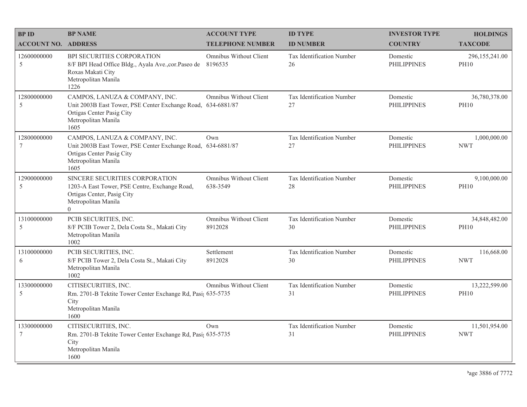| <b>BPID</b>        | <b>BP NAME</b>                                                                                                                                             | <b>ACCOUNT TYPE</b>                      | <b>ID TYPE</b>                         | <b>INVESTOR TYPE</b>           | <b>HOLDINGS</b>               |
|--------------------|------------------------------------------------------------------------------------------------------------------------------------------------------------|------------------------------------------|----------------------------------------|--------------------------------|-------------------------------|
| <b>ACCOUNT NO.</b> | <b>ADDRESS</b>                                                                                                                                             | <b>TELEPHONE NUMBER</b>                  | <b>ID NUMBER</b>                       | <b>COUNTRY</b>                 | <b>TAXCODE</b>                |
| 12600000000<br>5   | BPI SECURITIES CORPORATION<br>8/F BPI Head Office Bldg., Ayala Ave., cor. Paseo de<br>Roxas Makati City<br>Metropolitan Manila<br>1226                     | Omnibus Without Client<br>8196535        | <b>Tax Identification Number</b><br>26 | Domestic<br><b>PHILIPPINES</b> | 296,155,241.00<br><b>PH10</b> |
| 12800000000<br>5   | CAMPOS, LANUZA & COMPANY, INC.<br>Unit 2003B East Tower, PSE Center Exchange Road, 634-6881/87<br>Ortigas Center Pasig City<br>Metropolitan Manila<br>1605 | Omnibus Without Client                   | Tax Identification Number<br>27        | Domestic<br><b>PHILIPPINES</b> | 36,780,378.00<br><b>PH10</b>  |
| 12800000000<br>7   | CAMPOS, LANUZA & COMPANY, INC.<br>Unit 2003B East Tower, PSE Center Exchange Road, 634-6881/87<br>Ortigas Center Pasig City<br>Metropolitan Manila<br>1605 | Own                                      | Tax Identification Number<br>27        | Domestic<br><b>PHILIPPINES</b> | 1,000,000.00<br><b>NWT</b>    |
| 12900000000<br>5   | SINCERE SECURITIES CORPORATION<br>1203-A East Tower, PSE Centre, Exchange Road,<br>Ortigas Center, Pasig City<br>Metropolitan Manila<br>$\theta$           | Omnibus Without Client<br>638-3549       | Tax Identification Number<br>28        | Domestic<br><b>PHILIPPINES</b> | 9,100,000.00<br><b>PH10</b>   |
| 13100000000<br>5   | PCIB SECURITIES, INC.<br>8/F PCIB Tower 2, Dela Costa St., Makati City<br>Metropolitan Manila<br>1002                                                      | <b>Omnibus Without Client</b><br>8912028 | Tax Identification Number<br>30        | Domestic<br><b>PHILIPPINES</b> | 34,848,482.00<br><b>PH10</b>  |
| 13100000000<br>6   | PCIB SECURITIES, INC.<br>8/F PCIB Tower 2, Dela Costa St., Makati City<br>Metropolitan Manila<br>1002                                                      | Settlement<br>8912028                    | Tax Identification Number<br>30        | Domestic<br><b>PHILIPPINES</b> | 116,668.00<br><b>NWT</b>      |
| 13300000000<br>5   | CITISECURITIES, INC.<br>Rm. 2701-B Tektite Tower Center Exchange Rd, Pasi; 635-5735<br>City<br>Metropolitan Manila<br>1600                                 | Omnibus Without Client                   | Tax Identification Number<br>31        | Domestic<br><b>PHILIPPINES</b> | 13,222,599.00<br><b>PH10</b>  |
| 13300000000<br>7   | CITISECURITIES, INC.<br>Rm. 2701-B Tektite Tower Center Exchange Rd, Pasi; 635-5735<br>City<br>Metropolitan Manila<br>1600                                 | Own                                      | Tax Identification Number<br>31        | Domestic<br><b>PHILIPPINES</b> | 11,501,954.00<br><b>NWT</b>   |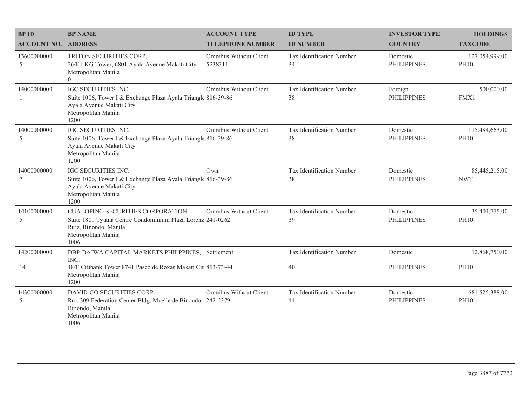| <b>BPID</b>                    | <b>BP NAME</b>                                                                                                                                                | <b>ACCOUNT TYPE</b>               | <b>ID TYPE</b>                         | <b>INVESTOR TYPE</b>           | <b>HOLDINGS</b>               |
|--------------------------------|---------------------------------------------------------------------------------------------------------------------------------------------------------------|-----------------------------------|----------------------------------------|--------------------------------|-------------------------------|
| <b>ACCOUNT NO. ADDRESS</b>     |                                                                                                                                                               | <b>TELEPHONE NUMBER</b>           | <b>ID NUMBER</b>                       | <b>COUNTRY</b>                 | <b>TAXCODE</b>                |
| 13600000000<br>5               | TRITON SECURITIES CORP.<br>26/F LKG Tower, 6801 Ayala Avenue Makati City<br>Metropolitan Manila<br>$\overline{0}$                                             | Omnibus Without Client<br>5238311 | <b>Tax Identification Number</b><br>34 | Domestic<br><b>PHILIPPINES</b> | 127,054,999.00<br><b>PH10</b> |
| 14000000000                    | IGC SECURITIES INC.<br>Suite 1006, Tower I & Exchange Plaza Ayala Triangle 816-39-86<br>Ayala Avenue Makati City<br>Metropolitan Manila<br>1200               | Omnibus Without Client            | Tax Identification Number<br>38        | Foreign<br><b>PHILIPPINES</b>  | 500,000.00<br>FMX1            |
| 14000000000<br>5               | <b>IGC SECURITIES INC.</b><br>Suite 1006, Tower I & Exchange Plaza Ayala Triangle 816-39-86<br>Ayala Avenue Makati City<br>Metropolitan Manila<br>1200        | Omnibus Without Client            | Tax Identification Number<br>38        | Domestic<br><b>PHILIPPINES</b> | 115,484,663.00<br><b>PH10</b> |
| 14000000000<br>$7\phantom{.0}$ | IGC SECURITIES INC.<br>Suite 1006, Tower I & Exchange Plaza Ayala Triangle 816-39-86<br>Ayala Avenue Makati City<br>Metropolitan Manila<br>1200               | Own                               | Tax Identification Number<br>38        | Domestic<br><b>PHILIPPINES</b> | 85,445,215.00<br><b>NWT</b>   |
| 14100000000<br>5               | <b>CUALOPING SECURITIES CORPORATION</b><br>Suite 1801 Tytana Centre Condominium Plaza Lorenz 241-0262<br>Ruiz, Binondo, Manila<br>Metropolitan Manila<br>1006 | Omnibus Without Client            | Tax Identification Number<br>39        | Domestic<br><b>PHILIPPINES</b> | 35,404,775.00<br><b>PH10</b>  |
| 14200000000                    | DBP-DAIWA CAPITAL MARKETS PHILPPINES, Settlement                                                                                                              |                                   | Tax Identification Number              | Domestic                       | 12,868,750.00                 |
| 14                             | INC.<br>18/F Citibank Tower 8741 Paseo de Roxas Makati Cit 813-73-44<br>Metropolitan Manila<br>1200                                                           |                                   | 40                                     | <b>PHILIPPINES</b>             | <b>PH10</b>                   |
| 14300000000<br>5               | DAVID GO SECURITIES CORP.<br>Rm. 309 Federation Center Bldg. Muelle de Binondo, 242-2379<br>Binondo, Manila<br>Metropolitan Manila<br>1006                    | Omnibus Without Client            | Tax Identification Number<br>41        | Domestic<br><b>PHILIPPINES</b> | 681,525,388.00<br><b>PH10</b> |
|                                |                                                                                                                                                               |                                   |                                        |                                |                               |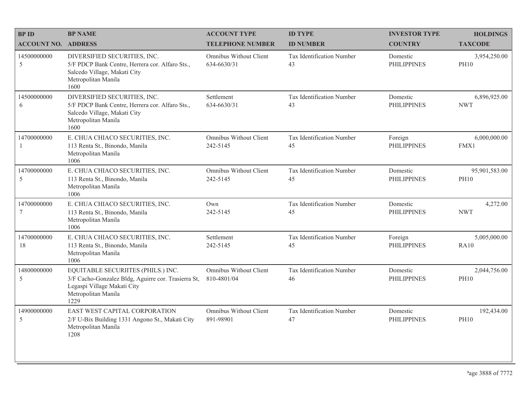| <b>BPID</b>                     | <b>BP NAME</b>                                                                                                                                          | <b>ACCOUNT TYPE</b>                          | <b>ID TYPE</b>                         | <b>INVESTOR TYPE</b>           | <b>HOLDINGS</b>              |
|---------------------------------|---------------------------------------------------------------------------------------------------------------------------------------------------------|----------------------------------------------|----------------------------------------|--------------------------------|------------------------------|
| <b>ACCOUNT NO. ADDRESS</b>      |                                                                                                                                                         | <b>TELEPHONE NUMBER</b>                      | <b>ID NUMBER</b>                       | <b>COUNTRY</b>                 | <b>TAXCODE</b>               |
| 14500000000<br>5                | DIVERSIFIED SECURITIES, INC.<br>5/F PDCP Bank Centre, Herrera cor. Alfaro Sts.,<br>Salcedo Village, Makati City<br>Metropolitan Manila<br>1600          | <b>Omnibus Without Client</b><br>634-6630/31 | Tax Identification Number<br>43        | Domestic<br><b>PHILIPPINES</b> | 3,954,250.00<br><b>PH10</b>  |
| 14500000000<br>6                | DIVERSIFIED SECURITIES, INC.<br>5/F PDCP Bank Centre, Herrera cor. Alfaro Sts.,<br>Salcedo Village, Makati City<br>Metropolitan Manila<br>1600          | Settlement<br>634-6630/31                    | Tax Identification Number<br>43        | Domestic<br><b>PHILIPPINES</b> | 6,896,925.00<br><b>NWT</b>   |
| 14700000000                     | E. CHUA CHIACO SECURITIES, INC.<br>113 Renta St., Binondo, Manila<br>Metropolitan Manila<br>1006                                                        | Omnibus Without Client<br>242-5145           | Tax Identification Number<br>45        | Foreign<br><b>PHILIPPINES</b>  | 6,000,000.00<br>FMX1         |
| 14700000000<br>5                | E. CHUA CHIACO SECURITIES, INC.<br>113 Renta St., Binondo, Manila<br>Metropolitan Manila<br>1006                                                        | <b>Omnibus Without Client</b><br>242-5145    | Tax Identification Number<br>45        | Domestic<br><b>PHILIPPINES</b> | 95,901,583.00<br><b>PH10</b> |
| 14700000000<br>$\boldsymbol{7}$ | E. CHUA CHIACO SECURITIES, INC.<br>113 Renta St., Binondo, Manila<br>Metropolitan Manila<br>1006                                                        | Own<br>242-5145                              | Tax Identification Number<br>45        | Domestic<br><b>PHILIPPINES</b> | 4,272.00<br><b>NWT</b>       |
| 14700000000<br>18               | E. CHUA CHIACO SECURITIES, INC.<br>113 Renta St., Binondo, Manila<br>Metropolitan Manila<br>1006                                                        | Settlement<br>242-5145                       | Tax Identification Number<br>45        | Foreign<br><b>PHILIPPINES</b>  | 5,005,000.00<br><b>RA10</b>  |
| 14800000000<br>5                | EQUITABLE SECURIITES (PHILS.) INC.<br>3/F Cacho-Gonzalez Bldg, Aguirre cor. Trasierra St,<br>Legaspi Village Makati City<br>Metropolitan Manila<br>1229 | Omnibus Without Client<br>810-4801/04        | Tax Identification Number<br>46        | Domestic<br><b>PHILIPPINES</b> | 2,044,756.00<br><b>PH10</b>  |
| 14900000000<br>5                | EAST WEST CAPITAL CORPORATION<br>2/F U-Bix Building 1331 Angono St., Makati City<br>Metropolitan Manila<br>1208                                         | <b>Omnibus Without Client</b><br>891-98901   | <b>Tax Identification Number</b><br>47 | Domestic<br><b>PHILIPPINES</b> | 192,434.00<br><b>PH10</b>    |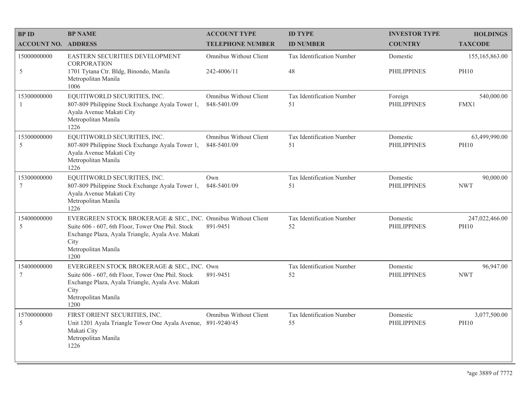| <b>BPID</b>                    | <b>BP NAME</b>                                                                                                                                                                                                 | <b>ACCOUNT TYPE</b>                   | <b>ID TYPE</b>                  | <b>INVESTOR TYPE</b>           | <b>HOLDINGS</b>               |
|--------------------------------|----------------------------------------------------------------------------------------------------------------------------------------------------------------------------------------------------------------|---------------------------------------|---------------------------------|--------------------------------|-------------------------------|
| <b>ACCOUNT NO.</b>             | <b>ADDRESS</b>                                                                                                                                                                                                 | <b>TELEPHONE NUMBER</b>               | <b>ID NUMBER</b>                | <b>COUNTRY</b>                 | <b>TAXCODE</b>                |
| 15000000000                    | EASTERN SECURITIES DEVELOPMENT<br><b>CORPORATION</b>                                                                                                                                                           | Omnibus Without Client                | Tax Identification Number       | Domestic                       | 155, 165, 863.00              |
| 5                              | 1701 Tytana Ctr. Bldg, Binondo, Manila<br>Metropolitan Manila<br>1006                                                                                                                                          | 242-4006/11                           | 48                              | <b>PHILIPPINES</b>             | <b>PH10</b>                   |
| 15300000000<br>$\overline{1}$  | EQUITIWORLD SECURITIES, INC.<br>807-809 Philippine Stock Exchange Ayala Tower 1,<br>Ayala Avenue Makati City<br>Metropolitan Manila<br>1226                                                                    | Omnibus Without Client<br>848-5401/09 | Tax Identification Number<br>51 | Foreign<br><b>PHILIPPINES</b>  | 540,000.00<br>FMX1            |
| 15300000000<br>5               | EQUITIWORLD SECURITIES, INC.<br>807-809 Philippine Stock Exchange Ayala Tower 1,<br>Ayala Avenue Makati City<br>Metropolitan Manila<br>1226                                                                    | Omnibus Without Client<br>848-5401/09 | Tax Identification Number<br>51 | Domestic<br><b>PHILIPPINES</b> | 63,499,990.00<br><b>PH10</b>  |
| 15300000000<br>$7\phantom{.0}$ | EQUITIWORLD SECURITIES, INC.<br>807-809 Philippine Stock Exchange Ayala Tower 1,<br>Ayala Avenue Makati City<br>Metropolitan Manila<br>1226                                                                    | Own<br>848-5401/09                    | Tax Identification Number<br>51 | Domestic<br><b>PHILIPPINES</b> | 90,000.00<br><b>NWT</b>       |
| 15400000000<br>5               | EVERGREEN STOCK BROKERAGE & SEC., INC. Omnibus Without Client<br>Suite 606 - 607, 6th Floor, Tower One Phil. Stock<br>Exchange Plaza, Ayala Triangle, Ayala Ave. Makati<br>City<br>Metropolitan Manila<br>1200 | 891-9451                              | Tax Identification Number<br>52 | Domestic<br><b>PHILIPPINES</b> | 247,022,466.00<br><b>PH10</b> |
| 15400000000<br>$7\phantom{.0}$ | EVERGREEN STOCK BROKERAGE & SEC., INC. Own<br>Suite 606 - 607, 6th Floor, Tower One Phil. Stock<br>Exchange Plaza, Ayala Triangle, Ayala Ave. Makati<br>City<br>Metropolitan Manila<br>1200                    | 891-9451                              | Tax Identification Number<br>52 | Domestic<br><b>PHILIPPINES</b> | 96,947.00<br><b>NWT</b>       |
| 15700000000<br>5               | FIRST ORIENT SECURITIES, INC.<br>Unit 1201 Ayala Triangle Tower One Ayala Avenue,<br>Makati City<br>Metropolitan Manila<br>1226                                                                                | Omnibus Without Client<br>891-9240/45 | Tax Identification Number<br>55 | Domestic<br><b>PHILIPPINES</b> | 3,077,500.00<br><b>PH10</b>   |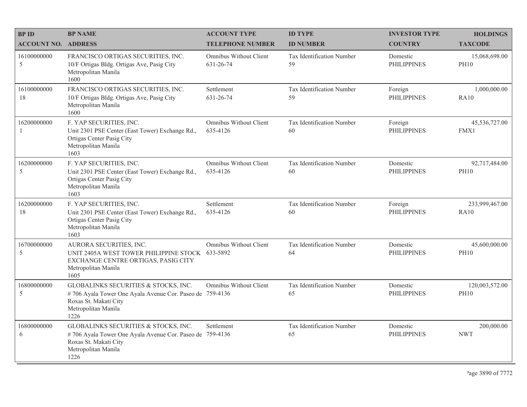| <b>BP ID</b>               | <b>BP NAME</b>                                                                                                                                           | <b>ACCOUNT TYPE</b>                 | <b>ID TYPE</b>                  | <b>INVESTOR TYPE</b>           | <b>HOLDINGS</b>               |
|----------------------------|----------------------------------------------------------------------------------------------------------------------------------------------------------|-------------------------------------|---------------------------------|--------------------------------|-------------------------------|
| <b>ACCOUNT NO. ADDRESS</b> |                                                                                                                                                          | <b>TELEPHONE NUMBER</b>             | <b>ID NUMBER</b>                | <b>COUNTRY</b>                 | <b>TAXCODE</b>                |
| 16100000000<br>5           | FRANCISCO ORTIGAS SECURITIES, INC.<br>10/F Ortigas Bldg. Ortigas Ave, Pasig City<br>Metropolitan Manila<br>1600                                          | Omnibus Without Client<br>631-26-74 | Tax Identification Number<br>59 | Domestic<br><b>PHILIPPINES</b> | 15,068,698.00<br><b>PH10</b>  |
| 16100000000<br>18          | FRANCISCO ORTIGAS SECURITIES, INC.<br>10/F Ortigas Bldg. Ortigas Ave, Pasig City<br>Metropolitan Manila<br>1600                                          | Settlement<br>631-26-74             | Tax Identification Number<br>59 | Foreign<br><b>PHILIPPINES</b>  | 1,000,000.00<br><b>RA10</b>   |
| 16200000000<br>-1          | F. YAP SECURITIES, INC.<br>Unit 2301 PSE Center (East Tower) Exchange Rd.,<br>Ortigas Center Pasig City<br>Metropolitan Manila<br>1603                   | Omnibus Without Client<br>635-4126  | Tax Identification Number<br>60 | Foreign<br><b>PHILIPPINES</b>  | 45,536,727.00<br>FMX1         |
| 16200000000<br>5           | F. YAP SECURITIES, INC.<br>Unit 2301 PSE Center (East Tower) Exchange Rd.,<br>Ortigas Center Pasig City<br>Metropolitan Manila<br>1603                   | Omnibus Without Client<br>635-4126  | Tax Identification Number<br>60 | Domestic<br><b>PHILIPPINES</b> | 92,717,484.00<br><b>PH10</b>  |
| 16200000000<br>18          | F. YAP SECURITIES, INC.<br>Unit 2301 PSE Center (East Tower) Exchange Rd.,<br>Ortigas Center Pasig City<br>Metropolitan Manila<br>1603                   | Settlement<br>635-4126              | Tax Identification Number<br>60 | Foreign<br><b>PHILIPPINES</b>  | 233,999,467.00<br>RA10        |
| 16700000000<br>5           | AURORA SECURITIES, INC.<br>UNIT 2405A WEST TOWER PHILIPPINE STOCK 633-5892<br>EXCHANGE CENTRE ORTIGAS, PASIG CITY<br>Metropolitan Manila<br>1605         | <b>Omnibus Without Client</b>       | Tax Identification Number<br>64 | Domestic<br><b>PHILIPPINES</b> | 45,600,000.00<br><b>PH10</b>  |
| 16800000000<br>5           | GLOBALINKS SECURITIES & STOCKS, INC.<br>#706 Ayala Tower One Ayala Avenue Cor. Paseo de 759-4136<br>Roxas St. Makati City<br>Metropolitan Manila<br>1226 | Omnibus Without Client              | Tax Identification Number<br>65 | Domestic<br><b>PHILIPPINES</b> | 120,003,572.00<br><b>PH10</b> |
| 16800000000<br>6           | GLOBALINKS SECURITIES & STOCKS, INC.<br>#706 Ayala Tower One Ayala Avenue Cor. Paseo de 759-4136<br>Roxas St. Makati City<br>Metropolitan Manila<br>1226 | Settlement                          | Tax Identification Number<br>65 | Domestic<br><b>PHILIPPINES</b> | 200,000.00<br><b>NWT</b>      |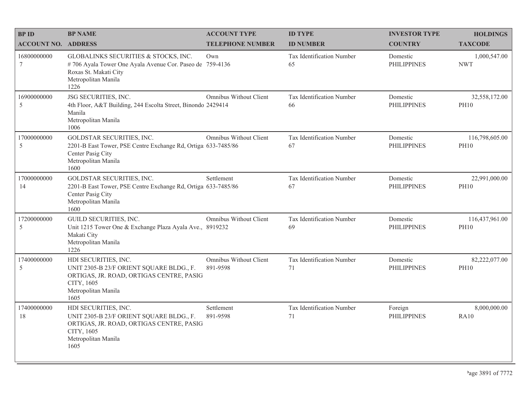| <b>BPID</b>                | <b>BP NAME</b>                                                                                                                                            | <b>ACCOUNT TYPE</b>                       | <b>ID TYPE</b>                  | <b>INVESTOR TYPE</b>           | <b>HOLDINGS</b>               |
|----------------------------|-----------------------------------------------------------------------------------------------------------------------------------------------------------|-------------------------------------------|---------------------------------|--------------------------------|-------------------------------|
| <b>ACCOUNT NO. ADDRESS</b> |                                                                                                                                                           | <b>TELEPHONE NUMBER</b>                   | <b>ID NUMBER</b>                | <b>COUNTRY</b>                 | <b>TAXCODE</b>                |
| 16800000000<br>7           | GLOBALINKS SECURITIES & STOCKS, INC.<br>#706 Ayala Tower One Ayala Avenue Cor. Paseo de 759-4136<br>Roxas St. Makati City<br>Metropolitan Manila<br>1226  | Own                                       | Tax Identification Number<br>65 | Domestic<br><b>PHILIPPINES</b> | 1,000,547.00<br><b>NWT</b>    |
| 16900000000<br>5           | JSG SECURITIES, INC.<br>4th Floor, A&T Building, 244 Escolta Street, Binondo 2429414<br>Manila<br>Metropolitan Manila<br>1006                             | Omnibus Without Client                    | Tax Identification Number<br>66 | Domestic<br><b>PHILIPPINES</b> | 32,558,172.00<br><b>PH10</b>  |
| 17000000000<br>5           | GOLDSTAR SECURITIES, INC.<br>2201-B East Tower, PSE Centre Exchange Rd, Ortiga 633-7485/86<br>Center Pasig City<br>Metropolitan Manila<br>1600            | <b>Omnibus Without Client</b>             | Tax Identification Number<br>67 | Domestic<br><b>PHILIPPINES</b> | 116,798,605.00<br><b>PH10</b> |
| 17000000000<br>14          | GOLDSTAR SECURITIES, INC.<br>2201-B East Tower, PSE Centre Exchange Rd, Ortiga 633-7485/86<br>Center Pasig City<br>Metropolitan Manila<br>1600            | Settlement                                | Tax Identification Number<br>67 | Domestic<br><b>PHILIPPINES</b> | 22,991,000.00<br><b>PH10</b>  |
| 17200000000<br>5           | <b>GUILD SECURITIES, INC.</b><br>Unit 1215 Tower One & Exchange Plaza Ayala Ave., 8919232<br>Makati City<br>Metropolitan Manila<br>1226                   | <b>Omnibus Without Client</b>             | Tax Identification Number<br>69 | Domestic<br><b>PHILIPPINES</b> | 116,437,961.00<br><b>PH10</b> |
| 17400000000<br>5           | HDI SECURITIES, INC.<br>UNIT 2305-B 23/F ORIENT SQUARE BLDG., F.<br>ORTIGAS, JR. ROAD, ORTIGAS CENTRE, PASIG<br>CITY, 1605<br>Metropolitan Manila<br>1605 | <b>Omnibus Without Client</b><br>891-9598 | Tax Identification Number<br>71 | Domestic<br><b>PHILIPPINES</b> | 82,222,077.00<br><b>PH10</b>  |
| 17400000000<br>18          | HDI SECURITIES, INC.<br>UNIT 2305-B 23/F ORIENT SQUARE BLDG., F.<br>ORTIGAS, JR. ROAD, ORTIGAS CENTRE, PASIG<br>CITY, 1605<br>Metropolitan Manila<br>1605 | Settlement<br>891-9598                    | Tax Identification Number<br>71 | Foreign<br><b>PHILIPPINES</b>  | 8,000,000.00<br>RA10          |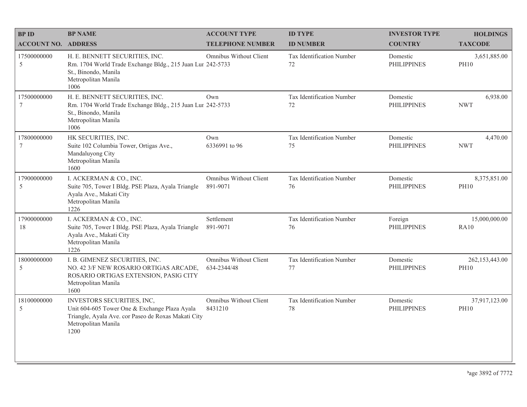| <b>BPID</b>                | <b>BP NAME</b>                                                                                                                                                    | <b>ACCOUNT TYPE</b>                   | <b>ID TYPE</b>                  | <b>INVESTOR TYPE</b>           | <b>HOLDINGS</b>                 |
|----------------------------|-------------------------------------------------------------------------------------------------------------------------------------------------------------------|---------------------------------------|---------------------------------|--------------------------------|---------------------------------|
| <b>ACCOUNT NO. ADDRESS</b> |                                                                                                                                                                   | <b>TELEPHONE NUMBER</b>               | <b>ID NUMBER</b>                | <b>COUNTRY</b>                 | <b>TAXCODE</b>                  |
| 17500000000<br>5           | H. E. BENNETT SECURITIES, INC.<br>Rm. 1704 World Trade Exchange Bldg., 215 Juan Lur 242-5733<br>St., Binondo, Manila<br>Metropolitan Manila<br>1006               | Omnibus Without Client                | Tax Identification Number<br>72 | Domestic<br><b>PHILIPPINES</b> | 3,651,885.00<br><b>PH10</b>     |
| 17500000000<br>$\tau$      | H. E. BENNETT SECURITIES, INC.<br>Rm. 1704 World Trade Exchange Bldg., 215 Juan Lur 242-5733<br>St., Binondo, Manila<br>Metropolitan Manila<br>1006               | Own                                   | Tax Identification Number<br>72 | Domestic<br><b>PHILIPPINES</b> | 6,938.00<br><b>NWT</b>          |
| 17800000000<br>7           | HK SECURITIES, INC.<br>Suite 102 Columbia Tower, Ortigas Ave.,<br>Mandaluyong City<br>Metropolitan Manila<br>1600                                                 | Own<br>6336991 to 96                  | Tax Identification Number<br>75 | Domestic<br><b>PHILIPPINES</b> | 4,470.00<br><b>NWT</b>          |
| 17900000000<br>5           | I. ACKERMAN & CO., INC.<br>Suite 705, Tower I Bldg. PSE Plaza, Ayala Triangle<br>Ayala Ave., Makati City<br>Metropolitan Manila<br>1226                           | Omnibus Without Client<br>891-9071    | Tax Identification Number<br>76 | Domestic<br><b>PHILIPPINES</b> | 8,375,851.00<br><b>PH10</b>     |
| 17900000000<br>18          | I. ACKERMAN & CO., INC.<br>Suite 705, Tower I Bldg. PSE Plaza, Ayala Triangle<br>Ayala Ave., Makati City<br>Metropolitan Manila<br>1226                           | Settlement<br>891-9071                | Tax Identification Number<br>76 | Foreign<br><b>PHILIPPINES</b>  | 15,000,000.00<br><b>RA10</b>    |
| 18000000000<br>5           | I. B. GIMENEZ SECURITIES, INC.<br>NO. 42 3/F NEW ROSARIO ORTIGAS ARCADE,<br>ROSARIO ORTIGAS EXTENSION, PASIG CITY<br>Metropolitan Manila<br>1600                  | Omnibus Without Client<br>634-2344/48 | Tax Identification Number<br>77 | Domestic<br><b>PHILIPPINES</b> | 262, 153, 443.00<br><b>PH10</b> |
| 18100000000<br>5           | INVESTORS SECURITIES, INC,<br>Unit 604-605 Tower One & Exchange Plaza Ayala<br>Triangle, Ayala Ave. cor Paseo de Roxas Makati City<br>Metropolitan Manila<br>1200 | Omnibus Without Client<br>8431210     | Tax Identification Number<br>78 | Domestic<br><b>PHILIPPINES</b> | 37,917,123.00<br><b>PH10</b>    |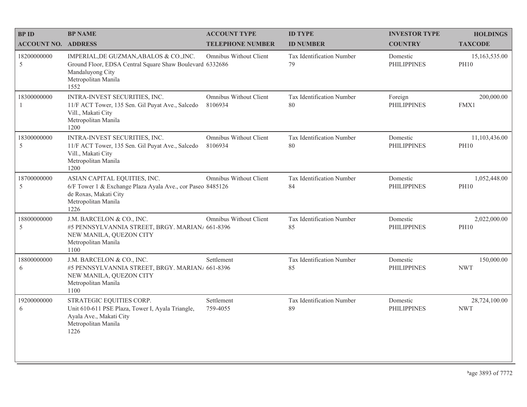| <b>BPID</b>                   | <b>BP NAME</b>                                                                                                                                         | <b>ACCOUNT TYPE</b>                      | <b>ID TYPE</b>                  | <b>INVESTOR TYPE</b>           | <b>HOLDINGS</b>              |
|-------------------------------|--------------------------------------------------------------------------------------------------------------------------------------------------------|------------------------------------------|---------------------------------|--------------------------------|------------------------------|
| <b>ACCOUNT NO. ADDRESS</b>    |                                                                                                                                                        | <b>TELEPHONE NUMBER</b>                  | <b>ID NUMBER</b>                | <b>COUNTRY</b>                 | <b>TAXCODE</b>               |
| 18200000000<br>5              | IMPERIAL, DE GUZMAN, ABALOS & CO., INC.<br>Ground Floor, EDSA Central Square Shaw Boulevard 6332686<br>Mandaluyong City<br>Metropolitan Manila<br>1552 | Omnibus Without Client                   | Tax Identification Number<br>79 | Domestic<br><b>PHILIPPINES</b> | 15,163,535.00<br><b>PH10</b> |
| 18300000000<br>$\overline{1}$ | INTRA-INVEST SECURITIES, INC.<br>11/F ACT Tower, 135 Sen. Gil Puyat Ave., Salcedo<br>Vill., Makati City<br>Metropolitan Manila<br>1200                 | <b>Omnibus Without Client</b><br>8106934 | Tax Identification Number<br>80 | Foreign<br><b>PHILIPPINES</b>  | 200,000.00<br>FMX1           |
| 18300000000<br>5              | INTRA-INVEST SECURITIES, INC.<br>11/F ACT Tower, 135 Sen. Gil Puyat Ave., Salcedo<br>Vill., Makati City<br>Metropolitan Manila<br>1200                 | <b>Omnibus Without Client</b><br>8106934 | Tax Identification Number<br>80 | Domestic<br><b>PHILIPPINES</b> | 11,103,436.00<br><b>PH10</b> |
| 18700000000<br>5              | ASIAN CAPITAL EQUITIES, INC.<br>6/F Tower 1 & Exchange Plaza Ayala Ave., cor Paseo 8485126<br>de Roxas, Makati City<br>Metropolitan Manila<br>1226     | Omnibus Without Client                   | Tax Identification Number<br>84 | Domestic<br><b>PHILIPPINES</b> | 1,052,448.00<br><b>PH10</b>  |
| 18800000000<br>5              | J.M. BARCELON & CO., INC.<br>#5 PENNSYLVANNIA STREET, BRGY. MARIAN/ 661-8396<br>NEW MANILA, QUEZON CITY<br>Metropolitan Manila<br>1100                 | Omnibus Without Client                   | Tax Identification Number<br>85 | Domestic<br><b>PHILIPPINES</b> | 2,022,000.00<br><b>PH10</b>  |
| 18800000000<br>6              | J.M. BARCELON & CO., INC.<br>#5 PENNSYLVANNIA STREET, BRGY. MARIAN/ 661-8396<br>NEW MANILA, QUEZON CITY<br>Metropolitan Manila<br>1100                 | Settlement                               | Tax Identification Number<br>85 | Domestic<br><b>PHILIPPINES</b> | 150,000.00<br><b>NWT</b>     |
| 19200000000<br>6              | STRATEGIC EQUITIES CORP.<br>Unit 610-611 PSE Plaza, Tower I, Ayala Triangle,<br>Ayala Ave., Makati City<br>Metropolitan Manila<br>1226                 | Settlement<br>759-4055                   | Tax Identification Number<br>89 | Domestic<br><b>PHILIPPINES</b> | 28,724,100.00<br><b>NWT</b>  |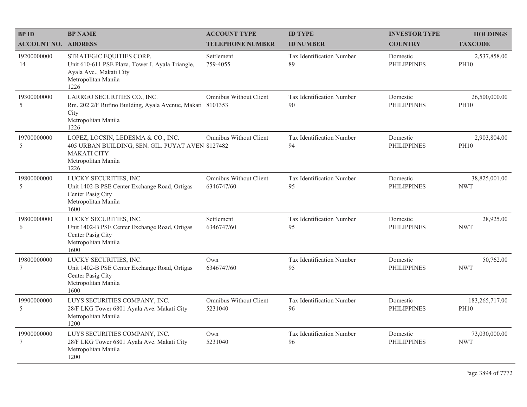| <b>BPID</b>                | <b>BP NAME</b>                                                                                                                              | <b>ACCOUNT TYPE</b>                  | <b>ID TYPE</b>                  | <b>INVESTOR TYPE</b>           | <b>HOLDINGS</b>               |
|----------------------------|---------------------------------------------------------------------------------------------------------------------------------------------|--------------------------------------|---------------------------------|--------------------------------|-------------------------------|
| <b>ACCOUNT NO. ADDRESS</b> |                                                                                                                                             | <b>TELEPHONE NUMBER</b>              | <b>ID NUMBER</b>                | <b>COUNTRY</b>                 | <b>TAXCODE</b>                |
| 19200000000<br>14          | STRATEGIC EQUITIES CORP.<br>Unit 610-611 PSE Plaza, Tower I, Ayala Triangle,<br>Ayala Ave., Makati City<br>Metropolitan Manila<br>1226      | Settlement<br>759-4055               | Tax Identification Number<br>89 | Domestic<br><b>PHILIPPINES</b> | 2,537,858.00<br><b>PH10</b>   |
| 19300000000<br>5           | LARRGO SECURITIES CO., INC.<br>Rm. 202 2/F Rufino Building, Ayala Avenue, Makati 8101353<br>City<br>Metropolitan Manila<br>1226             | Omnibus Without Client               | Tax Identification Number<br>90 | Domestic<br><b>PHILIPPINES</b> | 26,500,000.00<br><b>PH10</b>  |
| 19700000000<br>5           | LOPEZ, LOCSIN, LEDESMA & CO., INC.<br>405 URBAN BUILDING, SEN. GIL. PUYAT AVEN 8127482<br><b>MAKATI CITY</b><br>Metropolitan Manila<br>1226 | Omnibus Without Client               | Tax Identification Number<br>94 | Domestic<br><b>PHILIPPINES</b> | 2,903,804.00<br><b>PH10</b>   |
| 19800000000<br>5           | LUCKY SECURITIES, INC.<br>Unit 1402-B PSE Center Exchange Road, Ortigas<br>Center Pasig City<br>Metropolitan Manila<br>1600                 | Omnibus Without Client<br>6346747/60 | Tax Identification Number<br>95 | Domestic<br><b>PHILIPPINES</b> | 38,825,001.00<br><b>NWT</b>   |
| 19800000000<br>6           | LUCKY SECURITIES, INC.<br>Unit 1402-B PSE Center Exchange Road, Ortigas<br>Center Pasig City<br>Metropolitan Manila<br>1600                 | Settlement<br>6346747/60             | Tax Identification Number<br>95 | Domestic<br><b>PHILIPPINES</b> | 28,925.00<br><b>NWT</b>       |
| 19800000000<br>7           | LUCKY SECURITIES, INC.<br>Unit 1402-B PSE Center Exchange Road, Ortigas<br>Center Pasig City<br>Metropolitan Manila<br>1600                 | Own<br>6346747/60                    | Tax Identification Number<br>95 | Domestic<br><b>PHILIPPINES</b> | 50,762.00<br><b>NWT</b>       |
| 19900000000<br>5           | LUYS SECURITIES COMPANY, INC.<br>28/F LKG Tower 6801 Ayala Ave. Makati City<br>Metropolitan Manila<br>1200                                  | Omnibus Without Client<br>5231040    | Tax Identification Number<br>96 | Domestic<br><b>PHILIPPINES</b> | 183,265,717.00<br><b>PH10</b> |
| 19900000000<br>$\tau$      | LUYS SECURITIES COMPANY, INC.<br>28/F LKG Tower 6801 Ayala Ave. Makati City<br>Metropolitan Manila<br>1200                                  | Own<br>5231040                       | Tax Identification Number<br>96 | Domestic<br><b>PHILIPPINES</b> | 73,030,000.00<br><b>NWT</b>   |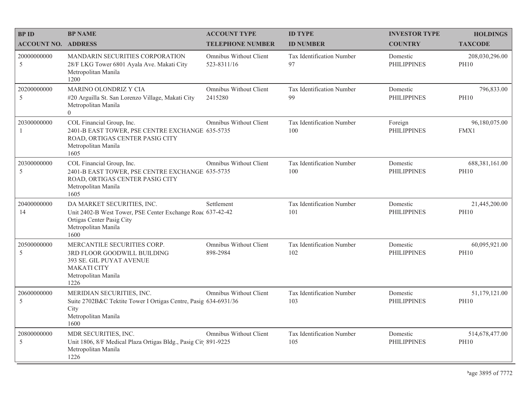| <b>BPID</b>                   | <b>BP NAME</b>                                                                                                                                       | <b>ACCOUNT TYPE</b>                      | <b>ID TYPE</b>                   | <b>INVESTOR TYPE</b>           | <b>HOLDINGS</b>               |
|-------------------------------|------------------------------------------------------------------------------------------------------------------------------------------------------|------------------------------------------|----------------------------------|--------------------------------|-------------------------------|
| <b>ACCOUNT NO. ADDRESS</b>    |                                                                                                                                                      | <b>TELEPHONE NUMBER</b>                  | <b>ID NUMBER</b>                 | <b>COUNTRY</b>                 | <b>TAXCODE</b>                |
| 20000000000<br>5              | <b>MANDARIN SECURITIES CORPORATION</b><br>28/F LKG Tower 6801 Ayala Ave. Makati City<br>Metropolitan Manila<br>1200                                  | Omnibus Without Client<br>523-8311/16    | Tax Identification Number<br>97  | Domestic<br><b>PHILIPPINES</b> | 208,030,296.00<br><b>PH10</b> |
| 20200000000<br>5              | MARINO OLONDRIZ Y CIA<br>#20 Arguilla St. San Lorenzo Village, Makati City<br>Metropolitan Manila<br>$\Omega$                                        | <b>Omnibus Without Client</b><br>2415280 | Tax Identification Number<br>99  | Domestic<br><b>PHILIPPINES</b> | 796,833.00<br><b>PH10</b>     |
| 20300000000<br>$\overline{1}$ | COL Financial Group, Inc.<br>2401-B EAST TOWER, PSE CENTRE EXCHANGE 635-5735<br>ROAD, ORTIGAS CENTER PASIG CITY<br>Metropolitan Manila<br>1605       | Omnibus Without Client                   | Tax Identification Number<br>100 | Foreign<br><b>PHILIPPINES</b>  | 96,180,075.00<br>FMX1         |
| 20300000000<br>5              | COL Financial Group, Inc.<br>2401-B EAST TOWER, PSE CENTRE EXCHANGE 635-5735<br>ROAD, ORTIGAS CENTER PASIG CITY<br>Metropolitan Manila<br>1605       | <b>Omnibus Without Client</b>            | Tax Identification Number<br>100 | Domestic<br><b>PHILIPPINES</b> | 688,381,161.00<br><b>PH10</b> |
| 20400000000<br>14             | DA MARKET SECURITIES, INC.<br>Unit 2402-B West Tower, PSE Center Exchange Roac 637-42-42<br>Ortigas Center Pasig City<br>Metropolitan Manila<br>1600 | Settlement                               | Tax Identification Number<br>101 | Domestic<br><b>PHILIPPINES</b> | 21,445,200.00<br><b>PH10</b>  |
| 20500000000<br>5              | MERCANTILE SECURITIES CORP.<br>3RD FLOOR GOODWILL BUILDING<br>393 SE. GIL PUYAT AVENUE<br><b>MAKATI CITY</b><br>Metropolitan Manila<br>1226          | Omnibus Without Client<br>898-2984       | Tax Identification Number<br>102 | Domestic<br><b>PHILIPPINES</b> | 60,095,921.00<br><b>PH10</b>  |
| 20600000000<br>5              | MERIDIAN SECURITIES, INC.<br>Suite 2702B&C Tektite Tower I Ortigas Centre, Pasig 634-6931/36<br>City<br>Metropolitan Manila<br>1600                  | Omnibus Without Client                   | Tax Identification Number<br>103 | Domestic<br><b>PHILIPPINES</b> | 51,179,121.00<br><b>PH10</b>  |
| 20800000000<br>5              | MDR SECURITIES, INC.<br>Unit 1806, 8/F Medical Plaza Ortigas Bldg., Pasig Cit 891-9225<br>Metropolitan Manila<br>1226                                | <b>Omnibus Without Client</b>            | Tax Identification Number<br>105 | Domestic<br><b>PHILIPPINES</b> | 514,678,477.00<br><b>PH10</b> |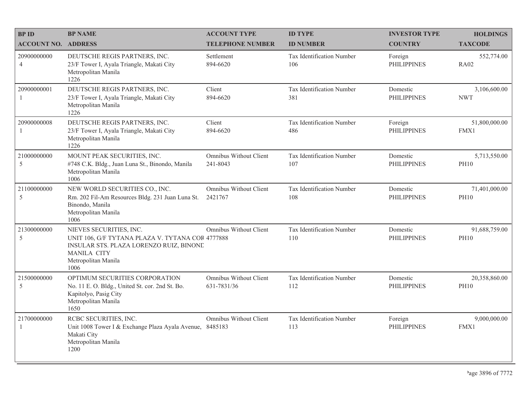| <b>BPID</b>                   | <b>BP NAME</b>                                                                                                                                                              | <b>ACCOUNT TYPE</b>                   | <b>ID TYPE</b>                   | <b>INVESTOR TYPE</b>           | <b>HOLDINGS</b>              |
|-------------------------------|-----------------------------------------------------------------------------------------------------------------------------------------------------------------------------|---------------------------------------|----------------------------------|--------------------------------|------------------------------|
| <b>ACCOUNT NO. ADDRESS</b>    |                                                                                                                                                                             | <b>TELEPHONE NUMBER</b>               | <b>ID NUMBER</b>                 | <b>COUNTRY</b>                 | <b>TAXCODE</b>               |
| 20900000000<br>$\overline{4}$ | DEUTSCHE REGIS PARTNERS, INC.<br>23/F Tower I, Ayala Triangle, Makati City<br>Metropolitan Manila<br>1226                                                                   | Settlement<br>894-6620                | Tax Identification Number<br>106 | Foreign<br><b>PHILIPPINES</b>  | 552,774.00<br><b>RA02</b>    |
| 20900000001<br>1              | DEUTSCHE REGIS PARTNERS, INC.<br>23/F Tower I, Ayala Triangle, Makati City<br>Metropolitan Manila<br>1226                                                                   | Client<br>894-6620                    | Tax Identification Number<br>381 | Domestic<br><b>PHILIPPINES</b> | 3,106,600.00<br><b>NWT</b>   |
| 20900000008<br>$\mathbf{1}$   | DEUTSCHE REGIS PARTNERS, INC.<br>23/F Tower I, Ayala Triangle, Makati City<br>Metropolitan Manila<br>1226                                                                   | Client<br>894-6620                    | Tax Identification Number<br>486 | Foreign<br><b>PHILIPPINES</b>  | 51,800,000.00<br>FMX1        |
| 21000000000<br>5              | MOUNT PEAK SECURITIES, INC.<br>#748 C.K. Bldg., Juan Luna St., Binondo, Manila<br>Metropolitan Manila<br>1006                                                               | Omnibus Without Client<br>241-8043    | Tax Identification Number<br>107 | Domestic<br><b>PHILIPPINES</b> | 5,713,550.00<br><b>PH10</b>  |
| 21100000000<br>5              | NEW WORLD SECURITIES CO., INC.<br>Rm. 202 Fil-Am Resources Bldg. 231 Juan Luna St.<br>Binondo, Manila<br>Metropolitan Manila<br>1006                                        | Omnibus Without Client<br>2421767     | Tax Identification Number<br>108 | Domestic<br><b>PHILIPPINES</b> | 71,401,000.00<br><b>PH10</b> |
| 21300000000<br>5              | NIEVES SECURITIES, INC.<br>UNIT 106, G/F TYTANA PLAZA V. TYTANA COR 4777888<br>INSULAR STS. PLAZA LORENZO RUIZ, BINONE<br><b>MANILA CITY</b><br>Metropolitan Manila<br>1006 | Omnibus Without Client                | Tax Identification Number<br>110 | Domestic<br><b>PHILIPPINES</b> | 91,688,759.00<br><b>PH10</b> |
| 21500000000<br>5              | OPTIMUM SECURITIES CORPORATION<br>No. 11 E. O. Bldg., United St. cor. 2nd St. Bo.<br>Kapitolyo, Pasig City<br>Metropolitan Manila<br>1650                                   | Omnibus Without Client<br>631-7831/36 | Tax Identification Number<br>112 | Domestic<br><b>PHILIPPINES</b> | 20,358,860.00<br><b>PH10</b> |
| 21700000000<br>$\mathbf{1}$   | RCBC SECURITIES, INC.<br>Unit 1008 Tower I & Exchange Plaza Ayala Avenue, 8485183<br>Makati City<br>Metropolitan Manila<br>1200                                             | Omnibus Without Client                | Tax Identification Number<br>113 | Foreign<br><b>PHILIPPINES</b>  | 9,000,000.00<br>FMX1         |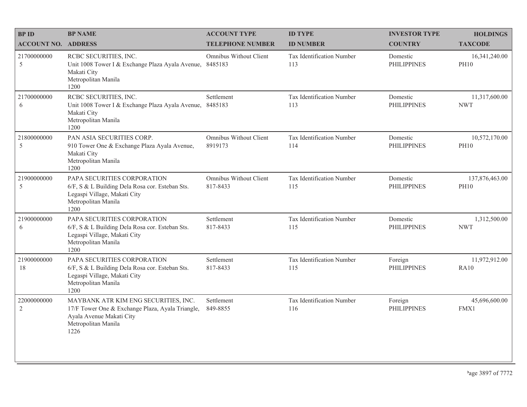| <b>BPID</b>                   | <b>BP NAME</b>                                                                                                                                      | <b>ACCOUNT TYPE</b>                | <b>ID TYPE</b>                   | <b>INVESTOR TYPE</b>           | <b>HOLDINGS</b>               |
|-------------------------------|-----------------------------------------------------------------------------------------------------------------------------------------------------|------------------------------------|----------------------------------|--------------------------------|-------------------------------|
| <b>ACCOUNT NO. ADDRESS</b>    |                                                                                                                                                     | <b>TELEPHONE NUMBER</b>            | <b>ID NUMBER</b>                 | <b>COUNTRY</b>                 | <b>TAXCODE</b>                |
| 21700000000<br>5              | RCBC SECURITIES, INC.<br>Unit 1008 Tower I & Exchange Plaza Ayala Avenue,<br>Makati City<br>Metropolitan Manila<br>1200                             | Omnibus Without Client<br>8485183  | Tax Identification Number<br>113 | Domestic<br><b>PHILIPPINES</b> | 16,341,240.00<br><b>PH10</b>  |
| 21700000000<br>6              | RCBC SECURITIES, INC.<br>Unit 1008 Tower I & Exchange Plaza Ayala Avenue,<br>Makati City<br>Metropolitan Manila<br>1200                             | Settlement<br>8485183              | Tax Identification Number<br>113 | Domestic<br><b>PHILIPPINES</b> | 11,317,600.00<br><b>NWT</b>   |
| 21800000000<br>5              | PAN ASIA SECURITIES CORP.<br>910 Tower One & Exchange Plaza Ayala Avenue,<br>Makati City<br>Metropolitan Manila<br>1200                             | Omnibus Without Client<br>8919173  | Tax Identification Number<br>114 | Domestic<br><b>PHILIPPINES</b> | 10,572,170.00<br><b>PH10</b>  |
| 21900000000<br>5              | PAPA SECURITIES CORPORATION<br>6/F, S & L Building Dela Rosa cor. Esteban Sts.<br>Legaspi Village, Makati City<br>Metropolitan Manila<br>1200       | Omnibus Without Client<br>817-8433 | Tax Identification Number<br>115 | Domestic<br><b>PHILIPPINES</b> | 137,876,463.00<br><b>PH10</b> |
| 21900000000<br>6              | PAPA SECURITIES CORPORATION<br>6/F, S & L Building Dela Rosa cor. Esteban Sts.<br>Legaspi Village, Makati City<br>Metropolitan Manila<br>1200       | Settlement<br>817-8433             | Tax Identification Number<br>115 | Domestic<br><b>PHILIPPINES</b> | 1,312,500.00<br><b>NWT</b>    |
| 21900000000<br>18             | PAPA SECURITIES CORPORATION<br>6/F, S & L Building Dela Rosa cor. Esteban Sts.<br>Legaspi Village, Makati City<br>Metropolitan Manila<br>1200       | Settlement<br>817-8433             | Tax Identification Number<br>115 | Foreign<br><b>PHILIPPINES</b>  | 11,972,912.00<br>RA10         |
| 22000000000<br>$\overline{2}$ | MAYBANK ATR KIM ENG SECURITIES, INC.<br>17/F Tower One & Exchange Plaza, Ayala Triangle,<br>Ayala Avenue Makati City<br>Metropolitan Manila<br>1226 | Settlement<br>849-8855             | Tax Identification Number<br>116 | Foreign<br><b>PHILIPPINES</b>  | 45,696,600.00<br>FMX1         |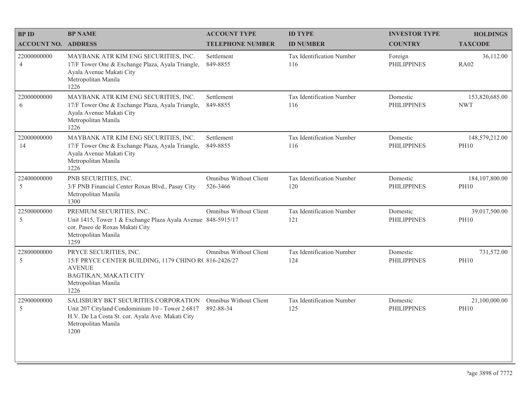| <b>BP ID</b>                  | <b>BP NAME</b>                                                                                                                                                             | <b>ACCOUNT TYPE</b>                        | <b>ID TYPE</b>                   | <b>INVESTOR TYPE</b>           | <b>HOLDINGS</b>                 |
|-------------------------------|----------------------------------------------------------------------------------------------------------------------------------------------------------------------------|--------------------------------------------|----------------------------------|--------------------------------|---------------------------------|
| <b>ACCOUNT NO. ADDRESS</b>    |                                                                                                                                                                            | <b>TELEPHONE NUMBER</b>                    | <b>ID NUMBER</b>                 | <b>COUNTRY</b>                 | <b>TAXCODE</b>                  |
| 22000000000<br>$\overline{4}$ | MAYBANK ATR KIM ENG SECURITIES, INC.<br>17/F Tower One & Exchange Plaza, Ayala Triangle,<br>Ayala Avenue Makati City<br>Metropolitan Manila<br>1226                        | Settlement<br>849-8855                     | Tax Identification Number<br>116 | Foreign<br><b>PHILIPPINES</b>  | 36,112.00<br><b>RA02</b>        |
| 22000000000<br>6              | MAYBANK ATR KIM ENG SECURITIES, INC.<br>17/F Tower One & Exchange Plaza, Ayala Triangle,<br>Ayala Avenue Makati City<br>Metropolitan Manila<br>1226                        | Settlement<br>849-8855                     | Tax Identification Number<br>116 | Domestic<br><b>PHILIPPINES</b> | 153,820,685.00<br><b>NWT</b>    |
| 22000000000<br>14             | MAYBANK ATR KIM ENG SECURITIES, INC.<br>17/F Tower One & Exchange Plaza, Ayala Triangle,<br>Ayala Avenue Makati City<br>Metropolitan Manila<br>1226                        | Settlement<br>849-8855                     | Tax Identification Number<br>116 | Domestic<br><b>PHILIPPINES</b> | 148,579,212.00<br><b>PH10</b>   |
| 22400000000<br>5              | PNB SECURITIES, INC.<br>3/F PNB Financial Center Roxas Blvd., Pasay City<br>Metropolitan Manila<br>1300                                                                    | Omnibus Without Client<br>526-3466         | Tax Identification Number<br>120 | Domestic<br><b>PHILIPPINES</b> | 184, 107, 800.00<br><b>PH10</b> |
| 22500000000<br>5              | PREMIUM SECURITIES, INC.<br>Unit 1415, Tower 1 & Exchange Plaza Ayala Avenue 848-5915/17<br>cor. Paseo de Roxas Makati City<br>Metropolitan Manila<br>1259                 | Omnibus Without Client                     | Tax Identification Number<br>121 | Domestic<br><b>PHILIPPINES</b> | 39,017,500.00<br><b>PH10</b>    |
| 22800000000<br>5              | PRYCE SECURITIES, INC.<br>15/F PRYCE CENTER BUILDING, 1179 CHINO R( 816-2426/27<br><b>AVENUE</b><br>BAGTIKAN, MAKATI CITY<br>Metropolitan Manila<br>1226                   | Omnibus Without Client                     | Tax Identification Number<br>124 | Domestic<br><b>PHILIPPINES</b> | 731,572.00<br><b>PH10</b>       |
| 22900000000<br>$\overline{5}$ | SALISBURY BKT SECURITIES CORPORATION<br>Unit 207 Cityland Condominium 10 - Tower 2 6817<br>H.V. De La Costa St. cor. Ayala Ave. Makati City<br>Metropolitan Manila<br>1200 | <b>Omnibus Without Client</b><br>892-88-34 | Tax Identification Number<br>125 | Domestic<br><b>PHILIPPINES</b> | 21,100,000.00<br><b>PH10</b>    |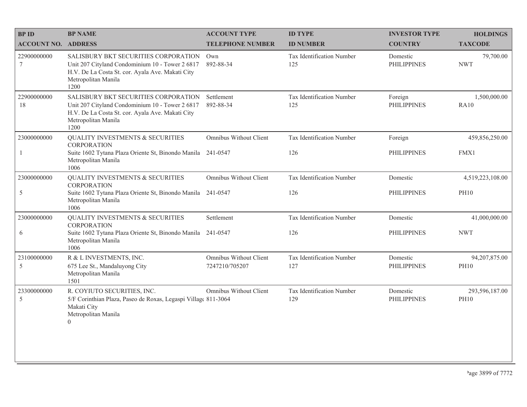| <b>BPID</b>                | <b>BP NAME</b>                                                                                                                                                             | <b>ACCOUNT TYPE</b>                      | <b>ID TYPE</b>                   | <b>INVESTOR TYPE</b>           | <b>HOLDINGS</b>               |
|----------------------------|----------------------------------------------------------------------------------------------------------------------------------------------------------------------------|------------------------------------------|----------------------------------|--------------------------------|-------------------------------|
| <b>ACCOUNT NO. ADDRESS</b> |                                                                                                                                                                            | <b>TELEPHONE NUMBER</b>                  | <b>ID NUMBER</b>                 | <b>COUNTRY</b>                 | <b>TAXCODE</b>                |
| 22900000000<br>$\tau$      | SALISBURY BKT SECURITIES CORPORATION<br>Unit 207 Cityland Condominium 10 - Tower 2 6817<br>H.V. De La Costa St. cor. Ayala Ave. Makati City<br>Metropolitan Manila<br>1200 | Own<br>892-88-34                         | Tax Identification Number<br>125 | Domestic<br><b>PHILIPPINES</b> | 79,700.00<br><b>NWT</b>       |
| 22900000000<br>18          | SALISBURY BKT SECURITIES CORPORATION<br>Unit 207 Cityland Condominium 10 - Tower 2 6817<br>H.V. De La Costa St. cor. Ayala Ave. Makati City<br>Metropolitan Manila<br>1200 | Settlement<br>892-88-34                  | Tax Identification Number<br>125 | Foreign<br><b>PHILIPPINES</b>  | 1,500,000.00<br>RA10          |
| 23000000000                | <b>QUALITY INVESTMENTS &amp; SECURITIES</b><br><b>CORPORATION</b>                                                                                                          | Omnibus Without Client                   | Tax Identification Number        | Foreign                        | 459,856,250.00                |
|                            | Suite 1602 Tytana Plaza Oriente St, Binondo Manila 241-0547<br>Metropolitan Manila<br>1006                                                                                 |                                          | 126                              | <b>PHILIPPINES</b>             | FMX1                          |
| 23000000000                | <b>QUALITY INVESTMENTS &amp; SECURITIES</b><br><b>CORPORATION</b>                                                                                                          | <b>Omnibus Without Client</b>            | Tax Identification Number        | Domestic                       | 4,519,223,108.00              |
| 5                          | Suite 1602 Tytana Plaza Oriente St, Binondo Manila 241-0547<br>Metropolitan Manila<br>1006                                                                                 |                                          | 126                              | <b>PHILIPPINES</b>             | <b>PH10</b>                   |
| 23000000000                | <b>QUALITY INVESTMENTS &amp; SECURITIES</b><br><b>CORPORATION</b>                                                                                                          | Settlement                               | Tax Identification Number        | Domestic                       | 41,000,000.00                 |
| 6                          | Suite 1602 Tytana Plaza Oriente St, Binondo Manila<br>Metropolitan Manila<br>1006                                                                                          | 241-0547                                 | 126                              | <b>PHILIPPINES</b>             | <b>NWT</b>                    |
| 23100000000<br>5           | R & L INVESTMENTS, INC.<br>675 Lee St., Mandaluyong City<br>Metropolitan Manila<br>1501                                                                                    | Omnibus Without Client<br>7247210/705207 | Tax Identification Number<br>127 | Domestic<br><b>PHILIPPINES</b> | 94,207,875.00<br><b>PH10</b>  |
| 23300000000<br>5           | R. COYIUTO SECURITIES, INC.<br>5/F Corinthian Plaza, Paseo de Roxas, Legaspi Village 811-3064<br>Makati City<br>Metropolitan Manila<br>$\overline{0}$                      | Omnibus Without Client                   | Tax Identification Number<br>129 | Domestic<br><b>PHILIPPINES</b> | 293,596,187.00<br><b>PH10</b> |
|                            |                                                                                                                                                                            |                                          |                                  |                                |                               |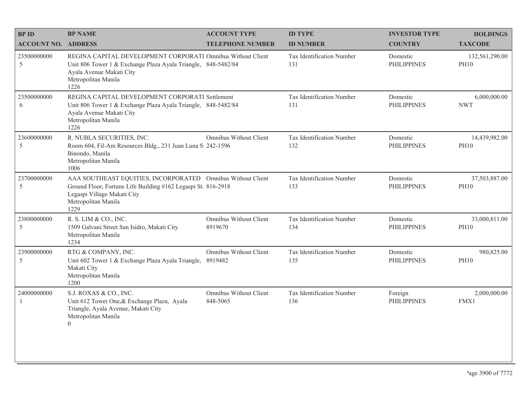| <b>BP ID</b>               | <b>BP NAME</b>                                                                                                                                                                             | <b>ACCOUNT TYPE</b>                | <b>ID TYPE</b>                   | <b>INVESTOR TYPE</b>           | <b>HOLDINGS</b>               |
|----------------------------|--------------------------------------------------------------------------------------------------------------------------------------------------------------------------------------------|------------------------------------|----------------------------------|--------------------------------|-------------------------------|
| <b>ACCOUNT NO. ADDRESS</b> |                                                                                                                                                                                            | <b>TELEPHONE NUMBER</b>            | <b>ID NUMBER</b>                 | <b>COUNTRY</b>                 | <b>TAXCODE</b>                |
| 23500000000<br>5           | REGINA CAPITAL DEVELOPMENT CORPORATI Omnibus Without Client<br>Unit 806 Tower 1 & Exchange Plaza Ayala Triangle, 848-5482/84<br>Ayala Avenue Makati City<br>Metropolitan Manila<br>1226    |                                    | Tax Identification Number<br>131 | Domestic<br><b>PHILIPPINES</b> | 132,561,290.00<br><b>PH10</b> |
| 23500000000<br>6           | REGINA CAPITAL DEVELOPMENT CORPORATI Settlement<br>Unit 806 Tower 1 & Exchange Plaza Ayala Triangle, 848-5482/84<br>Ayala Avenue Makati City<br>Metropolitan Manila<br>1226                |                                    | Tax Identification Number<br>131 | Domestic<br><b>PHILIPPINES</b> | 6,000,000.00<br><b>NWT</b>    |
| 23600000000<br>5           | R. NUBLA SECURITIES, INC.<br>Room 604, Fil-Am Resources Bldg., 231 Juan Luna S 242-1596<br>Binondo, Manila<br>Metropolitan Manila<br>1006                                                  | Omnibus Without Client             | Tax Identification Number<br>132 | Domestic<br><b>PHILIPPINES</b> | 14,439,982.00<br><b>PH10</b>  |
| 23700000000<br>5           | AAA SOUTHEAST EQUITIES, INCORPORATED Omnibus Without Client<br>Ground Floor, Fortune Life Building #162 Legaspi St. 816-2918<br>Legaspi Village Makati City<br>Metropolitan Manila<br>1229 |                                    | Tax Identification Number<br>133 | Domestic<br><b>PHILIPPINES</b> | 37,503,887.00<br><b>PH10</b>  |
| 23800000000<br>5           | R. S. LIM & CO., INC.<br>1509 Galvani Street San Isidro, Makati City<br>Metropolitan Manila<br>1234                                                                                        | Omnibus Without Client<br>8919670  | Tax Identification Number<br>134 | Domestic<br><b>PHILIPPINES</b> | 33,000,811.00<br><b>PH10</b>  |
| 23900000000<br>5           | RTG & COMPANY, INC.<br>Unit 602 Tower 1 & Exchange Plaza Ayala Triangle,<br>Makati City<br>Metropolitan Manila<br>1200                                                                     | Omnibus Without Client<br>8919482  | Tax Identification Number<br>135 | Domestic<br><b>PHILIPPINES</b> | 980,825.00<br><b>PH10</b>     |
| 24000000000<br>-1          | S.J. ROXAS & CO., INC.<br>Unit 612 Tower One, & Exchange Plaza, Ayala<br>Triangle, Ayala Avenue, Makati City<br>Metropolitan Manila<br>$\theta$                                            | Omnibus Without Client<br>848-5065 | Tax Identification Number<br>136 | Foreign<br><b>PHILIPPINES</b>  | 2,000,000.00<br>FMX1          |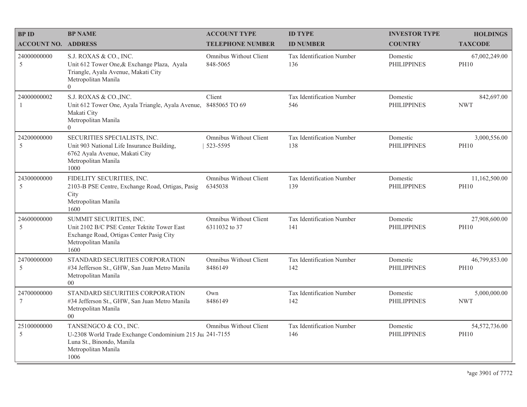| <b>BPID</b>                   | <b>BP NAME</b>                                                                                                                                    | <b>ACCOUNT TYPE</b>                            | <b>ID TYPE</b>                   | <b>INVESTOR TYPE</b>           | <b>HOLDINGS</b>              |
|-------------------------------|---------------------------------------------------------------------------------------------------------------------------------------------------|------------------------------------------------|----------------------------------|--------------------------------|------------------------------|
| <b>ACCOUNT NO. ADDRESS</b>    |                                                                                                                                                   | <b>TELEPHONE NUMBER</b>                        | <b>ID NUMBER</b>                 | <b>COUNTRY</b>                 | <b>TAXCODE</b>               |
| 24000000000<br>5              | S.J. ROXAS & CO., INC.<br>Unit 612 Tower One, & Exchange Plaza, Ayala<br>Triangle, Ayala Avenue, Makati City<br>Metropolitan Manila<br>$\Omega$   | Omnibus Without Client<br>848-5065             | Tax Identification Number<br>136 | Domestic<br><b>PHILIPPINES</b> | 67,002,249.00<br><b>PH10</b> |
| 24000000002<br>$\overline{1}$ | S.J. ROXAS & CO., INC.<br>Unit 612 Tower One, Ayala Triangle, Ayala Avenue,<br>Makati City<br>Metropolitan Manila<br>$\overline{0}$               | Client<br>8485065 TO 69                        | Tax Identification Number<br>546 | Domestic<br><b>PHILIPPINES</b> | 842,697.00<br><b>NWT</b>     |
| 24200000000<br>5              | SECURITIES SPECIALISTS, INC.<br>Unit 903 National Life Insurance Building,<br>6762 Ayala Avenue, Makati City<br>Metropolitan Manila<br>1000       | Omnibus Without Client<br>523-5595             | Tax Identification Number<br>138 | Domestic<br><b>PHILIPPINES</b> | 3,000,556.00<br><b>PH10</b>  |
| 24300000000<br>5              | FIDELITY SECURITIES, INC.<br>2103-B PSE Centre, Exchange Road, Ortigas, Pasig<br>City<br>Metropolitan Manila<br>1600                              | Omnibus Without Client<br>6345038              | Tax Identification Number<br>139 | Domestic<br><b>PHILIPPINES</b> | 11,162,500.00<br><b>PH10</b> |
| 24600000000<br>5              | SUMMIT SECURITIES, INC.<br>Unit 2102 B/C PSE Center Tektite Tower East<br>Exchange Road, Ortigas Center Pasig City<br>Metropolitan Manila<br>1600 | <b>Omnibus Without Client</b><br>6311032 to 37 | Tax Identification Number<br>141 | Domestic<br><b>PHILIPPINES</b> | 27,908,600.00<br><b>PH10</b> |
| 24700000000<br>5              | STANDARD SECURITIES CORPORATION<br>#34 Jefferson St., GHW, San Juan Metro Manila<br>Metropolitan Manila<br>0 <sup>0</sup>                         | Omnibus Without Client<br>8486149              | Tax Identification Number<br>142 | Domestic<br><b>PHILIPPINES</b> | 46,799,853.00<br><b>PH10</b> |
| 24700000000<br>$\tau$         | STANDARD SECURITIES CORPORATION<br>#34 Jefferson St., GHW, San Juan Metro Manila<br>Metropolitan Manila<br>0 <sup>0</sup>                         | Own<br>8486149                                 | Tax Identification Number<br>142 | Domestic<br><b>PHILIPPINES</b> | 5,000,000.00<br><b>NWT</b>   |
| 25100000000<br>5              | TANSENGCO & CO., INC.<br>U-2308 World Trade Exchange Condominium 215 Ju; 241-7155<br>Luna St., Binondo, Manila<br>Metropolitan Manila<br>1006     | Omnibus Without Client                         | Tax Identification Number<br>146 | Domestic<br><b>PHILIPPINES</b> | 54,572,736.00<br><b>PH10</b> |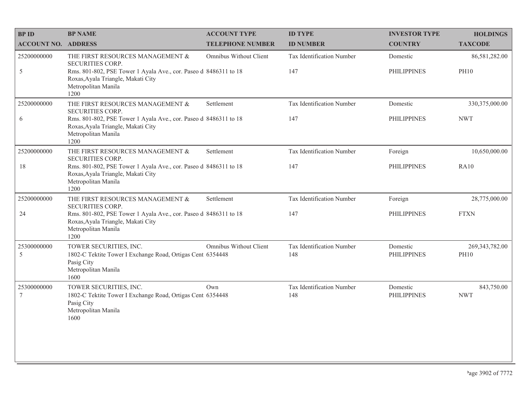| <b>BPID</b>                    | <b>BP NAME</b>                                                                                                                        | <b>ACCOUNT TYPE</b>     | <b>ID TYPE</b>                   | <b>INVESTOR TYPE</b>           | <b>HOLDINGS</b>          |
|--------------------------------|---------------------------------------------------------------------------------------------------------------------------------------|-------------------------|----------------------------------|--------------------------------|--------------------------|
| <b>ACCOUNT NO. ADDRESS</b>     |                                                                                                                                       | <b>TELEPHONE NUMBER</b> | <b>ID NUMBER</b>                 | <b>COUNTRY</b>                 | <b>TAXCODE</b>           |
| 25200000000                    | THE FIRST RESOURCES MANAGEMENT &<br>SECURITIES CORP.                                                                                  | Omnibus Without Client  | Tax Identification Number        | Domestic                       | 86,581,282.00            |
| 5                              | Rms. 801-802, PSE Tower 1 Ayala Ave., cor. Paseo d 8486311 to 18<br>Roxas, Ayala Triangle, Makati City<br>Metropolitan Manila<br>1200 |                         | 147                              | <b>PHILIPPINES</b>             | <b>PH10</b>              |
| 25200000000                    | THE FIRST RESOURCES MANAGEMENT &<br><b>SECURITIES CORP.</b>                                                                           | Settlement              | Tax Identification Number        | Domestic                       | 330,375,000.00           |
| 6                              | Rms. 801-802, PSE Tower 1 Ayala Ave., cor. Paseo d 8486311 to 18<br>Roxas, Ayala Triangle, Makati City<br>Metropolitan Manila<br>1200 |                         | 147                              | <b>PHILIPPINES</b>             | <b>NWT</b>               |
| 25200000000                    | THE FIRST RESOURCES MANAGEMENT &<br><b>SECURITIES CORP.</b>                                                                           | Settlement              | Tax Identification Number        | Foreign                        | 10,650,000.00            |
| 18                             | Rms. 801-802, PSE Tower 1 Ayala Ave., cor. Paseo d 8486311 to 18<br>Roxas, Ayala Triangle, Makati City<br>Metropolitan Manila<br>1200 |                         | 147                              | <b>PHILIPPINES</b>             | <b>RA10</b>              |
| 25200000000                    | THE FIRST RESOURCES MANAGEMENT &<br>SECURITIES CORP.                                                                                  | Settlement              | Tax Identification Number        | Foreign                        | 28,775,000.00            |
| 24                             | Rms. 801-802, PSE Tower 1 Ayala Ave., cor. Paseo d 8486311 to 18<br>Roxas, Ayala Triangle, Makati City<br>Metropolitan Manila<br>1200 |                         | 147                              | <b>PHILIPPINES</b>             | <b>FTXN</b>              |
| 25300000000                    | TOWER SECURITIES, INC.                                                                                                                | Omnibus Without Client  | Tax Identification Number        | Domestic                       | 269, 343, 782.00         |
| 5                              | 1802-C Tektite Tower I Exchange Road, Ortigas Cent 6354448<br>Pasig City<br>Metropolitan Manila<br>1600                               |                         | 148                              | <b>PHILIPPINES</b>             | <b>PH10</b>              |
| 25300000000<br>$7\phantom{.0}$ | TOWER SECURITIES, INC.<br>1802-C Tektite Tower I Exchange Road, Ortigas Cent 6354448<br>Pasig City<br>Metropolitan Manila<br>1600     | Own                     | Tax Identification Number<br>148 | Domestic<br><b>PHILIPPINES</b> | 843,750.00<br><b>NWT</b> |
|                                |                                                                                                                                       |                         |                                  |                                |                          |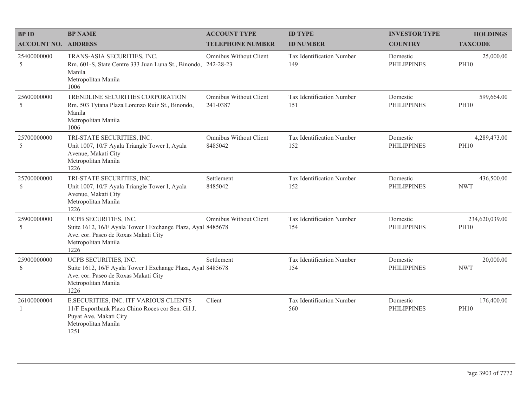| <b>BPID</b>                   | <b>BP NAME</b>                                                                                                                                              | <b>ACCOUNT TYPE</b>                | <b>ID TYPE</b>                          | <b>INVESTOR TYPE</b>           | <b>HOLDINGS</b>               |
|-------------------------------|-------------------------------------------------------------------------------------------------------------------------------------------------------------|------------------------------------|-----------------------------------------|--------------------------------|-------------------------------|
| <b>ACCOUNT NO. ADDRESS</b>    |                                                                                                                                                             | <b>TELEPHONE NUMBER</b>            | <b>ID NUMBER</b>                        | <b>COUNTRY</b>                 | <b>TAXCODE</b>                |
| 25400000000<br>5              | TRANS-ASIA SECURITIES, INC.<br>Rm. 601-S, State Centre 333 Juan Luna St., Binondo, 242-28-23<br>Manila<br>Metropolitan Manila<br>1006                       | Omnibus Without Client             | <b>Tax Identification Number</b><br>149 | Domestic<br><b>PHILIPPINES</b> | 25,000.00<br><b>PH10</b>      |
| 25600000000<br>5              | TRENDLINE SECURITIES CORPORATION<br>Rm. 503 Tytana Plaza Lorenzo Ruiz St., Binondo,<br>Manila<br>Metropolitan Manila<br>1006                                | Omnibus Without Client<br>241-0387 | Tax Identification Number<br>151        | Domestic<br><b>PHILIPPINES</b> | 599,664.00<br><b>PH10</b>     |
| 25700000000<br>5              | TRI-STATE SECURITIES, INC.<br>Unit 1007, 10/F Ayala Triangle Tower I, Ayala<br>Avenue, Makati City<br>Metropolitan Manila<br>1226                           | Omnibus Without Client<br>8485042  | Tax Identification Number<br>152        | Domestic<br><b>PHILIPPINES</b> | 4,289,473.00<br><b>PH10</b>   |
| 25700000000<br>6              | TRI-STATE SECURITIES, INC.<br>Unit 1007, 10/F Ayala Triangle Tower I, Ayala<br>Avenue, Makati City<br>Metropolitan Manila<br>1226                           | Settlement<br>8485042              | Tax Identification Number<br>152        | Domestic<br><b>PHILIPPINES</b> | 436,500.00<br><b>NWT</b>      |
| 25900000000<br>5              | UCPB SECURITIES, INC.<br>Suite 1612, 16/F Ayala Tower I Exchange Plaza, Ayal 8485678<br>Ave. cor. Paseo de Roxas Makati City<br>Metropolitan Manila<br>1226 | Omnibus Without Client             | Tax Identification Number<br>154        | Domestic<br><b>PHILIPPINES</b> | 234,620,039.00<br><b>PH10</b> |
| 25900000000<br>6              | UCPB SECURITIES, INC.<br>Suite 1612, 16/F Ayala Tower I Exchange Plaza, Ayal 8485678<br>Ave. cor. Paseo de Roxas Makati City<br>Metropolitan Manila<br>1226 | Settlement                         | Tax Identification Number<br>154        | Domestic<br><b>PHILIPPINES</b> | 20,000.00<br><b>NWT</b>       |
| 26100000004<br>$\overline{1}$ | E.SECURITIES, INC. ITF VARIOUS CLIENTS<br>11/F Exportbank Plaza Chino Roces cor Sen. Gil J.<br>Puyat Ave, Makati City<br>Metropolitan Manila<br>1251        | Client                             | Tax Identification Number<br>560        | Domestic<br><b>PHILIPPINES</b> | 176,400.00<br><b>PH10</b>     |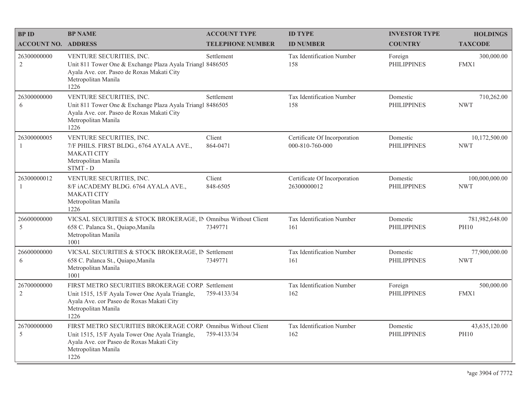| <b>BP ID</b>                  | <b>BP NAME</b>                                                                                                                                                                               | <b>ACCOUNT TYPE</b>     | <b>ID TYPE</b>                                  | <b>INVESTOR TYPE</b>           | <b>HOLDINGS</b>               |
|-------------------------------|----------------------------------------------------------------------------------------------------------------------------------------------------------------------------------------------|-------------------------|-------------------------------------------------|--------------------------------|-------------------------------|
| <b>ACCOUNT NO. ADDRESS</b>    |                                                                                                                                                                                              | <b>TELEPHONE NUMBER</b> | <b>ID NUMBER</b>                                | <b>COUNTRY</b>                 | <b>TAXCODE</b>                |
| 26300000000<br>$\overline{2}$ | VENTURE SECURITIES, INC.<br>Unit 811 Tower One & Exchange Plaza Ayala Triangl 8486505<br>Ayala Ave. cor. Paseo de Roxas Makati City<br>Metropolitan Manila<br>1226                           | Settlement              | Tax Identification Number<br>158                | Foreign<br><b>PHILIPPINES</b>  | 300,000.00<br>FMX1            |
| 26300000000<br>6              | VENTURE SECURITIES, INC.<br>Unit 811 Tower One & Exchange Plaza Ayala Triangl 8486505<br>Ayala Ave. cor. Paseo de Roxas Makati City<br>Metropolitan Manila<br>1226                           | Settlement              | Tax Identification Number<br>158                | Domestic<br><b>PHILIPPINES</b> | 710,262.00<br><b>NWT</b>      |
| 26300000005<br>1              | VENTURE SECURITIES, INC.<br>7/F PHILS. FIRST BLDG., 6764 AYALA AVE.,<br><b>MAKATI CITY</b><br>Metropolitan Manila<br>STMT - D                                                                | Client<br>864-0471      | Certificate Of Incorporation<br>000-810-760-000 | Domestic<br><b>PHILIPPINES</b> | 10,172,500.00<br><b>NWT</b>   |
| 26300000012<br>$\overline{1}$ | VENTURE SECURITIES, INC.<br>8/F iACADEMY BLDG. 6764 AYALA AVE.,<br><b>MAKATI CITY</b><br>Metropolitan Manila<br>1226                                                                         | Client<br>848-6505      | Certificate Of Incorporation<br>26300000012     | Domestic<br><b>PHILIPPINES</b> | 100,000,000.00<br><b>NWT</b>  |
| 26600000000<br>5              | VICSAL SECURITIES & STOCK BROKERAGE, IN Omnibus Without Client<br>658 C. Palanca St., Quiapo, Manila<br>Metropolitan Manila<br>1001                                                          | 7349771                 | Tax Identification Number<br>161                | Domestic<br><b>PHILIPPINES</b> | 781,982,648.00<br><b>PH10</b> |
| 26600000000<br>6              | VICSAL SECURITIES & STOCK BROKERAGE, IN Settlement<br>658 C. Palanca St., Quiapo, Manila<br>Metropolitan Manila<br>1001                                                                      | 7349771                 | Tax Identification Number<br>161                | Domestic<br><b>PHILIPPINES</b> | 77,900,000.00<br><b>NWT</b>   |
| 26700000000<br>$\overline{2}$ | FIRST METRO SECURITIES BROKERAGE CORP. Settlement<br>Unit 1515, 15/F Ayala Tower One Ayala Triangle,<br>Ayala Ave. cor Paseo de Roxas Makati City<br>Metropolitan Manila<br>1226             | 759-4133/34             | Tax Identification Number<br>162                | Foreign<br><b>PHILIPPINES</b>  | 500,000.00<br>FMX1            |
| 26700000000<br>5              | FIRST METRO SECURITIES BROKERAGE CORP. Omnibus Without Client<br>Unit 1515, 15/F Ayala Tower One Ayala Triangle,<br>Ayala Ave. cor Paseo de Roxas Makati City<br>Metropolitan Manila<br>1226 | 759-4133/34             | Tax Identification Number<br>162                | Domestic<br><b>PHILIPPINES</b> | 43,635,120.00<br><b>PH10</b>  |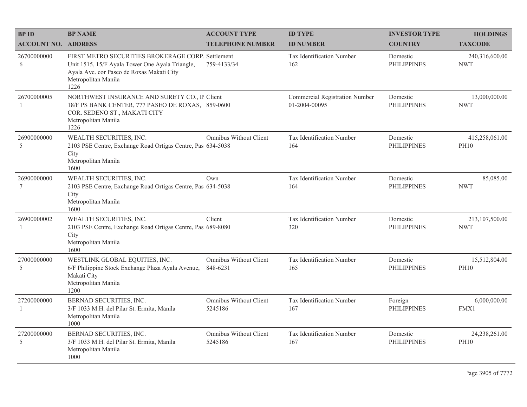| <b>BP ID</b>                   | <b>BP NAME</b>                                                                                                                                                                   | <b>ACCOUNT TYPE</b>                | <b>ID TYPE</b>                                  | <b>INVESTOR TYPE</b>           | <b>HOLDINGS</b>               |
|--------------------------------|----------------------------------------------------------------------------------------------------------------------------------------------------------------------------------|------------------------------------|-------------------------------------------------|--------------------------------|-------------------------------|
| <b>ACCOUNT NO. ADDRESS</b>     |                                                                                                                                                                                  | <b>TELEPHONE NUMBER</b>            | <b>ID NUMBER</b>                                | <b>COUNTRY</b>                 | <b>TAXCODE</b>                |
| 26700000000<br>6               | FIRST METRO SECURITIES BROKERAGE CORP. Settlement<br>Unit 1515, 15/F Ayala Tower One Ayala Triangle,<br>Ayala Ave. cor Paseo de Roxas Makati City<br>Metropolitan Manila<br>1226 | 759-4133/34                        | Tax Identification Number<br>162                | Domestic<br><b>PHILIPPINES</b> | 240,316,600.00<br><b>NWT</b>  |
| 26700000005<br>$\overline{1}$  | NORTHWEST INSURANCE AND SURETY CO., II Client<br>18/F PS BANK CENTER, 777 PASEO DE ROXAS, 859-0600<br>COR. SEDENO ST., MAKATI CITY<br>Metropolitan Manila<br>1226                |                                    | Commercial Registration Number<br>01-2004-00095 | Domestic<br><b>PHILIPPINES</b> | 13,000,000.00<br><b>NWT</b>   |
| 26900000000<br>5               | WEALTH SECURITIES, INC.<br>2103 PSE Centre, Exchange Road Ortigas Centre, Pas 634-5038<br>City<br>Metropolitan Manila<br>1600                                                    | <b>Omnibus Without Client</b>      | Tax Identification Number<br>164                | Domestic<br><b>PHILIPPINES</b> | 415,258,061.00<br><b>PH10</b> |
| 26900000000<br>$7\phantom{.0}$ | WEALTH SECURITIES, INC.<br>2103 PSE Centre, Exchange Road Ortigas Centre, Pas 634-5038<br>City<br>Metropolitan Manila<br>1600                                                    | Own                                | Tax Identification Number<br>164                | Domestic<br><b>PHILIPPINES</b> | 85,085.00<br><b>NWT</b>       |
| 26900000002<br>-1              | WEALTH SECURITIES, INC.<br>2103 PSE Centre, Exchange Road Ortigas Centre, Pas 689-8080<br>City<br>Metropolitan Manila<br>1600                                                    | Client                             | Tax Identification Number<br>320                | Domestic<br><b>PHILIPPINES</b> | 213,107,500.00<br><b>NWT</b>  |
| 27000000000<br>5               | WESTLINK GLOBAL EQUITIES, INC.<br>6/F Philippine Stock Exchange Plaza Ayala Avenue,<br>Makati City<br>Metropolitan Manila<br>1200                                                | Omnibus Without Client<br>848-6231 | Tax Identification Number<br>165                | Domestic<br><b>PHILIPPINES</b> | 15,512,804.00<br><b>PH10</b>  |
| 27200000000<br>$\overline{1}$  | BERNAD SECURITIES, INC.<br>3/F 1033 M.H. del Pilar St. Ermita, Manila<br>Metropolitan Manila<br>1000                                                                             | Omnibus Without Client<br>5245186  | Tax Identification Number<br>167                | Foreign<br><b>PHILIPPINES</b>  | 6,000,000.00<br>FMX1          |
| 27200000000<br>5               | BERNAD SECURITIES, INC.<br>3/F 1033 M.H. del Pilar St. Ermita, Manila<br>Metropolitan Manila<br>1000                                                                             | Omnibus Without Client<br>5245186  | Tax Identification Number<br>167                | Domestic<br><b>PHILIPPINES</b> | 24,238,261.00<br><b>PH10</b>  |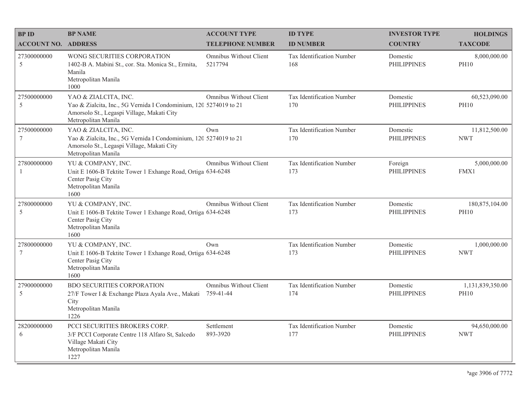| <b>BP ID</b>                   | <b>BP NAME</b>                                                                                                                                                 | <b>ACCOUNT TYPE</b>                 | <b>ID TYPE</b>                          | <b>INVESTOR TYPE</b>           | <b>HOLDINGS</b>                 |
|--------------------------------|----------------------------------------------------------------------------------------------------------------------------------------------------------------|-------------------------------------|-----------------------------------------|--------------------------------|---------------------------------|
| <b>ACCOUNT NO. ADDRESS</b>     |                                                                                                                                                                | <b>TELEPHONE NUMBER</b>             | <b>ID NUMBER</b>                        | <b>COUNTRY</b>                 | <b>TAXCODE</b>                  |
| 27300000000<br>5               | WONG SECURITIES CORPORATION<br>1402-B A. Mabini St., cor. Sta. Monica St., Ermita,<br>Manila<br>Metropolitan Manila<br>1000                                    | Omnibus Without Client<br>5217794   | <b>Tax Identification Number</b><br>168 | Domestic<br><b>PHILIPPINES</b> | 8,000,000.00<br><b>PH10</b>     |
| 27500000000<br>5               | YAO & ZIALCITA, INC.<br>Yao & Zialcita, Inc., 5G Vernida I Condominium, 120 5274019 to 21<br>Amorsolo St., Legaspi Village, Makati City<br>Metropolitan Manila | <b>Omnibus Without Client</b>       | Tax Identification Number<br>170        | Domestic<br><b>PHILIPPINES</b> | 60,523,090.00<br><b>PH10</b>    |
| 27500000000<br>$7\phantom{.0}$ | YAO & ZIALCITA, INC.<br>Yao & Zialcita, Inc., 5G Vernida I Condominium, 120 5274019 to 21<br>Amorsolo St., Legaspi Village, Makati City<br>Metropolitan Manila | Own                                 | Tax Identification Number<br>170        | Domestic<br><b>PHILIPPINES</b> | 11,812,500.00<br><b>NWT</b>     |
| 27800000000<br>-1              | YU & COMPANY, INC.<br>Unit E 1606-B Tektite Tower 1 Exhange Road, Ortiga 634-6248<br>Center Pasig City<br>Metropolitan Manila<br>1600                          | Omnibus Without Client              | Tax Identification Number<br>173        | Foreign<br><b>PHILIPPINES</b>  | 5,000,000.00<br>FMX1            |
| 27800000000<br>5               | YU & COMPANY, INC.<br>Unit E 1606-B Tektite Tower 1 Exhange Road, Ortiga 634-6248<br>Center Pasig City<br>Metropolitan Manila<br>1600                          | Omnibus Without Client              | Tax Identification Number<br>173        | Domestic<br><b>PHILIPPINES</b> | 180,875,104.00<br><b>PH10</b>   |
| 27800000000<br>$\tau$          | YU & COMPANY, INC.<br>Unit E 1606-B Tektite Tower 1 Exhange Road, Ortiga 634-6248<br>Center Pasig City<br>Metropolitan Manila<br>1600                          | Own                                 | Tax Identification Number<br>173        | Domestic<br><b>PHILIPPINES</b> | 1,000,000.00<br><b>NWT</b>      |
| 27900000000<br>5               | <b>BDO SECURITIES CORPORATION</b><br>27/F Tower I & Exchange Plaza Ayala Ave., Makati<br>City<br>Metropolitan Manila<br>1226                                   | Omnibus Without Client<br>759-41-44 | Tax Identification Number<br>174        | Domestic<br><b>PHILIPPINES</b> | 1,131,839,350.00<br><b>PH10</b> |
| 28200000000<br>6               | PCCI SECURITIES BROKERS CORP.<br>3/F PCCI Corporate Centre 118 Alfaro St, Salcedo<br>Village Makati City<br>Metropolitan Manila<br>1227                        | Settlement<br>893-3920              | Tax Identification Number<br>177        | Domestic<br><b>PHILIPPINES</b> | 94,650,000.00<br><b>NWT</b>     |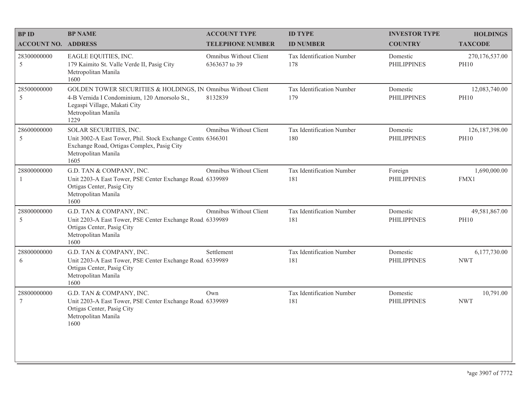| <b>BPID</b>                 | <b>BP NAME</b>                                                                                                                                                               | <b>ACCOUNT TYPE</b>                     | <b>ID TYPE</b>                   | <b>INVESTOR TYPE</b>           | <b>HOLDINGS</b>                 |
|-----------------------------|------------------------------------------------------------------------------------------------------------------------------------------------------------------------------|-----------------------------------------|----------------------------------|--------------------------------|---------------------------------|
| <b>ACCOUNT NO. ADDRESS</b>  |                                                                                                                                                                              | <b>TELEPHONE NUMBER</b>                 | <b>ID NUMBER</b>                 | <b>COUNTRY</b>                 | <b>TAXCODE</b>                  |
| 28300000000<br>5            | EAGLE EQUITIES, INC.<br>179 Kaimito St. Valle Verde II, Pasig City<br>Metropolitan Manila<br>1600                                                                            | Omnibus Without Client<br>6363637 to 39 | Tax Identification Number<br>178 | Domestic<br><b>PHILIPPINES</b> | 270,176,537.00<br><b>PH10</b>   |
| 28500000000<br>5            | GOLDEN TOWER SECURITIES & HOLDINGS, IN Omnibus Without Client<br>4-B Vernida I Condominium, 120 Amorsolo St.,<br>Legaspi Village, Makati City<br>Metropolitan Manila<br>1229 | 8132839                                 | Tax Identification Number<br>179 | Domestic<br><b>PHILIPPINES</b> | 12,083,740.00<br><b>PH10</b>    |
| 28600000000<br>5            | SOLAR SECURITIES, INC.<br>Unit 3002-A East Tower, Phil. Stock Exchange Centre 6366301<br>Exchange Road, Ortigas Complex, Pasig City<br>Metropolitan Manila<br>1605           | Omnibus Without Client                  | Tax Identification Number<br>180 | Domestic<br><b>PHILIPPINES</b> | 126, 187, 398.00<br><b>PH10</b> |
| 28800000000<br>$\mathbf{1}$ | G.D. TAN & COMPANY, INC.<br>Unit 2203-A East Tower, PSE Center Exchange Road. 6339989<br>Ortigas Center, Pasig City<br>Metropolitan Manila<br>1600                           | Omnibus Without Client                  | Tax Identification Number<br>181 | Foreign<br><b>PHILIPPINES</b>  | 1,690,000.00<br>FMX1            |
| 28800000000<br>5            | G.D. TAN & COMPANY, INC.<br>Unit 2203-A East Tower, PSE Center Exchange Road, 6339989<br>Ortigas Center, Pasig City<br>Metropolitan Manila<br>1600                           | Omnibus Without Client                  | Tax Identification Number<br>181 | Domestic<br><b>PHILIPPINES</b> | 49,581,867.00<br><b>PH10</b>    |
| 28800000000<br>6            | G.D. TAN & COMPANY, INC.<br>Unit 2203-A East Tower, PSE Center Exchange Road 6339989<br>Ortigas Center, Pasig City<br>Metropolitan Manila<br>1600                            | Settlement                              | Tax Identification Number<br>181 | Domestic<br><b>PHILIPPINES</b> | 6,177,730.00<br><b>NWT</b>      |
| 28800000000<br>$\tau$       | G.D. TAN & COMPANY, INC.<br>Unit 2203-A East Tower, PSE Center Exchange Road. 6339989<br>Ortigas Center, Pasig City<br>Metropolitan Manila<br>1600                           | Own                                     | Tax Identification Number<br>181 | Domestic<br><b>PHILIPPINES</b> | 10,791.00<br><b>NWT</b>         |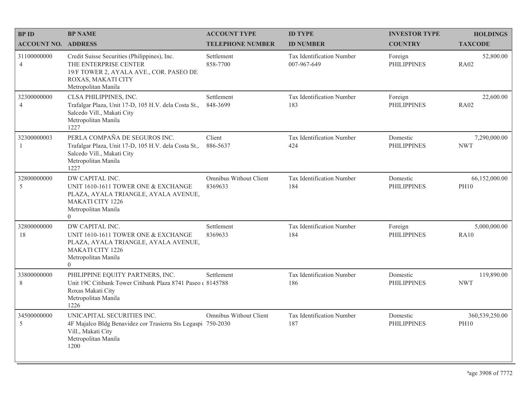| <b>BPID</b>                   | <b>BP NAME</b>                                                                                                                                                     | <b>ACCOUNT TYPE</b>               | <b>ID TYPE</b>                           | <b>INVESTOR TYPE</b>           | <b>HOLDINGS</b>               |
|-------------------------------|--------------------------------------------------------------------------------------------------------------------------------------------------------------------|-----------------------------------|------------------------------------------|--------------------------------|-------------------------------|
| <b>ACCOUNT NO. ADDRESS</b>    |                                                                                                                                                                    | <b>TELEPHONE NUMBER</b>           | <b>ID NUMBER</b>                         | <b>COUNTRY</b>                 | <b>TAXCODE</b>                |
| 31100000000<br>$\overline{4}$ | Credit Suisse Securities (Philippines), Inc.<br>THE ENTERPRISE CENTER<br>19/F TOWER 2, AYALA AVE., COR. PASEO DE<br>ROXAS, MAKATI CITY<br>Metropolitan Manila      | Settlement<br>858-7700            | Tax Identification Number<br>007-967-649 | Foreign<br><b>PHILIPPINES</b>  | 52,800.00<br><b>RA02</b>      |
| 32300000000<br>$\overline{4}$ | CLSA PHILIPPINES, INC.<br>Trafalgar Plaza, Unit 17-D, 105 H.V. dela Costa St.,<br>Salcedo Vill., Makati City<br>Metropolitan Manila<br>1227                        | Settlement<br>848-3699            | Tax Identification Number<br>183         | Foreign<br><b>PHILIPPINES</b>  | 22,600.00<br><b>RA02</b>      |
| 32300000003<br>$\overline{1}$ | PERLA COMPAÑA DE SEGUROS INC.<br>Trafalgar Plaza, Unit 17-D, 105 H.V. dela Costa St.,<br>Salcedo Vill., Makati City<br>Metropolitan Manila<br>1227                 | Client<br>886-5637                | Tax Identification Number<br>424         | Domestic<br><b>PHILIPPINES</b> | 7,290,000.00<br><b>NWT</b>    |
| 32800000000<br>5              | DW CAPITAL INC.<br>UNIT 1610-1611 TOWER ONE & EXCHANGE<br>PLAZA, AYALA TRIANGLE, AYALA AVENUE,<br><b>MAKATI CITY 1226</b><br>Metropolitan Manila<br>$\theta$       | Omnibus Without Client<br>8369633 | Tax Identification Number<br>184         | Domestic<br><b>PHILIPPINES</b> | 66,152,000.00<br><b>PH10</b>  |
| 32800000000<br>18             | DW CAPITAL INC.<br>UNIT 1610-1611 TOWER ONE & EXCHANGE<br>PLAZA, AYALA TRIANGLE, AYALA AVENUE,<br><b>MAKATI CITY 1226</b><br>Metropolitan Manila<br>$\overline{0}$ | Settlement<br>8369633             | Tax Identification Number<br>184         | Foreign<br><b>PHILIPPINES</b>  | 5,000,000.00<br><b>RA10</b>   |
| 33800000000<br>8              | PHILIPPINE EQUITY PARTNERS, INC.<br>Unit 19C Citibank Tower Citibank Plaza 8741 Paseo (8145788)<br>Roxas Makati City<br>Metropolitan Manila<br>1226                | Settlement                        | Tax Identification Number<br>186         | Domestic<br><b>PHILIPPINES</b> | 119,890.00<br><b>NWT</b>      |
| 34500000000<br>5              | UNICAPITAL SECURITIES INC.<br>4F Majalco Bldg Benavidez cor Trasierra Sts Legaspi 750-2030<br>Vill., Makati City<br>Metropolitan Manila<br>1200                    | Omnibus Without Client            | Tax Identification Number<br>187         | Domestic<br><b>PHILIPPINES</b> | 360,539,250.00<br><b>PH10</b> |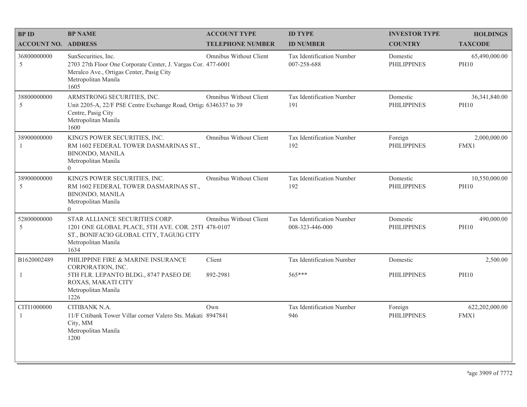| <b>BP ID</b>                  | <b>BP NAME</b>                                                                                                                                                  | <b>ACCOUNT TYPE</b>     | <b>ID TYPE</b>                                  | <b>INVESTOR TYPE</b>           | <b>HOLDINGS</b>                |
|-------------------------------|-----------------------------------------------------------------------------------------------------------------------------------------------------------------|-------------------------|-------------------------------------------------|--------------------------------|--------------------------------|
| <b>ACCOUNT NO. ADDRESS</b>    |                                                                                                                                                                 | <b>TELEPHONE NUMBER</b> | <b>ID NUMBER</b>                                | <b>COUNTRY</b>                 | <b>TAXCODE</b>                 |
| 36800000000<br>5              | SunSecurities, Inc.<br>2703 27th Floor One Corporate Center, J. Vargas Cor. 477-6001<br>Meralco Ave., Ortigas Center, Pasig City<br>Metropolitan Manila<br>1605 | Omnibus Without Client  | <b>Tax Identification Number</b><br>007-258-688 | Domestic<br><b>PHILIPPINES</b> | 65,490,000.00<br><b>PH10</b>   |
| 38800000000<br>5              | ARMSTRONG SECURITIES, INC.<br>Unit 2205-A, 22/F PSE Centre Exchange Road, Ortiga 6346337 to 39<br>Centre, Pasig City<br>Metropolitan Manila<br>1600             | Omnibus Without Client  | Tax Identification Number<br>191                | Domestic<br><b>PHILIPPINES</b> | 36, 341, 840.00<br><b>PH10</b> |
| 38900000000                   | KING'S POWER SECURITIES, INC.<br>RM 1602 FEDERAL TOWER DASMARINAS ST.,<br>BINONDO, MANILA<br>Metropolitan Manila<br>$\theta$                                    | Omnibus Without Client  | Tax Identification Number<br>192                | Foreign<br><b>PHILIPPINES</b>  | 2,000,000.00<br>FMX1           |
| 38900000000<br>5              | KING'S POWER SECURITIES, INC.<br>RM 1602 FEDERAL TOWER DASMARINAS ST.,<br>BINONDO, MANILA<br>Metropolitan Manila<br>$\Omega$                                    | Omnibus Without Client  | Tax Identification Number<br>192                | Domestic<br><b>PHILIPPINES</b> | 10,550,000.00<br><b>PH10</b>   |
| 52800000000<br>5              | STAR ALLIANCE SECURITIES CORP.<br>1201 ONE GLOBAL PLACE, 5TH AVE. COR. 25TH 478-0107<br>ST., BONIFACIO GLOBAL CITY, TAGUIG CITY<br>Metropolitan Manila<br>1634  | Omnibus Without Client  | Tax Identification Number<br>008-323-446-000    | Domestic<br><b>PHILIPPINES</b> | 490,000.00<br><b>PH10</b>      |
| B1620002489                   | PHILIPPINE FIRE & MARINE INSURANCE<br>CORPORATION, INC.                                                                                                         | Client                  | Tax Identification Number                       | Domestic                       | 2,500.00                       |
| 1                             | 5TH FLR. LEPANTO BLDG., 8747 PASEO DE<br>ROXAS, MAKATI CITY<br>Metropolitan Manila<br>1226                                                                      | 892-2981                | 565***                                          | <b>PHILIPPINES</b>             | <b>PH10</b>                    |
| CITI1000000<br>$\overline{1}$ | CITIBANK N.A.<br>11/F Citibank Tower Villar corner Valero Sts. Makati 8947841<br>City, MM<br>Metropolitan Manila<br>1200                                        | Own                     | Tax Identification Number<br>946                | Foreign<br><b>PHILIPPINES</b>  | 622,202,000.00<br>FMX1         |